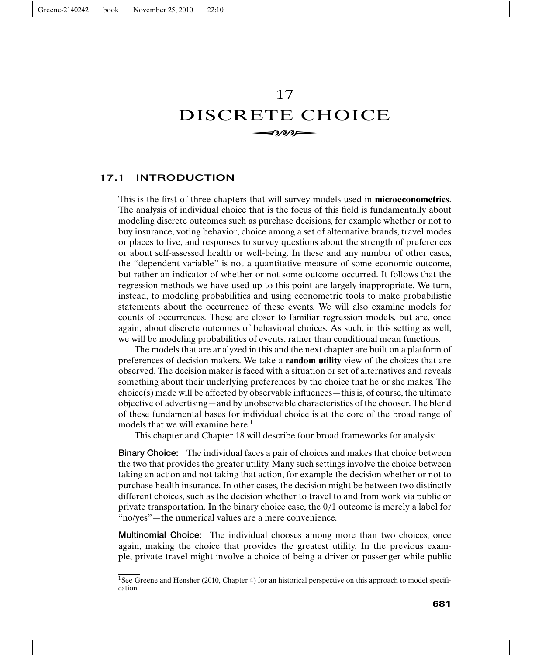# 17 DISCRETE CHOICE  $\frac{1}{2}$

# **17.1 INTRODUCTION**

This is the first of three chapters that will survey models used in **microeconometrics**. The analysis of individual choice that is the focus of this field is fundamentally about modeling discrete outcomes such as purchase decisions, for example whether or not to buy insurance, voting behavior, choice among a set of alternative brands, travel modes or places to live, and responses to survey questions about the strength of preferences or about self-assessed health or well-being. In these and any number of other cases, the "dependent variable" is not a quantitative measure of some economic outcome, but rather an indicator of whether or not some outcome occurred. It follows that the regression methods we have used up to this point are largely inappropriate. We turn, instead, to modeling probabilities and using econometric tools to make probabilistic statements about the occurrence of these events. We will also examine models for counts of occurrences. These are closer to familiar regression models, but are, once again, about discrete outcomes of behavioral choices. As such, in this setting as well, we will be modeling probabilities of events, rather than conditional mean functions.

The models that are analyzed in this and the next chapter are built on a platform of preferences of decision makers. We take a **random utility** view of the choices that are observed. The decision maker is faced with a situation or set of alternatives and reveals something about their underlying preferences by the choice that he or she makes. The choice(s) made will be affected by observable influences—this is, of course, the ultimate objective of advertising—and by unobservable characteristics of the chooser. The blend of these fundamental bases for individual choice is at the core of the broad range of models that we will examine here.<sup>1</sup>

This chapter and Chapter 18 will describe four broad frameworks for analysis:

**Binary Choice:** The individual faces a pair of choices and makes that choice between the two that provides the greater utility. Many such settings involve the choice between taking an action and not taking that action, for example the decision whether or not to purchase health insurance. In other cases, the decision might be between two distinctly different choices, such as the decision whether to travel to and from work via public or private transportation. In the binary choice case, the 0/1 outcome is merely a label for "no/yes"—the numerical values are a mere convenience.

**Multinomial Choice:** The individual chooses among more than two choices, once again, making the choice that provides the greatest utility. In the previous example, private travel might involve a choice of being a driver or passenger while public

<sup>&</sup>lt;sup>1</sup>See Greene and Hensher (2010, Chapter 4) for an historical perspective on this approach to model specification.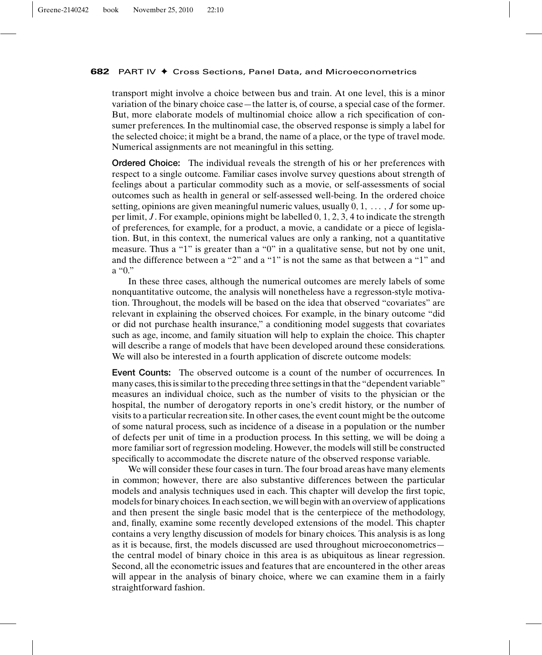transport might involve a choice between bus and train. At one level, this is a minor variation of the binary choice case—the latter is, of course, a special case of the former. But, more elaborate models of multinomial choice allow a rich specification of consumer preferences. In the multinomial case, the observed response is simply a label for the selected choice; it might be a brand, the name of a place, or the type of travel mode. Numerical assignments are not meaningful in this setting.

**Ordered Choice:** The individual reveals the strength of his or her preferences with respect to a single outcome. Familiar cases involve survey questions about strength of feelings about a particular commodity such as a movie, or self-assessments of social outcomes such as health in general or self-assessed well-being. In the ordered choice setting, opinions are given meaningful numeric values, usually 0, 1, ... , *J* for some upper limit, *J* . For example, opinions might be labelled 0, 1, 2, 3, 4 to indicate the strength of preferences, for example, for a product, a movie, a candidate or a piece of legislation. But, in this context, the numerical values are only a ranking, not a quantitative measure. Thus a "1" is greater than a "0" in a qualitative sense, but not by one unit, and the difference between a "2" and a "1" is not the same as that between a "1" and a "0."

In these three cases, although the numerical outcomes are merely labels of some nonquantitative outcome, the analysis will nonetheless have a regresson-style motivation. Throughout, the models will be based on the idea that observed "covariates" are relevant in explaining the observed choices. For example, in the binary outcome "did or did not purchase health insurance," a conditioning model suggests that covariates such as age, income, and family situation will help to explain the choice. This chapter will describe a range of models that have been developed around these considerations. We will also be interested in a fourth application of discrete outcome models:

**Event Counts:** The observed outcome is a count of the number of occurrences. In many cases, this is similar to the preceding three settings in that the "dependent variable" measures an individual choice, such as the number of visits to the physician or the hospital, the number of derogatory reports in one's credit history, or the number of visits to a particular recreation site. In other cases, the event count might be the outcome of some natural process, such as incidence of a disease in a population or the number of defects per unit of time in a production process. In this setting, we will be doing a more familiar sort of regression modeling. However, the models will still be constructed specifically to accommodate the discrete nature of the observed response variable.

We will consider these four cases in turn. The four broad areas have many elements in common; however, there are also substantive differences between the particular models and analysis techniques used in each. This chapter will develop the first topic, models for binary choices. In each section, we will begin with an overview of applications and then present the single basic model that is the centerpiece of the methodology, and, finally, examine some recently developed extensions of the model. This chapter contains a very lengthy discussion of models for binary choices. This analysis is as long as it is because, first, the models discussed are used throughout microeconometrics the central model of binary choice in this area is as ubiquitous as linear regression. Second, all the econometric issues and features that are encountered in the other areas will appear in the analysis of binary choice, where we can examine them in a fairly straightforward fashion.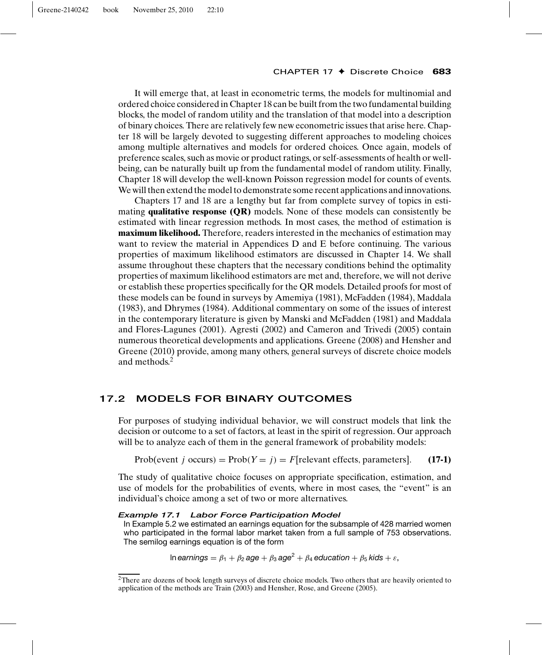It will emerge that, at least in econometric terms, the models for multinomial and ordered choice considered in Chapter 18 can be built from the two fundamental building blocks, the model of random utility and the translation of that model into a description of binary choices. There are relatively few new econometric issues that arise here. Chapter 18 will be largely devoted to suggesting different approaches to modeling choices among multiple alternatives and models for ordered choices. Once again, models of preference scales, such as movie or product ratings, or self-assessments of health or wellbeing, can be naturally built up from the fundamental model of random utility. Finally, Chapter 18 will develop the well-known Poisson regression model for counts of events. We will then extend the model to demonstrate some recent applications and innovations.

Chapters 17 and 18 are a lengthy but far from complete survey of topics in estimating **qualitative response (QR)** models. None of these models can consistently be estimated with linear regression methods. In most cases, the method of estimation is **maximum likelihood.** Therefore, readers interested in the mechanics of estimation may want to review the material in Appendices D and E before continuing. The various properties of maximum likelihood estimators are discussed in Chapter 14. We shall assume throughout these chapters that the necessary conditions behind the optimality properties of maximum likelihood estimators are met and, therefore, we will not derive or establish these properties specifically for the QR models. Detailed proofs for most of these models can be found in surveys by Amemiya (1981), McFadden (1984), Maddala (1983), and Dhrymes (1984). Additional commentary on some of the issues of interest in the contemporary literature is given by Manski and McFadden (1981) and Maddala and Flores-Lagunes (2001). Agresti (2002) and Cameron and Trivedi (2005) contain numerous theoretical developments and applications. Greene (2008) and Hensher and Greene (2010) provide, among many others, general surveys of discrete choice models and methods.<sup>2</sup>

# **17.2 MODELS FOR BINARY OUTCOMES**

For purposes of studying individual behavior, we will construct models that link the decision or outcome to a set of factors, at least in the spirit of regression. Our approach will be to analyze each of them in the general framework of probability models:

Prob(event *j* occurs) =  $Prob(Y = j) = F[relevant effects, parameters].$  (17-1)

The study of qualitative choice focuses on appropriate specification, estimation, and use of models for the probabilities of events, where in most cases, the "event" is an individual's choice among a set of two or more alternatives.

## *Example 17.1 Labor Force Participation Model*

In Example 5.2 we estimated an earnings equation for the subsample of 428 married women who participated in the formal labor market taken from a full sample of 753 observations. The semilog earnings equation is of the form

 $\ln$  *earnings* =  $\beta_1 + \beta_2$  *age* +  $\beta_3$  *age*<sup>2</sup> +  $\beta_4$  *education* +  $\beta_5$  *kids* +  $\varepsilon$ *,* 

<sup>&</sup>lt;sup>2</sup>There are dozens of book length surveys of discrete choice models. Two others that are heavily oriented to application of the methods are Train (2003) and Hensher, Rose, and Greene (2005).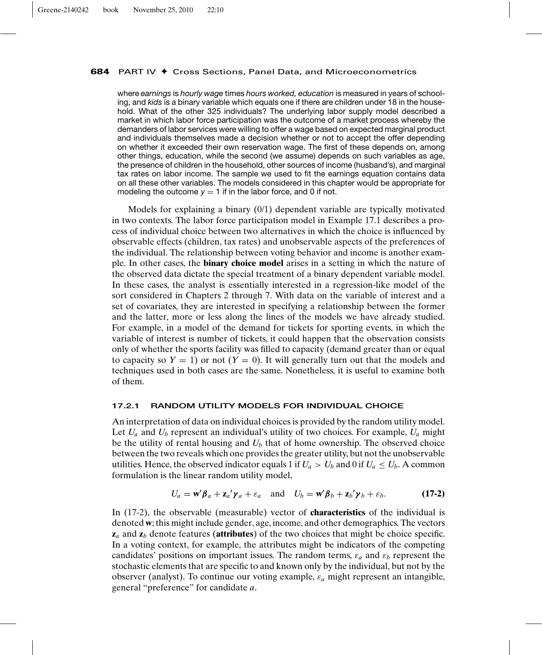where *earnings* is *hourly wage* times *hours worked, education* is measured in years of schooling, and *kids* is a binary variable which equals one if there are children under 18 in the household. What of the other 325 individuals? The underlying labor supply model described a market in which labor force participation was the outcome of a market process whereby the demanders of labor services were willing to offer a wage based on expected marginal product and individuals themselves made a decision whether or not to accept the offer depending on whether it exceeded their own reservation wage. The first of these depends on, among other things, education, while the second (we assume) depends on such variables as age, the presence of children in the household, other sources of income (husband's), and marginal tax rates on labor income. The sample we used to fit the earnings equation contains data on all these other variables. The models considered in this chapter would be appropriate for modeling the outcome  $y = 1$  if in the labor force, and 0 if not.

Models for explaining a binary (0/1) dependent variable are typically motivated in two contexts. The labor force participation model in Example 17.1 describes a process of individual choice between two alternatives in which the choice is influenced by observable effects (children, tax rates) and unobservable aspects of the preferences of the individual. The relationship between voting behavior and income is another example. In other cases, the **binary choice model** arises in a setting in which the nature of the observed data dictate the special treatment of a binary dependent variable model. In these cases, the analyst is essentially interested in a regression-like model of the sort considered in Chapters 2 through 7. With data on the variable of interest and a set of covariates, they are interested in specifying a relationship between the former and the latter, more or less along the lines of the models we have already studied. For example, in a model of the demand for tickets for sporting events, in which the variable of interest is number of tickets, it could happen that the observation consists only of whether the sports facility was filled to capacity (demand greater than or equal to capacity so  $Y = 1$ ) or not  $(Y = 0)$ . It will generally turn out that the models and techniques used in both cases are the same. Nonetheless, it is useful to examine both of them.

#### **17.2.1 RANDOM UTILITY MODELS FOR INDIVIDUAL CHOICE**

An interpretation of data on individual choices is provided by the random utility model. Let  $U_a$  and  $U_b$  represent an individual's utility of two choices. For example,  $U_a$  might be the utility of rental housing and  $U_b$  that of home ownership. The observed choice between the two reveals which one provides the greater utility, but not the unobservable utilities. Hence, the observed indicator equals 1 if  $U_a > U_b$  and 0 if  $U_a \leq U_b$ . A common formulation is the linear random utility model,

$$
U_a = \mathbf{w}'\boldsymbol{\beta}_a + \mathbf{z}_a'\mathbf{y}_a + \varepsilon_a \quad \text{and} \quad U_b = \mathbf{w}'\boldsymbol{\beta}_b + \mathbf{z}_b'\mathbf{y}_b + \varepsilon_b. \tag{17-2}
$$

In (17-2), the observable (measurable) vector of **characteristics** of the individual is denoted **w**; this might include gender, age, income, and other demographics. The vectors  $z_a$  and  $z_b$  denote features (**attributes**) of the two choices that might be choice specific. In a voting context, for example, the attributes might be indicators of the competing candidates' positions on important issues. The random terms, ε*<sup>a</sup>* and ε*<sup>b</sup>* represent the stochastic elements that are specific to and known only by the individual, but not by the observer (analyst). To continue our voting example, ε*<sup>a</sup>* might represent an intangible, general "preference" for candidate *a*.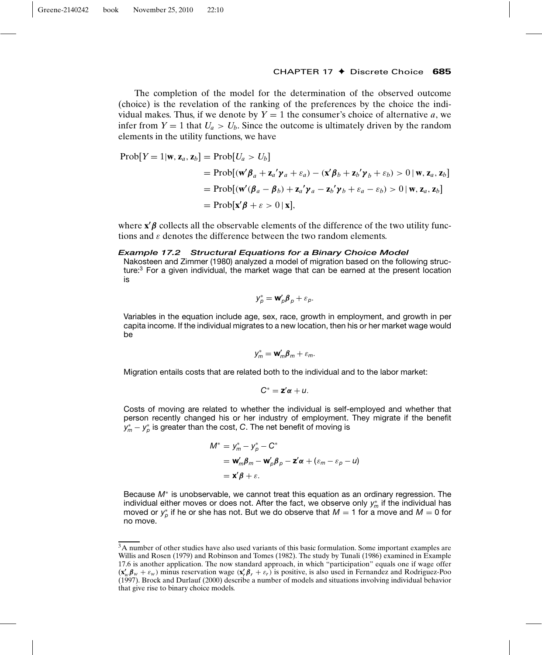The completion of the model for the determination of the observed outcome (choice) is the revelation of the ranking of the preferences by the choice the individual makes. Thus, if we denote by  $Y = 1$  the consumer's choice of alternative *a*, we infer from  $Y = 1$  that  $U_a > U_b$ . Since the outcome is ultimately driven by the random elements in the utility functions, we have

$$
\begin{aligned} \text{Prob}[Y=1|\mathbf{w}, \mathbf{z}_a, \mathbf{z}_b] &= \text{Prob}[U_a > U_b] \\ &= \text{Prob}[(\mathbf{w}'\boldsymbol{\beta}_a + \mathbf{z}_a'\boldsymbol{\gamma}_a + \varepsilon_a) - (\mathbf{x}'\boldsymbol{\beta}_b + \mathbf{z}_b'\boldsymbol{\gamma}_b + \varepsilon_b) > 0 \,|\, \mathbf{w}, \mathbf{z}_a, \mathbf{z}_b] \\ &= \text{Prob}[(\mathbf{w}'(\boldsymbol{\beta}_a - \boldsymbol{\beta}_b) + \mathbf{z}_a'\boldsymbol{\gamma}_a - \mathbf{z}_b'\boldsymbol{\gamma}_b + \varepsilon_a - \varepsilon_b) > 0 \,|\, \mathbf{w}, \mathbf{z}_a, \mathbf{z}_b] \\ &= \text{Prob}[\mathbf{x}'\boldsymbol{\beta} + \varepsilon > 0 \,|\, \mathbf{x}], \end{aligned}
$$

where  $\mathbf{x}'\boldsymbol{\beta}$  collects all the observable elements of the difference of the two utility functions and  $\varepsilon$  denotes the difference between the two random elements.

#### *Example 17.2 Structural Equations for a Binary Choice Model*

Nakosteen and Zimmer (1980) analyzed a model of migration based on the following structure:<sup>3</sup> For a given individual, the market wage that can be earned at the present location is

$$
y_{\rho}^* = \mathbf{w}_{\rho}' \boldsymbol{\beta}_{\rho} + \varepsilon_{\rho}.
$$

Variables in the equation include age, sex, race, growth in employment, and growth in per capita income. If the individual migrates to a new location, then his or her market wage would be

$$
y_m^* = \mathbf{w}_m' \boldsymbol{\beta}_m + \varepsilon_m.
$$

Migration entails costs that are related both to the individual and to the labor market:

$$
C^* = \mathbf{z}'\alpha + u.
$$

Costs of moving are related to whether the individual is self-employed and whether that person recently changed his or her industry of employment. They migrate if the benefit *y*<sub>\*</sub> − *y*<sub>\*</sub> is greater than the cost, *C*. The net benefit of moving is

$$
M^* = y_m^* - y_p^* - C^*
$$
  
=  $\mathbf{w}_m' \boldsymbol{\beta}_m - \mathbf{w}_p' \boldsymbol{\beta}_p - \mathbf{z}' \boldsymbol{\alpha} + (\varepsilon_m - \varepsilon_p - u)$   
=  $\mathbf{x}' \boldsymbol{\beta} + \varepsilon$ .

Because *M*<sup>∗</sup> is unobservable, we cannot treat this equation as an ordinary regression. The individual either moves or does not. After the fact, we observe only *y*<sup>∗</sup> *<sup>m</sup>* if the individual has moved or  $y^*_\rho$  if he or she has not. But we do observe that  $M=1$  for a move and  $M=0$  for no move.

 $3A$  number of other studies have also used variants of this basic formulation. Some important examples are Willis and Rosen (1979) and Robinson and Tomes (1982). The study by Tunali (1986) examined in Example 17.6 is another application. The now standard approach, in which "participation" equals one if wage offer  $(\mathbf{x}'_w \mathbf{\beta}_w + \varepsilon_w)$  minus reservation wage  $(\mathbf{x}'_r \mathbf{\beta}_r + \varepsilon_r)$  is positive, is also used in Fernandez and Rodriguez-Poo (1997). Brock and Durlauf (2000) describe a number of models and situations involving individual behavior that give rise to binary choice models.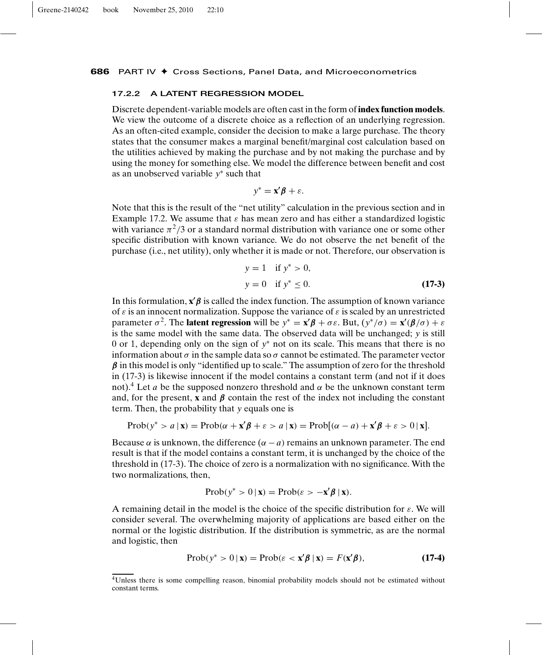## **17.2.2 A LATENT REGRESSION MODEL**

Discrete dependent-variable models are often cast in the form of **index function models**. We view the outcome of a discrete choice as a reflection of an underlying regression. As an often-cited example, consider the decision to make a large purchase. The theory states that the consumer makes a marginal benefit/marginal cost calculation based on the utilities achieved by making the purchase and by not making the purchase and by using the money for something else. We model the difference between benefit and cost as an unobserved variable *y*<sup>∗</sup> such that

$$
y^* = \mathbf{x}'\boldsymbol{\beta} + \varepsilon.
$$

Note that this is the result of the "net utility" calculation in the previous section and in Example 17.2. We assume that  $\varepsilon$  has mean zero and has either a standardized logistic with variance  $\pi^2/3$  or a standard normal distribution with variance one or some other specific distribution with known variance. We do not observe the net benefit of the purchase (i.e., net utility), only whether it is made or not. Therefore, our observation is

$$
y = 1 \quad \text{if } y^* > 0,
$$
  
 
$$
y = 0 \quad \text{if } y^* \le 0.
$$
 (17-3)

In this formulation,  $\mathbf{x}'\boldsymbol{\beta}$  is called the index function. The assumption of known variance of  $\varepsilon$  is an innocent normalization. Suppose the variance of  $\varepsilon$  is scaled by an unrestricted parameter  $\sigma^2$ . The **latent regression** will be  $y^* = \mathbf{x}'\boldsymbol{\beta} + \sigma \varepsilon$ . But,  $(y^*/\sigma) = \mathbf{x}'(\boldsymbol{\beta}/\sigma) + \varepsilon$ is the same model with the same data. The observed data will be unchanged; *y* is still 0 or 1, depending only on the sign of *y*<sup>∗</sup> not on its scale. This means that there is no information about  $\sigma$  in the sample data so  $\sigma$  cannot be estimated. The parameter vector *β* in this model is only "identified up to scale." The assumption of zero for the threshold in (17-3) is likewise innocent if the model contains a constant term (and not if it does not).<sup>4</sup> Let *a* be the supposed nonzero threshold and  $\alpha$  be the unknown constant term and, for the present, **x** and  $\beta$  contain the rest of the index not including the constant term. Then, the probability that *y* equals one is

$$
\text{Prob}(y^* > a \mid \mathbf{x}) = \text{Prob}(\alpha + \mathbf{x'}\beta + \varepsilon > a \mid \mathbf{x}) = \text{Prob}[(\alpha - a) + \mathbf{x'}\beta + \varepsilon > 0 \mid \mathbf{x}].
$$

Because  $\alpha$  is unknown, the difference  $(\alpha - a)$  remains an unknown parameter. The end result is that if the model contains a constant term, it is unchanged by the choice of the threshold in (17-3). The choice of zero is a normalization with no significance. With the two normalizations, then,

$$
Prob(y^* > 0 | \mathbf{x}) = Prob(\varepsilon > -\mathbf{x}'\boldsymbol{\beta} | \mathbf{x}).
$$

A remaining detail in the model is the choice of the specific distribution for  $\varepsilon$ . We will consider several. The overwhelming majority of applications are based either on the normal or the logistic distribution. If the distribution is symmetric, as are the normal and logistic, then

$$
Prob(y^* > 0 \mid \mathbf{x}) = Prob(\varepsilon < \mathbf{x'}\boldsymbol{\beta} \mid \mathbf{x}) = F(\mathbf{x'}\boldsymbol{\beta}),
$$
\n(17-4)

<sup>4</sup>Unless there is some compelling reason, binomial probability models should not be estimated without constant terms.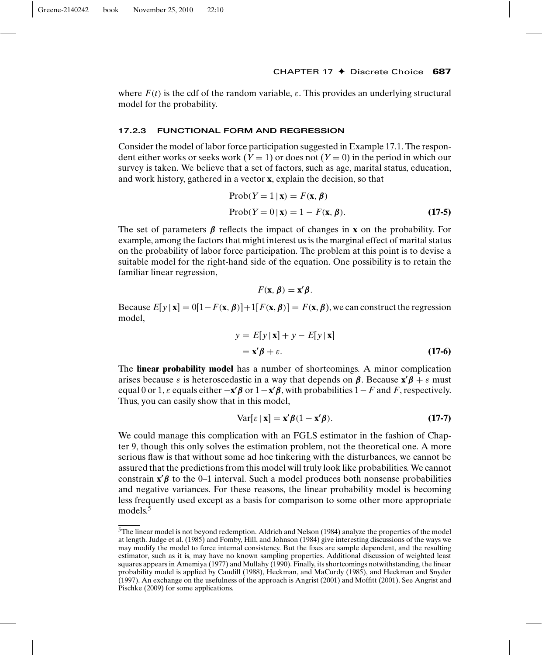where  $F(t)$  is the cdf of the random variable,  $\varepsilon$ . This provides an underlying structural model for the probability.

## **17.2.3 FUNCTIONAL FORM AND REGRESSION**

Consider the model of labor force participation suggested in Example 17.1. The respondent either works or seeks work ( $Y = 1$ ) or does not ( $Y = 0$ ) in the period in which our survey is taken. We believe that a set of factors, such as age, marital status, education, and work history, gathered in a vector **x**, explain the decision, so that

$$
Prob(Y = 1 | \mathbf{x}) = F(\mathbf{x}, \boldsymbol{\beta})
$$
  
Prob(Y = 0 | \mathbf{x}) = 1 - F(\mathbf{x}, \boldsymbol{\beta}). (17-5)

The set of parameters  $\beta$  reflects the impact of changes in **x** on the probability. For example, among the factors that might interest us is the marginal effect of marital status on the probability of labor force participation. The problem at this point is to devise a suitable model for the right-hand side of the equation. One possibility is to retain the familiar linear regression,

$$
F(\mathbf{x},\boldsymbol{\beta})=\mathbf{x}'\boldsymbol{\beta}.
$$

Because  $E[y | x] = 0[1 - F(x, \beta)] + 1[F(x, \beta)] = F(x, \beta)$ , we can construct the regression model,

$$
y = E[y | \mathbf{x}] + y - E[y | \mathbf{x}]
$$
  
=  $\mathbf{x}'\boldsymbol{\beta} + \varepsilon$ . (17-6)

The **linear probability model** has a number of shortcomings. A minor complication arises because  $\varepsilon$  is heteroscedastic in a way that depends on  $\beta$ . Because  $\mathbf{x}'\boldsymbol{\beta} + \varepsilon$  must equal 0 or 1,  $\varepsilon$  equals either  $-\mathbf{x}'\boldsymbol{\beta}$  or  $1-\mathbf{x}'\boldsymbol{\beta}$ , with probabilities  $1-F$  and  $F$ , respectively. Thus, you can easily show that in this model,

$$
\text{Var}[\varepsilon \mid \mathbf{x}] = \mathbf{x}' \boldsymbol{\beta} (1 - \mathbf{x}' \boldsymbol{\beta}). \tag{17-7}
$$

We could manage this complication with an FGLS estimator in the fashion of Chapter 9, though this only solves the estimation problem, not the theoretical one. A more serious flaw is that without some ad hoc tinkering with the disturbances, we cannot be assured that the predictions from this model will truly look like probabilities. We cannot constrain  $\mathbf{x}'\boldsymbol{\beta}$  to the 0–1 interval. Such a model produces both nonsense probabilities and negative variances. For these reasons, the linear probability model is becoming less frequently used except as a basis for comparison to some other more appropriate models.<sup>5</sup>

<sup>5</sup>The linear model is not beyond redemption. Aldrich and Nelson (1984) analyze the properties of the model at length. Judge et al. (1985) and Fomby, Hill, and Johnson (1984) give interesting discussions of the ways we may modify the model to force internal consistency. But the fixes are sample dependent, and the resulting estimator, such as it is, may have no known sampling properties. Additional discussion of weighted least squares appears in Amemiya (1977) and Mullahy (1990). Finally, its shortcomings notwithstanding, the linear probability model is applied by Caudill (1988), Heckman, and MaCurdy (1985), and Heckman and Snyder (1997). An exchange on the usefulness of the approach is Angrist (2001) and Moffitt (2001). See Angrist and Pischke (2009) for some applications.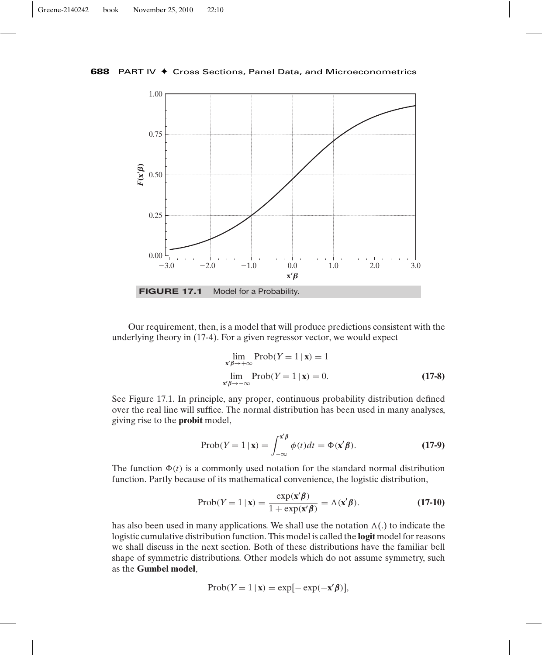

Our requirement, then, is a model that will produce predictions consistent with the underlying theory in (17-4). For a given regressor vector, we would expect

$$
\lim_{\substack{x'\beta \to +\infty}} \text{Prob}(Y = 1 \mid \mathbf{x}) = 1
$$
\n
$$
\lim_{\substack{x'\beta \to -\infty}} \text{Prob}(Y = 1 \mid \mathbf{x}) = 0.
$$
\n(17-8)

See Figure 17.1. In principle, any proper, continuous probability distribution defined over the real line will suffice. The normal distribution has been used in many analyses, giving rise to the **probit** model,

$$
\text{Prob}(Y = 1 \mid \mathbf{x}) = \int_{-\infty}^{\mathbf{x}'\boldsymbol{\beta}} \phi(t)dt = \Phi(\mathbf{x}'\boldsymbol{\beta}).\tag{17-9}
$$

The function  $\Phi(t)$  is a commonly used notation for the standard normal distribution function. Partly because of its mathematical convenience, the logistic distribution,

$$
\text{Prob}(Y = 1 \mid \mathbf{x}) = \frac{\exp(\mathbf{x}'\boldsymbol{\beta})}{1 + \exp(\mathbf{x}'\boldsymbol{\beta})} = \Lambda(\mathbf{x}'\boldsymbol{\beta}).\tag{17-10}
$$

has also been used in many applications. We shall use the notation  $\Lambda(.)$  to indicate the logistic cumulative distribution function. This model is called the **logit** model for reasons we shall discuss in the next section. Both of these distributions have the familiar bell shape of symmetric distributions. Other models which do not assume symmetry, such as the **Gumbel model**,

$$
Prob(Y = 1 | \mathbf{x}) = exp[-exp(-\mathbf{x}'\boldsymbol{\beta})],
$$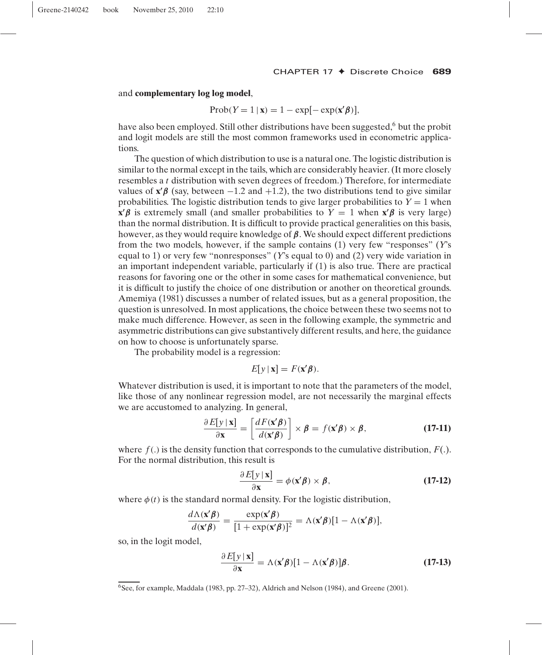# and **complementary log log model**,

$$
Prob(Y = 1 | \mathbf{x}) = 1 - exp[-exp(\mathbf{x}'\boldsymbol{\beta})],
$$

have also been employed. Still other distributions have been suggested,<sup>6</sup> but the probit and logit models are still the most common frameworks used in econometric applications.

The question of which distribution to use is a natural one. The logistic distribution is similar to the normal except in the tails, which are considerably heavier. (It more closely resembles a *t* distribution with seven degrees of freedom.) Therefore, for intermediate values of  $\mathbf{x}'\boldsymbol{\beta}$  (say, between  $-1.2$  and  $+1.2$ ), the two distributions tend to give similar probabilities. The logistic distribution tends to give larger probabilities to  $Y = 1$  when  $\mathbf{x}'\boldsymbol{\beta}$  is extremely small (and smaller probabilities to  $Y = 1$  when  $\mathbf{x}'\boldsymbol{\beta}$  is very large) than the normal distribution. It is difficult to provide practical generalities on this basis, however, as they would require knowledge of *β*. We should expect different predictions from the two models, however, if the sample contains (1) very few "responses" (*Y*'s equal to 1) or very few "nonresponses" (*Y*'s equal to 0) and (2) very wide variation in an important independent variable, particularly if (1) is also true. There are practical reasons for favoring one or the other in some cases for mathematical convenience, but it is difficult to justify the choice of one distribution or another on theoretical grounds. Amemiya (1981) discusses a number of related issues, but as a general proposition, the question is unresolved. In most applications, the choice between these two seems not to make much difference. However, as seen in the following example, the symmetric and asymmetric distributions can give substantively different results, and here, the guidance on how to choose is unfortunately sparse.

The probability model is a regression:

$$
E[y \mid \mathbf{x}] = F(\mathbf{x}'\boldsymbol{\beta}).
$$

Whatever distribution is used, it is important to note that the parameters of the model, like those of any nonlinear regression model, are not necessarily the marginal effects we are accustomed to analyzing. In general,

$$
\frac{\partial E[y \mid \mathbf{x}]}{\partial \mathbf{x}} = \left[ \frac{dF(\mathbf{x}'\boldsymbol{\beta})}{d(\mathbf{x}'\boldsymbol{\beta})} \right] \times \boldsymbol{\beta} = f(\mathbf{x}'\boldsymbol{\beta}) \times \boldsymbol{\beta}, \tag{17-11}
$$

where  $f(.)$  is the density function that corresponds to the cumulative distribution,  $F(.)$ . For the normal distribution, this result is

$$
\frac{\partial E[y \mid \mathbf{x}]}{\partial \mathbf{x}} = \phi(\mathbf{x}'\boldsymbol{\beta}) \times \boldsymbol{\beta},\tag{17-12}
$$

where  $\phi(t)$  is the standard normal density. For the logistic distribution,

$$
\frac{d\Lambda(\mathbf{x}'\boldsymbol{\beta})}{d(\mathbf{x}'\boldsymbol{\beta})} = \frac{\exp(\mathbf{x}'\boldsymbol{\beta})}{[1 + \exp(\mathbf{x}'\boldsymbol{\beta})]^2} = \Lambda(\mathbf{x}'\boldsymbol{\beta})[1 - \Lambda(\mathbf{x}'\boldsymbol{\beta})],
$$

so, in the logit model,

$$
\frac{\partial E[y \mid \mathbf{x}]}{\partial \mathbf{x}} = \Lambda(\mathbf{x}'\boldsymbol{\beta})[1 - \Lambda(\mathbf{x}'\boldsymbol{\beta})]\boldsymbol{\beta}.
$$
 (17-13)

<sup>6</sup>See, for example, Maddala (1983, pp. 27–32), Aldrich and Nelson (1984), and Greene (2001).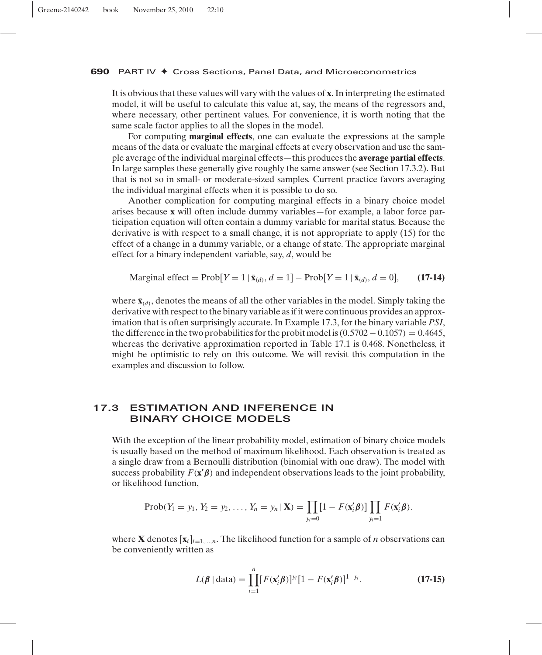It is obvious that these values will vary with the values of **x**. In interpreting the estimated model, it will be useful to calculate this value at, say, the means of the regressors and, where necessary, other pertinent values. For convenience, it is worth noting that the same scale factor applies to all the slopes in the model.

For computing **marginal effects**, one can evaluate the expressions at the sample means of the data or evaluate the marginal effects at every observation and use the sample average of the individual marginal effects—this produces the **average partial effects**. In large samples these generally give roughly the same answer (see Section 17.3.2). But that is not so in small- or moderate-sized samples. Current practice favors averaging the individual marginal effects when it is possible to do so.

Another complication for computing marginal effects in a binary choice model arises because **x** will often include dummy variables—for example, a labor force participation equation will often contain a dummy variable for marital status. Because the derivative is with respect to a small change, it is not appropriate to apply (15) for the effect of a change in a dummy variable, or a change of state. The appropriate marginal effect for a binary independent variable, say, *d*, would be

Marginal effect = 
$$
Prob[Y = 1 | \bar{\mathbf{x}}_{(d)}, d = 1] - Prob[Y = 1 | \bar{\mathbf{x}}_{(d)}, d = 0],
$$
 (17-14)

where  $\bar{\mathbf{x}}_{(d)}$ , denotes the means of all the other variables in the model. Simply taking the derivative with respect to the binary variable as if it were continuous provides an approximation that is often surprisingly accurate. In Example 17.3, for the binary variable *PSI*, the difference in the two probabilities for the probit model is  $(0.5702 - 0.1057) = 0.4645$ , whereas the derivative approximation reported in Table 17.1 is 0.468. Nonetheless, it might be optimistic to rely on this outcome. We will revisit this computation in the examples and discussion to follow.

# **17.3 ESTIMATION AND INFERENCE IN BINARY CHOICE MODELS**

With the exception of the linear probability model, estimation of binary choice models is usually based on the method of maximum likelihood. Each observation is treated as a single draw from a Bernoulli distribution (binomial with one draw). The model with success probability  $F(x' \beta)$  and independent observations leads to the joint probability, or likelihood function,

$$
\text{Prob}(Y_1 = y_1, Y_2 = y_2, \dots, Y_n = y_n \,|\, \mathbf{X}) = \prod_{y_i=0} [1 - F(\mathbf{x}'_i \boldsymbol{\beta})] \prod_{y_i=1} F(\mathbf{x}'_i \boldsymbol{\beta}).
$$

where **X** denotes  $[\mathbf{x}_i]_{i=1,\dots,n}$ . The likelihood function for a sample of *n* observations can be conveniently written as

$$
L(\beta \mid \text{data}) = \prod_{i=1}^{n} [F(\mathbf{x}'_i \beta)]^{y_i} [1 - F(\mathbf{x}'_i \beta)]^{1 - y_i}.
$$
 (17-15)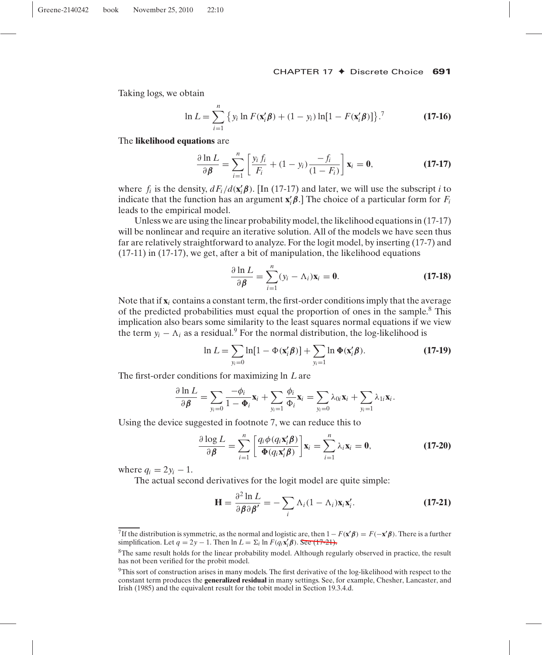## Greene-2140242 book November 25, 2010 22:10

#### CHAPTER 17 ✦ Discrete Choice **691**

Taking logs, we obtain

$$
\ln L = \sum_{i=1}^{n} \left\{ y_i \ln F(\mathbf{x}_i' \boldsymbol{\beta}) + (1 - y_i) \ln[1 - F(\mathbf{x}_i' \boldsymbol{\beta})] \right\}.
$$
 (17-16)

The **likelihood equations** are

$$
\frac{\partial \ln L}{\partial \beta} = \sum_{i=1}^{n} \left[ \frac{y_i f_i}{F_i} + (1 - y_i) \frac{-f_i}{(1 - F_i)} \right] \mathbf{x}_i = \mathbf{0},\tag{17-17}
$$

where  $f_i$  is the density,  $dF_i/d(\mathbf{x}_i^r\boldsymbol{\beta})$ . [In (17-17) and later, we will use the subscript *i* to indicate that the function has an argument  $\mathbf{x}'_i\boldsymbol{\beta}$ . The choice of a particular form for *F*<sub>*i*</sub> leads to the empirical model.

Unless we are using the linear probability model, the likelihood equations in (17-17) will be nonlinear and require an iterative solution. All of the models we have seen thus far are relatively straightforward to analyze. For the logit model, by inserting (17-7) and (17-11) in (17-17), we get, after a bit of manipulation, the likelihood equations

$$
\frac{\partial \ln L}{\partial \beta} = \sum_{i=1}^{n} (y_i - \Lambda_i) \mathbf{x}_i = \mathbf{0}.
$$
 (17-18)

Note that if **x***<sup>i</sup>* contains a constant term, the first-order conditions imply that the average of the predicted probabilities must equal the proportion of ones in the sample.<sup>8</sup> This implication also bears some similarity to the least squares normal equations if we view the term  $y_i - \Lambda_i$  as a residual.<sup>9</sup> For the normal distribution, the log-likelihood is

$$
\ln L = \sum_{y_i=0} \ln[1 - \Phi(\mathbf{x}_i'\boldsymbol{\beta})] + \sum_{y_i=1} \ln \Phi(\mathbf{x}_i'\boldsymbol{\beta}).
$$
 (17-19)

The first-order conditions for maximizing ln *L* are

$$
\frac{\partial \ln L}{\partial \beta} = \sum_{y_i=0} \frac{-\phi_i}{1-\Phi_i} \mathbf{x}_i + \sum_{y_i=1} \frac{\phi_i}{\Phi_i} \mathbf{x}_i = \sum_{y_i=0} \lambda_{0i} \mathbf{x}_i + \sum_{y_i=1} \lambda_{1i} \mathbf{x}_i.
$$

Using the device suggested in footnote 7, we can reduce this to

$$
\frac{\partial \log L}{\partial \beta} = \sum_{i=1}^{n} \left[ \frac{q_i \phi(q_i \mathbf{x}_i' \boldsymbol{\beta})}{\Phi(q_i \mathbf{x}_i' \boldsymbol{\beta})} \right] \mathbf{x}_i = \sum_{i=1}^{n} \lambda_i \mathbf{x}_i = \mathbf{0},
$$
(17-20)

where  $q_i = 2y_i - 1$ .

The actual second derivatives for the logit model are quite simple:

$$
\mathbf{H} = \frac{\partial^2 \ln L}{\partial \beta \partial \beta'} = -\sum_i \Lambda_i (1 - \Lambda_i) \mathbf{x}_i \mathbf{x}_i'. \tag{17-21}
$$

The distribution is symmetric, as the normal and logistic are, then  $1 - F(x'\beta) = F(-x'\beta)$ . There is a further simplification. Let  $q = 2y - 1$ . Then  $\ln L = \sum_i \ln F(q_i \mathbf{x}_i' \boldsymbol{\beta})$ . See (17-21).

<sup>8</sup>The same result holds for the linear probability model. Although regularly observed in practice, the result has not been verified for the probit model.

<sup>9</sup>This sort of construction arises in many models. The first derivative of the log-likelihood with respect to the constant term produces the **generalized residual** in many settings. See, for example, Chesher, Lancaster, and Irish (1985) and the equivalent result for the tobit model in Section 19.3.4.d.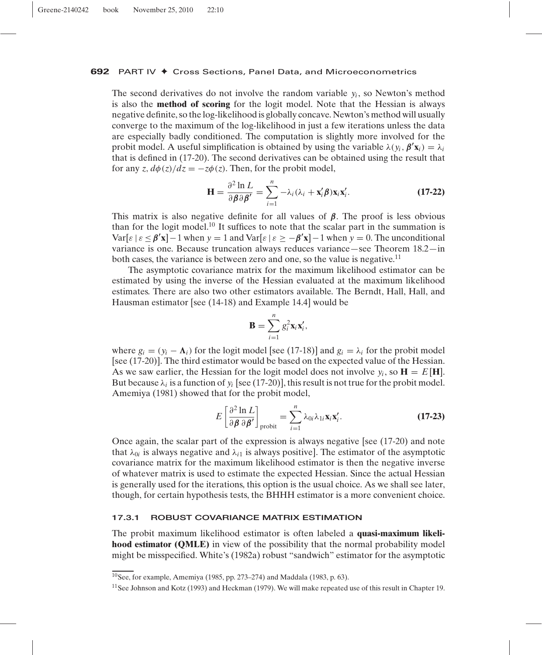The second derivatives do not involve the random variable  $y_i$ , so Newton's method is also the **method of scoring** for the logit model. Note that the Hessian is always negative definite, so the log-likelihood is globally concave. Newton's method will usually converge to the maximum of the log-likelihood in just a few iterations unless the data are especially badly conditioned. The computation is slightly more involved for the probit model. A useful simplification is obtained by using the variable  $\lambda(y_i, \beta' \mathbf{x}_i) = \lambda_i$ that is defined in (17-20). The second derivatives can be obtained using the result that for any *z*,  $d\phi(z)/dz = -z\phi(z)$ . Then, for the probit model,

$$
\mathbf{H} = \frac{\partial^2 \ln L}{\partial \beta \partial \beta'} = \sum_{i=1}^n -\lambda_i (\lambda_i + \mathbf{x}_i' \beta) \mathbf{x}_i \mathbf{x}_i'.
$$
 (17-22)

This matrix is also negative definite for all values of  $\beta$ . The proof is less obvious than for the logit model.<sup>10</sup> It suffices to note that the scalar part in the summation is  $Var[\varepsilon | \varepsilon \leq \beta' x] - 1$  when  $y = 1$  and  $Var[\varepsilon | \varepsilon \geq -\beta' x] - 1$  when  $y = 0$ . The unconditional variance is one. Because truncation always reduces variance—see Theorem 18.2—in both cases, the variance is between zero and one, so the value is negative.<sup>11</sup>

The asymptotic covariance matrix for the maximum likelihood estimator can be estimated by using the inverse of the Hessian evaluated at the maximum likelihood estimates. There are also two other estimators available. The Berndt, Hall, Hall, and Hausman estimator [see (14-18) and Example 14.4] would be

$$
\mathbf{B} = \sum_{i=1}^n g_i^2 \mathbf{x}_i \mathbf{x}_i',
$$

where  $g_i = (y_i - \Lambda_i)$  for the logit model [see (17-18)] and  $g_i = \lambda_i$  for the probit model [see (17-20)]. The third estimator would be based on the expected value of the Hessian. As we saw earlier, the Hessian for the logit model does not involve  $y_i$ , so  $H = E[H]$ . But because  $\lambda_i$  is a function of  $y_i$  [see (17-20)], this result is not true for the probit model. Amemiya (1981) showed that for the probit model,

$$
E\left[\frac{\partial^2 \ln L}{\partial \beta \partial \beta'}\right]_{\text{probit}} = \sum_{i=1}^n \lambda_{0i} \lambda_{1i} \mathbf{x}_i \mathbf{x}_i'.\tag{17-23}
$$

Once again, the scalar part of the expression is always negative [see (17-20) and note that  $\lambda_{0i}$  is always negative and  $\lambda_{i1}$  is always positive]. The estimator of the asymptotic covariance matrix for the maximum likelihood estimator is then the negative inverse of whatever matrix is used to estimate the expected Hessian. Since the actual Hessian is generally used for the iterations, this option is the usual choice. As we shall see later, though, for certain hypothesis tests, the BHHH estimator is a more convenient choice.

## **17.3.1 ROBUST COVARIANCE MATRIX ESTIMATION**

The probit maximum likelihood estimator is often labeled a **quasi-maximum likelihood estimator (QMLE)** in view of the possibility that the normal probability model might be misspecified. White's (1982a) robust "sandwich" estimator for the asymptotic

<sup>&</sup>lt;sup>10</sup>See, for example, Amemiya (1985, pp. 273–274) and Maddala (1983, p. 63).

<sup>&</sup>lt;sup>11</sup>See Johnson and Kotz (1993) and Heckman (1979). We will make repeated use of this result in Chapter 19.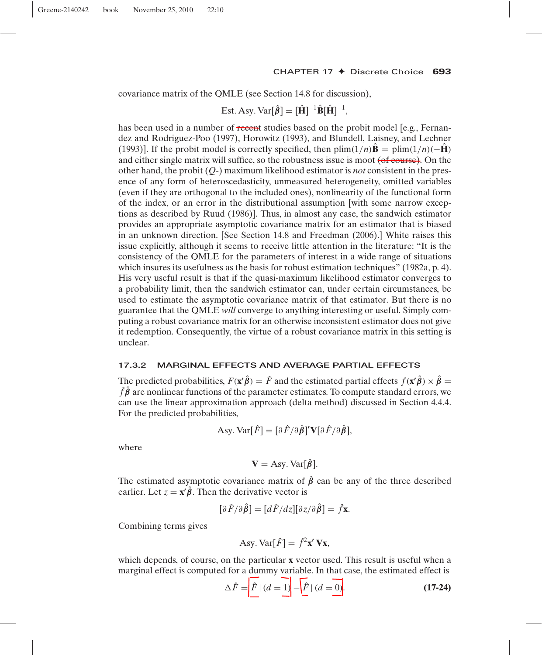covariance matrix of the QMLE (see Section 14.8 for discussion),

Est. Asy.  $\text{Var}[\hat{\boldsymbol{\beta}}] = [\hat{\mathbf{H}}]^{-1} \hat{\mathbf{B}} [\hat{\mathbf{H}}]^{-1}$ ,

has been used in a number of recent studies based on the probit model [e.g., Fernandez and Rodriguez-Poo (1997), Horowitz (1993), and Blundell, Laisney, and Lechner (1993)]. If the probit model is correctly specified, then  $\text{plim}(1/n)\hat{\mathbf{B}} = \text{plim}(1/n)(-\hat{\mathbf{H}})$ and either single matrix will suffice, so the robustness issue is moot (of course). On the other hand, the probit (*Q*-) maximum likelihood estimator is *not* consistent in the presence of any form of heteroscedasticity, unmeasured heterogeneity, omitted variables (even if they are orthogonal to the included ones), nonlinearity of the functional form of the index, or an error in the distributional assumption [with some narrow exceptions as described by Ruud (1986)]. Thus, in almost any case, the sandwich estimator provides an appropriate asymptotic covariance matrix for an estimator that is biased in an unknown direction. [See Section 14.8 and Freedman (2006).] White raises this issue explicitly, although it seems to receive little attention in the literature: "It is the consistency of the QMLE for the parameters of interest in a wide range of situations which insures its usefulness as the basis for robust estimation techniques" (1982a, p. 4). His very useful result is that if the quasi-maximum likelihood estimator converges to a probability limit, then the sandwich estimator can, under certain circumstances, be used to estimate the asymptotic covariance matrix of that estimator. But there is no guarantee that the QMLE *will* converge to anything interesting or useful. Simply computing a robust covariance matrix for an otherwise inconsistent estimator does not give it redemption. Consequently, the virtue of a robust covariance matrix in this setting is unclear.

# **17.3.2 MARGINAL EFFECTS AND AVERAGE PARTIAL EFFECTS**

The predicted probabilities,  $F(x'\hat{\beta}) = \hat{F}$  and the estimated partial effects  $f(x'\hat{\beta}) \times \hat{\beta} =$  $\hat{f}\hat{\beta}$  are nonlinear functions of the parameter estimates. To compute standard errors, we can use the linear approximation approach (delta method) discussed in Section 4.4.4. For the predicted probabilities,

Asy. 
$$
\text{Var}[\hat{F}] = [\partial \hat{F}/\partial \hat{\beta}]'\mathbf{V}[\partial \hat{F}/\partial \hat{\beta}],
$$

where

$$
\mathbf{V} = \text{Asy.}\, \text{Var}[\hat{\boldsymbol{\beta}}].
$$

The estimated asymptotic covariance matrix of  $\hat{\beta}$  can be any of the three described earlier. Let  $z = \mathbf{x}'\hat{\boldsymbol{\beta}}$ . Then the derivative vector is

$$
[\partial \hat{F}/\partial \hat{\beta}] = [d\hat{F}/dz][\partial z/\partial \hat{\beta}] = \hat{f}\mathbf{x}.
$$

Combining terms gives

Asy. 
$$
Var[\hat{F}] = \hat{f}^2 \mathbf{x}' \mathbf{V} \mathbf{x}
$$
,

which depends, of course, on the particular **x** vector used. This result is useful when a marginal effect is computed for a dummy variable. In that case, the estimated effect is

$$
\Delta \hat{F} = \frac{\hat{F}}{1 - (d - 1)} - \frac{\hat{F}}{1 - (d - 0)}.
$$
 (17-24)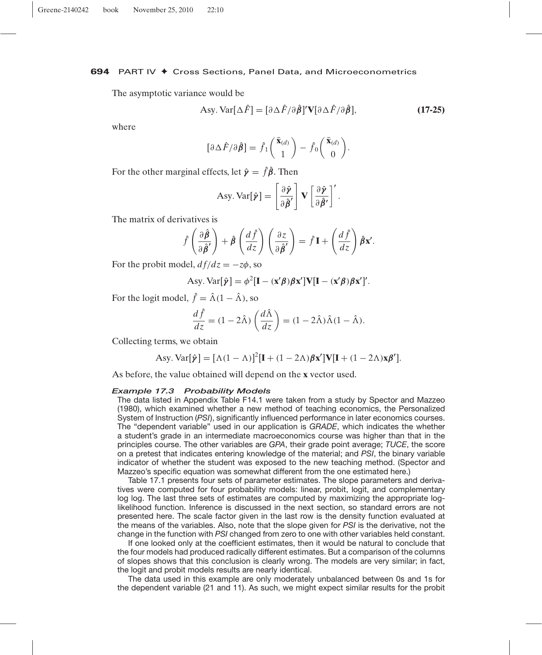The asymptotic variance would be

$$
Asy. Var[\Delta \hat{F}] = [\partial \Delta \hat{F}/\partial \hat{\beta}]' V[\partial \Delta \hat{F}/\partial \hat{\beta}],
$$
\n(17-25)

where

$$
[\partial \Delta \hat{F}/\partial \hat{\beta}] = \hat{f}_1 \begin{pmatrix} \bar{\mathbf{x}}_{(d)} \\ 1 \end{pmatrix} - \hat{f}_0 \begin{pmatrix} \bar{\mathbf{x}}_{(d)} \\ 0 \end{pmatrix}.
$$

For the other marginal effects, let  $\hat{\mathbf{y}} = \hat{f}\hat{\mathbf{\beta}}$ . Then

Asy. Var[
$$
\hat{\mathbf{y}}
$$
] =  $\left[\frac{\partial \hat{\mathbf{y}}}{\partial \hat{\beta}'}\right] \mathbf{V} \left[\frac{\partial \hat{\mathbf{y}}}{\partial \hat{\beta}'}\right]'$ .

The matrix of derivatives is

$$
\hat{f}\left(\frac{\partial\hat{\beta}}{\partial\hat{\beta}'}\right) + \hat{\beta}\left(\frac{d\hat{f}}{dz}\right)\left(\frac{\partial z}{\partial\hat{\beta}'}\right) = \hat{f}\mathbf{I} + \left(\frac{d\hat{f}}{dz}\right)\hat{\beta}\mathbf{x}'.
$$

For the probit model,  $df/dz = -z\phi$ , so

$$
ext{Asy.} \text{Var}[\hat{\mathbf{y}}] = \phi^2[\mathbf{I} - (\mathbf{x}'\boldsymbol{\beta})\boldsymbol{\beta}\mathbf{x}']\mathbf{V}[\mathbf{I} - (\mathbf{x}'\boldsymbol{\beta})\boldsymbol{\beta}\mathbf{x}']'.
$$

For the logit model,  $\hat{f} = \hat{\Lambda}(1 - \hat{\Lambda})$ , so

$$
\frac{d\hat{f}}{dz} = (1 - 2\hat{\Lambda}) \left(\frac{d\hat{\Lambda}}{dz}\right) = (1 - 2\hat{\Lambda})\hat{\Lambda}(1 - \hat{\Lambda}).
$$

Collecting terms, we obtain

$$
ext{Asy. Var}[\hat{\mathbf{y}}] = [\Lambda(1-\Lambda)]^2[\mathbf{I} + (1-2\Lambda)\beta\mathbf{x}']\mathbf{V}[\mathbf{I} + (1-2\Lambda)\mathbf{x}\beta'].
$$

As before, the value obtained will depend on the **x** vector used.

#### *Example 17.3 Probability Models*

The data listed in Appendix Table F14.1 were taken from a study by Spector and Mazzeo (1980), which examined whether a new method of teaching economics, the Personalized System of Instruction (*PSI*), significantly influenced performance in later economics courses. The "dependent variable" used in our application is *GRADE*, which indicates the whether a student's grade in an intermediate macroeconomics course was higher than that in the principles course. The other variables are *GPA*, their grade point average; *TUCE*, the score on a pretest that indicates entering knowledge of the material; and *PSI*, the binary variable indicator of whether the student was exposed to the new teaching method. (Spector and Mazzeo's specific equation was somewhat different from the one estimated here.)

Table 17.1 presents four sets of parameter estimates. The slope parameters and derivatives were computed for four probability models: linear, probit, logit, and complementary log log. The last three sets of estimates are computed by maximizing the appropriate loglikelihood function. Inference is discussed in the next section, so standard errors are not presented here. The scale factor given in the last row is the density function evaluated at the means of the variables. Also, note that the slope given for *PSI* is the derivative, not the change in the function with *PSI* changed from zero to one with other variables held constant.

If one looked only at the coefficient estimates, then it would be natural to conclude that the four models had produced radically different estimates. But a comparison of the columns of slopes shows that this conclusion is clearly wrong. The models are very similar; in fact, the logit and probit models results are nearly identical.

The data used in this example are only moderately unbalanced between 0s and 1s for the dependent variable (21 and 11). As such, we might expect similar results for the probit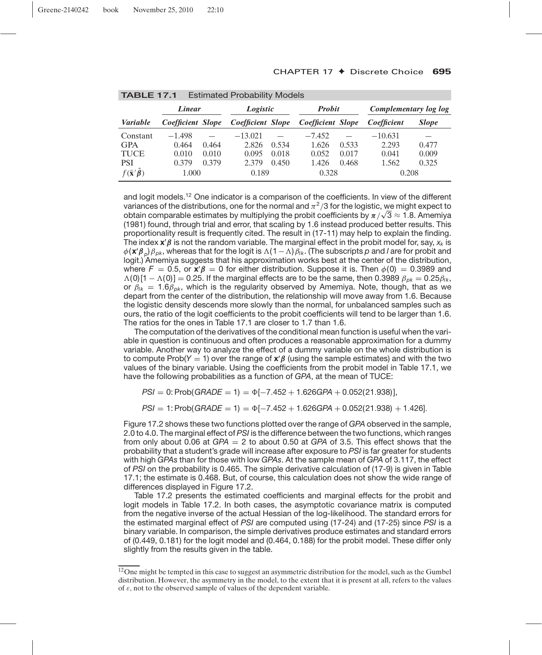|                                                 | 186LE 17.1<br>ESUINALED PRODADIILY MODELS |       |                                                       |       |               |       |                       |              |
|-------------------------------------------------|-------------------------------------------|-------|-------------------------------------------------------|-------|---------------|-------|-----------------------|--------------|
|                                                 | Linear                                    |       | Logistic                                              |       | <b>Probit</b> |       | Complementary log log |              |
| Variable                                        |                                           |       | Coefficient Slope Coefficient Slope Coefficient Slope |       |               |       | <i>Coefficient</i>    | <b>Slope</b> |
| Constant                                        | $-1.498$                                  |       | $-13.021$                                             |       | $-7.452$      |       | $-10.631$             |              |
| <b>GPA</b>                                      | 0.464                                     | 0.464 | 2.826                                                 | 0.534 | 1.626         | 0.533 | 2.293                 | 0.477        |
| <b>TUCE</b>                                     | 0.010                                     | 0.010 | 0.095                                                 | 0.018 | 0.052         | 0.017 | 0.041                 | 0.009        |
| <b>PSI</b>                                      | 0.379                                     | 0.379 | 2.379                                                 | 0.450 | 1.426         | 0.468 | 1.562                 | 0.325        |
| $f(\bar{\mathbf{x}}' \hat{\boldsymbol{\beta}})$ | 1.000                                     |       | 0.189                                                 |       | 0.328         |       | 0.208                 |              |

**TABLE 17.1** Estimated Probability Models

#### CHAPTER 17 ✦ Discrete Choice **695**

and logit models.<sup>12</sup> One indicator is a comparison of the coefficients. In view of the different variances of the distributions, one for the normal and  $\pi^2/3$  for the logistic, we might expect to obtain comparable estimates by multiplying the probit coefficients by  $\pi/\surd 3\approx$  1.8. Amemiya (1981) found, through trial and error, that scaling by 1.6 instead produced better results. This proportionality result is frequently cited. The result in (17-11) may help to explain the finding. The index  $\mathbf{x}'\pmb{\beta}$  is not the random variable. The marginal effect in the probit model for, say,  $x_k$  is φ(**x-** *β <sup>p</sup>*)β*pk*, whereas that for the logit is (1− )β*lk*. (The subscripts *p* and *l* are for probit and logit.) Amemiya suggests that his approximation works best at the center of the distribution, where  $F\,=\,0.5,$  or  ${\bf x}'\beta\,=\,0$  for either distribution. Suppose it is. Then  $\phi(0)\,=\,0.3989$  and  $\Lambda(0)[1 - \Lambda(0)] = 0.25$ . If the marginal effects are to be the same, then 0.3989  $\beta_{pk} = 0.25\beta_{lk}$ , or  $\beta_{lk} = 1.6 \beta_{pk}$ , which is the regularity observed by Amemiya. Note, though, that as we depart from the center of the distribution, the relationship will move away from 1.6. Because the logistic density descends more slowly than the normal, for unbalanced samples such as ours, the ratio of the logit coefficients to the probit coefficients will tend to be larger than 1.6. The ratios for the ones in Table 17.1 are closer to 1.7 than 1.6.

The computation of the derivatives of the conditional mean function is useful when the variable in question is continuous and often produces a reasonable approximation for a dummy variable. Another way to analyze the effect of a dummy variable on the whole distribution is to compute Prob( $Y = 1$ ) over the range of  $\mathbf{x}'\boldsymbol{\beta}$  (using the sample estimates) and with the two values of the binary variable. Using the coefficients from the probit model in Table 17.1, we have the following probabilities as a function of *GPA*, at the mean of TUCE:

 $PSI = 0$ : Prob(*GRADE* = 1) =  $\Phi[-7.452 + 1.626$ *GPA* + 0.052(21.938)],

 $PSI = 1: Prob(GRADE = 1) = \Phi[-7.452 + 1.626GPA + 0.052(21.938) + 1.426].$ 

Figure 17.2 shows these two functions plotted over the range of *GPA* observed in the sample, 2.0 to 4.0. The marginal effect of *PSI* is the difference between the two functions, which ranges from only about 0.06 at *GPA* = 2 to about 0.50 at *GPA* of 3.5. This effect shows that the probability that a student's grade will increase after exposure to *PSI* is far greater for students with high *GPAs* than for those with low *GPAs*. At the sample mean of *GPA* of 3.117, the effect of *PSI* on the probability is 0.465. The simple derivative calculation of (17-9) is given in Table 17.1; the estimate is 0.468. But, of course, this calculation does not show the wide range of differences displayed in Figure 17.2.

Table 17.2 presents the estimated coefficients and marginal effects for the probit and logit models in Table 17.2. In both cases, the asymptotic covariance matrix is computed from the negative inverse of the actual Hessian of the log-likelihood. The standard errors for the estimated marginal effect of *PSI* are computed using (17-24) and (17-25) since *PSI* is a binary variable. In comparison, the simple derivatives produce estimates and standard errors of (0.449, 0.181) for the logit model and (0.464, 0.188) for the probit model. These differ only slightly from the results given in the table.

 $12$ One might be tempted in this case to suggest an asymmetric distribution for the model, such as the Gumbel distribution. However, the asymmetry in the model, to the extent that it is present at all, refers to the values of  $\varepsilon$ , not to the observed sample of values of the dependent variable.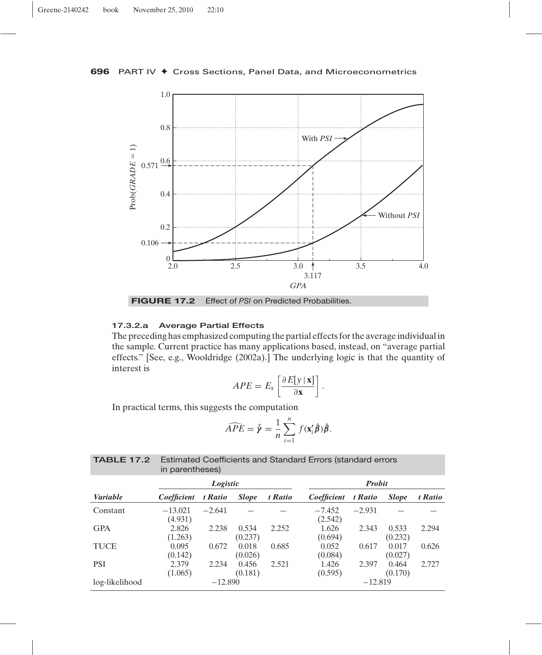

**696** PART IV ✦ Cross Sections, Panel Data, and Microeconometrics



# **17.3.2.a Average Partial Effects**

The preceding has emphasized computing the partial effects for the average individual in the sample. Current practice has many applications based, instead, on "average partial effects." [See, e.g., Wooldridge (2002a).] The underlying logic is that the quantity of interest is

$$
APE = E_x \left[ \frac{\partial E[y \mid \mathbf{x}]}{\partial \mathbf{x}} \right].
$$

In practical terms, this suggests the computation

$$
\widehat{APE} = \overline{\hat{p}} = \frac{1}{n} \sum_{i=1}^{n} f(\mathbf{x}'_i \hat{\beta}) \hat{\beta}.
$$

| <b>TABLE 17.2</b> Estimated Coefficients and Standard Errors (standard errors |
|-------------------------------------------------------------------------------|
| in parentheses)                                                               |

|                 |                      | Logistic  |                  |         |                     | <b>Probit</b> |                  |         |
|-----------------|----------------------|-----------|------------------|---------|---------------------|---------------|------------------|---------|
| <b>Variable</b> | Coefficient          | t Ratio   | <b>Slope</b>     | t Ratio | Coefficient         | t Ratio       | <b>Slope</b>     | t Ratio |
| Constant        | $-13.021$<br>(4.931) | $-2.641$  |                  |         | $-7.452$<br>(2.542) | $-2.931$      |                  |         |
| <b>GPA</b>      | 2.826<br>(1.263)     | 2.238     | 0.534<br>(0.237) | 2.252   | 1.626<br>(0.694)    | 2.343         | 0.533<br>(0.232) | 2.294   |
| <b>TUCE</b>     | 0.095<br>(0.142)     | 0.672     | 0.018<br>(0.026) | 0.685   | 0.052<br>(0.084)    | 0.617         | 0.017<br>(0.027) | 0.626   |
| <b>PSI</b>      | 2.379<br>(1.065)     | 2.234     | 0.456<br>(0.181) | 2.521   | 1.426<br>(0.595)    | 2.397         | 0.464<br>(0.170) | 2.727   |
| log-likelihood  |                      | $-12.890$ |                  |         |                     | $-12.819$     |                  |         |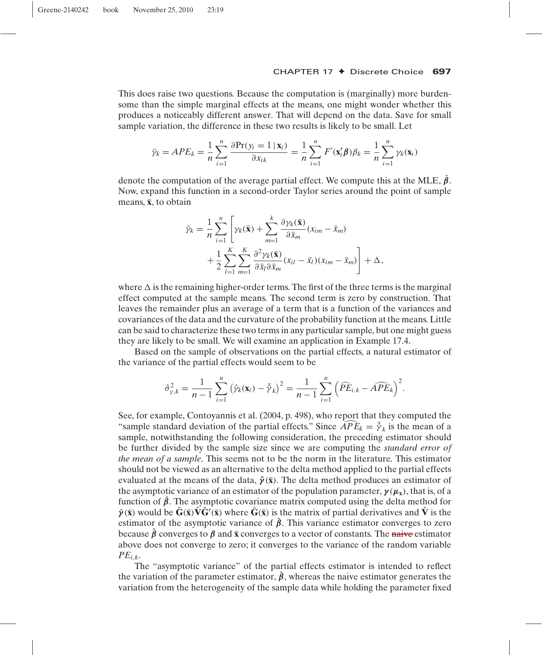This does raise two questions. Because the computation is (marginally) more burdensome than the simple marginal effects at the means, one might wonder whether this produces a noticeably different answer. That will depend on the data. Save for small sample variation, the difference in these two results is likely to be small. Let

$$
\bar{\gamma}_k = APE_k = \frac{1}{n} \sum_{i=1}^n \frac{\partial Pr(y_i = 1 \mid \mathbf{x}_i)}{\partial x_{ik}} = \frac{1}{n} \sum_{i=1}^n F'(\mathbf{x}'_i \boldsymbol{\beta}) \beta_k = \frac{1}{n} \sum_{i=1}^n \gamma_k(\mathbf{x}_i)
$$

denote the computation of the average partial effect. We compute this at the MLE,  $\hat{\beta}$ . Now, expand this function in a second-order Taylor series around the point of sample means,  $\bar{x}$ , to obtain

$$
\bar{\gamma}_k = \frac{1}{n} \sum_{i=1}^n \left[ \gamma_k(\bar{\mathbf{x}}) + \sum_{m=1}^k \frac{\partial \gamma_k(\bar{\mathbf{x}})}{\partial \bar{x}_m} (x_{im} - \bar{x}_m) + \frac{1}{2} \sum_{l=1}^K \sum_{m=1}^K \frac{\partial^2 \gamma_k(\bar{\mathbf{x}})}{\partial \bar{x}_l \partial \bar{x}_m} (x_{il} - \bar{x}_l) (x_{im} - \bar{x}_m) \right] + \Delta,
$$

where  $\Delta$  is the remaining higher-order terms. The first of the three terms is the marginal effect computed at the sample means. The second term is zero by construction. That leaves the remainder plus an average of a term that is a function of the variances and covariances of the data and the curvature of the probability function at the means. Little can be said to characterize these two terms in any particular sample, but one might guess they are likely to be small. We will examine an application in Example 17.4.

Based on the sample of observations on the partial effects, a natural estimator of the variance of the partial effects would seem to be

$$
\hat{\sigma}_{\gamma,k}^2 = \frac{1}{n-1} \sum_{i=1}^n (\hat{\gamma}_k(\mathbf{x}_i) - \bar{\hat{\gamma}}_k)^2 = \frac{1}{n-1} \sum_{i=1}^n (\widehat{PE}_{i,k} - \widehat{APE}_k)^2.
$$

See, for example, Contoyannis et al. (2004, p. 498), who report that they computed the "sample standard deviation of the partial effects." Since  $\widehat{APE}_k = \overline{\hat{y}}_k$  is the mean of a sample, notwithstanding the following consideration, the preceding estimator should be further divided by the sample size since we are computing the *standard error of the mean of a sample*. This seems not to be the norm in the literature. This estimator should not be viewed as an alternative to the delta method applied to the partial effects evaluated at the means of the data,  $\hat{\mathbf{y}}(\bar{\mathbf{x}})$ . The delta method produces an estimator of the asymptotic variance of an estimator of the population parameter,  $\gamma(\mu_x)$ , that is, of a function of  $\hat{\beta}$ . The asymptotic covariance matrix computed using the delta method for  $\hat{\mathbf{y}}(\bar{\mathbf{x}})$  would be  $\hat{\mathbf{G}}(\bar{\mathbf{x}}) \hat{\mathbf{V}} \hat{\mathbf{G}}'(\bar{\mathbf{x}})$  where  $\hat{\mathbf{G}}(\bar{\mathbf{x}})$  is the matrix of partial derivatives and  $\hat{\mathbf{V}}$  is the estimator of the asymptotic variance of  $\hat{\beta}$ . This variance estimator converges to zero because  $\hat{\beta}$  converges to  $\beta$  and  $\bar{x}$  converges to a vector of constants. The naive estimator above does not converge to zero; it converges to the variance of the random variable  $PE_{i,k}$ .

The "asymptotic variance" of the partial effects estimator is intended to reflect the variation of the parameter estimator,  $\hat{\beta}$ , whereas the naive estimator generates the variation from the heterogeneity of the sample data while holding the parameter fixed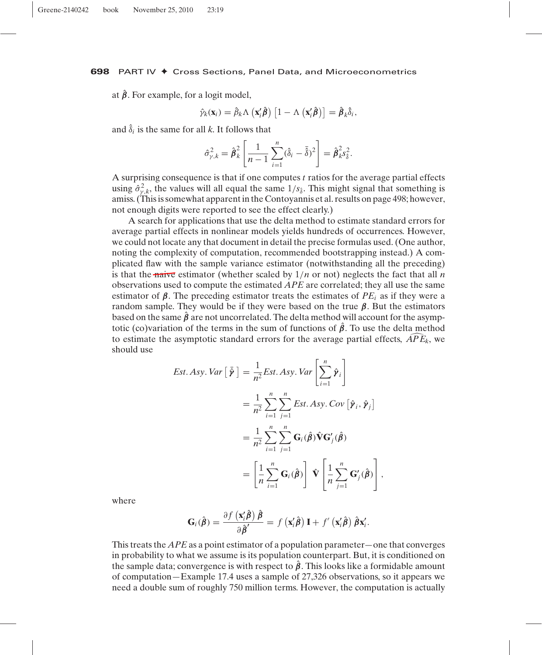at  $\hat{\beta}$ . For example, for a logit model,

$$
\hat{\gamma}_k(\mathbf{x}_i) = \hat{\beta}_k \Lambda \left( \mathbf{x}_i' \hat{\boldsymbol{\beta}} \right) \left[ 1 - \Lambda \left( \mathbf{x}_i' \hat{\boldsymbol{\beta}} \right) \right] = \hat{\boldsymbol{\beta}}_k \hat{\delta}_i,
$$

and  $\hat{\delta}_i$  is the same for all *k*. It follows that

$$
\hat{\sigma}_{\gamma,k}^2 = \hat{\beta}_k^2 \left[ \frac{1}{n-1} \sum_{i=1}^n (\hat{\delta}_i - \bar{\hat{\delta}})^2 \right] = \hat{\beta}_k^2 s_{\hat{\delta}}^2.
$$

A surprising consequence is that if one computes *t* ratios for the average partial effects using  $\hat{\sigma}_{\gamma,k}^2$ , the values will all equal the same  $1/s_{\hat{\delta}}$ . This might signal that something is amiss. (This is somewhat apparent in the Contoyannis et al. results on page 498; however, not enough digits were reported to see the effect clearly.)

A search for applications that use the delta method to estimate standard errors for average partial effects in nonlinear models yields hundreds of occurrences. However, we could not locate any that document in detail the precise formulas used. (One author, noting the complexity of computation, recommended bootstrapping instead.) A complicated flaw with the sample variance estimator (notwithstanding all the preceding) is that the naive estimator (whether scaled by  $1/n$  or not) neglects the fact that all *n* observations used to compute the estimated *APE* are correlated; they all use the same estimator of  $\beta$ . The preceding estimator treats the estimates of  $PE<sub>i</sub>$  as if they were a random sample. They would be if they were based on the true  $\beta$ . But the estimators based on the same  $\hat{\beta}$  are not uncorrelated. The delta method will account for the asymptotic (co)variation of the terms in the sum of functions of  $\hat{\beta}$ . To use the delta method to estimate the asymptotic standard errors for the average partial effects,  $\overline{APE_k}$ , we should use

$$
Est. Asy. Var\left[\bar{\mathbf{y}}\right] = \frac{1}{n^2} Est. Asy. Var\left[\sum_{i=1}^n \hat{\mathbf{y}}_i\right]
$$
  
=  $\frac{1}{n^2} \sum_{i=1}^n \sum_{j=1}^n Est. Asy. Cov\left[\hat{\mathbf{y}}_i, \hat{\mathbf{y}}_j\right]$   
=  $\frac{1}{n^2} \sum_{i=1}^n \sum_{j=1}^n \mathbf{G}_i(\hat{\boldsymbol{\beta}}) \hat{\mathbf{V}} \mathbf{G}'_j(\hat{\boldsymbol{\beta}})$   
=  $\left[\frac{1}{n} \sum_{i=1}^n \mathbf{G}_i(\hat{\boldsymbol{\beta}})\right] \hat{\mathbf{V}}\left[\frac{1}{n} \sum_{j=1}^n \mathbf{G}'_j(\hat{\boldsymbol{\beta}})\right],$ 

where

$$
\mathbf{G}_{i}(\hat{\boldsymbol{\beta}}) = \frac{\partial f\left(\mathbf{x}_{i}'\hat{\boldsymbol{\beta}}\right)\hat{\boldsymbol{\beta}}}{\partial \hat{\boldsymbol{\beta}}'} = f\left(\mathbf{x}_{i}'\hat{\boldsymbol{\beta}}\right)\mathbf{I} + f'\left(\mathbf{x}_{i}'\hat{\boldsymbol{\beta}}\right)\hat{\boldsymbol{\beta}}\mathbf{x}_{i}'.
$$

This treats the *APE* as a point estimator of a population parameter—one that converges in probability to what we assume is its population counterpart. But, it is conditioned on the sample data; convergence is with respect to  $\hat{\beta}$ . This looks like a formidable amount of computation—Example 17.4 uses a sample of 27,326 observations, so it appears we need a double sum of roughly 750 million terms. However, the computation is actually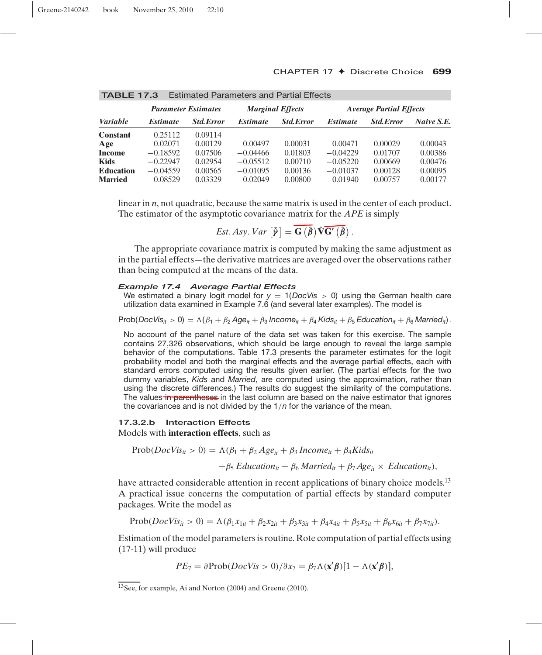| 180LE 17.0<br>ESUITIQUE FAIGHIELEIS ANU FAILIAI ENECLS |                            |                   |                 |                         |                                |                   |            |  |  |
|--------------------------------------------------------|----------------------------|-------------------|-----------------|-------------------------|--------------------------------|-------------------|------------|--|--|
|                                                        | <b>Parameter Estimates</b> |                   |                 | <b>Marginal Effects</b> | <b>Average Partial Effects</b> |                   |            |  |  |
| Variable                                               | <b>Estimate</b>            | <b>Std. Error</b> | <b>Estimate</b> | <b>Std. Error</b>       | <b>Estimate</b>                | <b>Std. Error</b> | Naive S.E. |  |  |
| <b>Constant</b>                                        | 0.25112                    | 0.09114           |                 |                         |                                |                   |            |  |  |
| Age                                                    | 0.02071                    | 0.00129           | 0.00497         | 0.00031                 | 0.00471                        | 0.00029           | 0.00043    |  |  |
| <b>Income</b>                                          | $-0.18592$                 | 0.07506           | $-0.04466$      | 0.01803                 | $-0.04229$                     | 0.01707           | 0.00386    |  |  |
| <b>Kids</b>                                            | $-0.22947$                 | 0.02954           | $-0.05512$      | 0.00710                 | $-0.05220$                     | 0.00669           | 0.00476    |  |  |
| <b>Education</b>                                       | $-0.04559$                 | 0.00565           | $-0.01095$      | 0.00136                 | $-0.01037$                     | 0.00128           | 0.00095    |  |  |
| <b>Married</b>                                         | 0.08529                    | 0.03329           | 0.02049         | 0.00800                 | 0.01940                        | 0.00757           | 0.00177    |  |  |

linear in *n*, not quadratic, because the same matrix is used in the center of each product. The estimator of the asymptotic covariance matrix for the *APE* is simply

*Est. Asy. Var* 
$$
\left[\bar{\hat{p}}\right]
$$
 =  $\overline{G(\hat{\beta})\hat{V}G'(\hat{\beta})}$ .

The appropriate covariance matrix is computed by making the same adjustment as in the partial effects—the derivative matrices are averaged over the observations rather than being computed at the means of the data.

## *Example 17.4 Average Partial Effects*

**TABLE 17.3** Estimated Parameters and Partial Effects

We estimated a binary logit model for  $y = 1(DocVis > 0)$  using the German health care utilization data examined in Example 7.6 (and several later examples). The model is

 $Prob(DocVis<sub>it</sub> > 0) = \Lambda(\beta_1 + \beta_2 Age<sub>it</sub> + \beta_3 Income<sub>it</sub> + \beta_4 Kids<sub>it</sub> + \beta_5 Education<sub>it</sub> + \beta_6 Married<sub>it</sub>).$ 

No account of the panel nature of the data set was taken for this exercise. The sample contains 27,326 observations, which should be large enough to reveal the large sample behavior of the computations. Table 17.3 presents the parameter estimates for the logit probability model and both the marginal effects and the average partial effects, each with standard errors computed using the results given earlier. (The partial effects for the two dummy variables, *Kids* and *Married*, are computed using the approximation, rather than using the discrete differences.) The results do suggest the similarity of the computations. The values in parentheses in the last column are based on the naive estimator that ignores the covariances and is not divided by the 1/*n* for the variance of the mean.

## **17.3.2.b Interaction Effects**

Models with **interaction effects**, such as

$$
\text{Prob}(DocVis_{it} > 0) = \Lambda(\beta_1 + \beta_2 Age_{it} + \beta_3 Income_{it} + \beta_4Kids_{it} + \beta_5 Education_{it} + \beta_5 Education_{it} + \beta_6 Marcied_{it} + \beta_7 Age_{it} \times Education_{it}),
$$

have attracted considerable attention in recent applications of binary choice models.<sup>13</sup> A practical issue concerns the computation of partial effects by standard computer packages. Write the model as

$$
\text{Prob}(DocVis_{it} > 0) = \Lambda(\beta_1 x_{1it} + \beta_2 x_{2it} + \beta_3 x_{3it} + \beta_4 x_{4it} + \beta_5 x_{5it} + \beta_6 x_{6it} + \beta_7 x_{7it}).
$$

Estimation of the model parameters is routine. Rote computation of partial effects using (17-11) will produce

$$
PE_7 = \frac{\partial \text{Prob}(DocVis > 0)}{\partial x_7} = \frac{\beta_7 \Lambda(\mathbf{x}' \boldsymbol{\beta}) [1 - \Lambda(\mathbf{x}' \boldsymbol{\beta})],
$$

<sup>13</sup>See, for example, Ai and Norton (2004) and Greene (2010).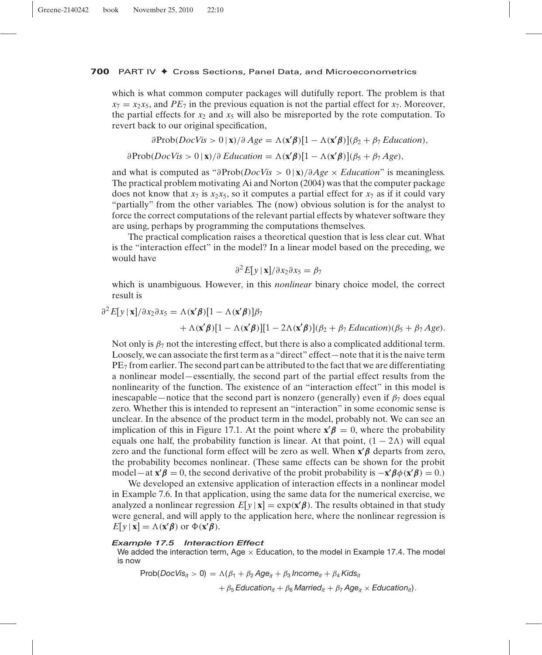which is what common computer packages will dutifully report. The problem is that  $x_7 = x_2x_5$ , and *PE*<sub>7</sub> in the previous equation is not the partial effect for *x*<sub>7</sub>. Moreover, the partial effects for  $x_2$  and  $x_5$  will also be misreported by the rote computation. To revert back to our original specification,

$$
\partial \text{Prob}(DocVis > 0 \mid \mathbf{x}) / \partial Age = \Lambda(\mathbf{x}'\boldsymbol{\beta})[1 - \Lambda(\mathbf{x}'\boldsymbol{\beta})](\beta_2 + \beta_7 Education),
$$
  

$$
\partial \text{Prob}(DocVis > 0 \mid \mathbf{x}) / \partial Education = \Lambda(\mathbf{x}'\boldsymbol{\beta})[1 - \Lambda(\mathbf{x}'\boldsymbol{\beta})](\beta_5 + \beta_7 Age),
$$

and what is computed as "∂Prob(*DocVis* > 0 | **x**)/∂*Age* × *Education*" is meaningless. The practical problem motivating Ai and Norton (2004) was that the computer package does not know that  $x_7$  is  $x_2x_5$ , so it computes a partial effect for  $x_7$  as if it could vary "partially" from the other variables. The (now) obvious solution is for the analyst to force the correct computations of the relevant partial effects by whatever software they are using, perhaps by programming the computations themselves.

The practical complication raises a theoretical question that is less clear cut. What is the "interaction effect" in the model? In a linear model based on the preceding, we would have

$$
\partial^2 E[y \mid \mathbf{x}] / \partial x_2 \partial x_5 = \beta_7
$$

which is unambiguous. However, in this *nonlinear* binary choice model, the correct result is

 $\partial^2 E[y \mid \mathbf{x}] / \partial x_2 \partial x_5 = \Lambda(\mathbf{x}'\boldsymbol{\beta}) [1 - \Lambda(\mathbf{x}'\boldsymbol{\beta})] \beta_7$  $+\Lambda(\mathbf{x}'\boldsymbol{\beta})[1-\Lambda(\mathbf{x}'\boldsymbol{\beta})][1-2\Lambda(\mathbf{x}'\boldsymbol{\beta})](\beta_2+\beta_7 \text{ Education})(\beta_5+\beta_7 \text{Age}).$ 

Not only is  $\beta_7$  not the interesting effect, but there is also a complicated additional term. Loosely, we can associate the first term as a "direct" effect—note that it is the naive term  $PE<sub>7</sub>$  from earlier. The second part can be attributed to the fact that we are differentiating a nonlinear model—essentially, the second part of the partial effect results from the nonlinearity of the function. The existence of an "interaction effect" in this model is inescapable—notice that the second part is nonzero (generally) even if  $\beta_7$  does equal zero. Whether this is intended to represent an "interaction" in some economic sense is unclear. In the absence of the product term in the model, probably not. We can see an implication of this in Figure 17.1. At the point where  $\mathbf{x}'\boldsymbol{\beta} = 0$ , where the probability equals one half, the probability function is linear. At that point,  $(1 - 2\Lambda)$  will equal zero and the functional form effect will be zero as well. When **x-** *β* departs from zero, the probability becomes nonlinear. (These same effects can be shown for the probit model—at  $\mathbf{x}'\boldsymbol{\beta} = 0$ , the second derivative of the probit probability is  $-\mathbf{x}'\boldsymbol{\beta}\phi(\mathbf{x}'\boldsymbol{\beta}) = 0$ .)

We developed an extensive application of interaction effects in a nonlinear model in Example 7.6. In that application, using the same data for the numerical exercise, we analyzed a nonlinear regression  $E[y | x] = \exp(x'\beta)$ . The results obtained in that study were general, and will apply to the application here, where the nonlinear regression is  $E[y | \mathbf{x}] = \Lambda(\mathbf{x}'\boldsymbol{\beta})$  or  $\Phi(\mathbf{x}'\boldsymbol{\beta}).$ 

## *Example 17.5 Interaction Effect*

We added the interaction term, Age  $\times$  Education, to the model in Example 17.4. The model is now

$$
Prob(DocVis_{it} > 0) = \Lambda(\beta_1 + \beta_2 Age_{it} + \beta_3 Income_{it} + \beta_4 kids_{it}
$$
  
+  $\beta_5 Education_{it} + \beta_6 Married_{it} + \beta_7 Age_{it} \times Education_{it})$ .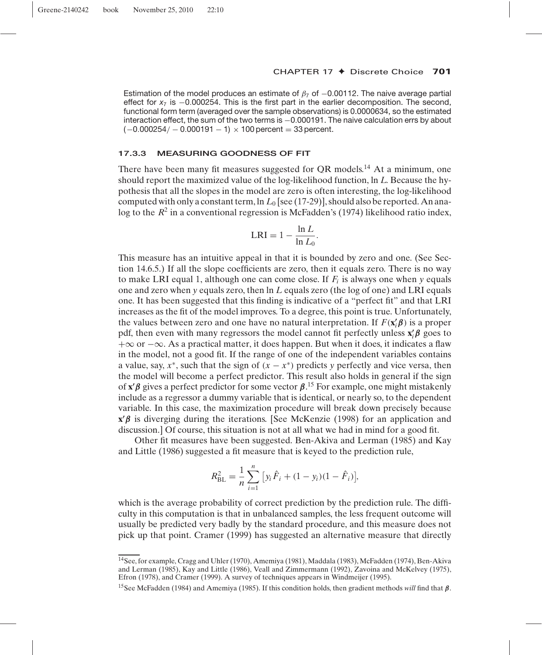Estimation of the model produces an estimate of  $\beta$ <sub>7</sub> of -0.00112. The naive average partial effect for *x*<sub>7</sub> is −0.000254. This is the first part in the earlier decomposition. The second, functional form term (averaged over the sample observations) is 0.0000634, so the estimated interaction effect, the sum of the two terms is −0.000191. The naive calculation errs by about  $(-0.000254/-0.000191-1) \times 100$  percent = 33 percent.

## **17.3.3 MEASURING GOODNESS OF FIT**

There have been many fit measures suggested for QR models.<sup>14</sup> At a minimum, one should report the maximized value of the log-likelihood function, ln *L*. Because the hypothesis that all the slopes in the model are zero is often interesting, the log-likelihood computed with only a constant term,  $\ln L_0$  [see (17-29)], should also be reported. An analog to the  $R^2$  in a conventional regression is McFadden's (1974) likelihood ratio index,

$$
LRI = 1 - \frac{\ln L}{\ln L_0}.
$$

This measure has an intuitive appeal in that it is bounded by zero and one. (See Section 14.6.5.) If all the slope coefficients are zero, then it equals zero. There is no way to make LRI equal 1, although one can come close. If  $F_i$  is always one when  $\nu$  equals one and zero when *y* equals zero, then ln *L* equals zero (the log of one) and LRI equals one. It has been suggested that this finding is indicative of a "perfect fit" and that LRI increases as the fit of the model improves. To a degree, this point is true. Unfortunately, the values between zero and one have no natural interpretation. If  $F(\mathbf{x}'_i \boldsymbol{\beta})$  is a proper pdf, then even with many regressors the model cannot fit perfectly unless **x-** *<sup>i</sup>β* goes to  $+\infty$  or  $-\infty$ . As a practical matter, it does happen. But when it does, it indicates a flaw in the model, not a good fit. If the range of one of the independent variables contains a value, say,  $x^*$ , such that the sign of  $(x - x^*)$  predicts *y* perfectly and vice versa, then the model will become a perfect predictor. This result also holds in general if the sign of **x-** *β* gives a perfect predictor for some vector *β*. <sup>15</sup> For example, one might mistakenly include as a regressor a dummy variable that is identical, or nearly so, to the dependent variable. In this case, the maximization procedure will break down precisely because **x-** *β* is diverging during the iterations. [See McKenzie (1998) for an application and discussion.] Of course, this situation is not at all what we had in mind for a good fit.

Other fit measures have been suggested. Ben-Akiva and Lerman (1985) and Kay and Little (1986) suggested a fit measure that is keyed to the prediction rule,

$$
R_{\rm BL}^2 = \frac{1}{n} \sum_{i=1}^n \left[ y_i \hat{F}_i + (1 - y_i)(1 - \hat{F}_i) \right],
$$

which is the average probability of correct prediction by the prediction rule. The difficulty in this computation is that in unbalanced samples, the less frequent outcome will usually be predicted very badly by the standard procedure, and this measure does not pick up that point. Cramer (1999) has suggested an alternative measure that directly

<sup>14</sup>See, for example, Cragg and Uhler (1970), Amemiya (1981), Maddala (1983), McFadden (1974), Ben-Akiva and Lerman (1985), Kay and Little (1986), Veall and Zimmermann (1992), Zavoina and McKelvey (1975), Efron (1978), and Cramer (1999). A survey of techniques appears in Windmeijer (1995).

<sup>15</sup>See McFadden (1984) and Amemiya (1985). If this condition holds, then gradient methods *will* find that *β*.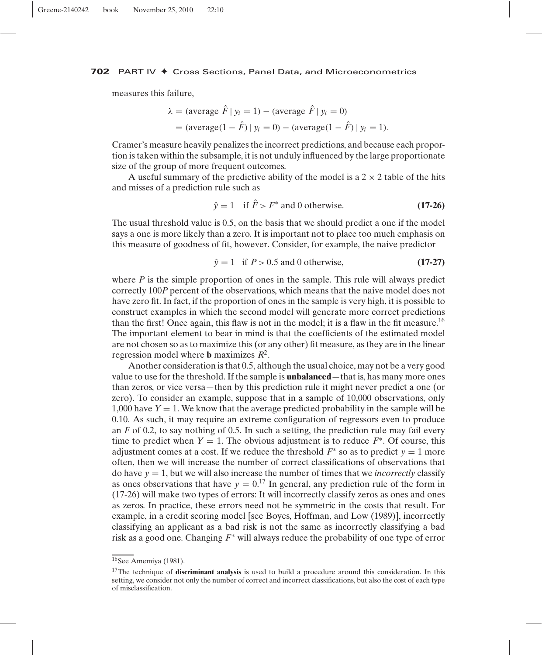measures this failure,

$$
\lambda = (\text{average } \hat{F} \mid y_i = 1) - (\text{average } \hat{F} \mid y_i = 0)
$$
  
= (\text{average}(1 - \hat{F}) \mid y\_i = 0) - (\text{average}(1 - \hat{F}) \mid y\_i = 1).

Cramer's measure heavily penalizes the incorrect predictions, and because each proportion is taken within the subsample, it is not unduly influenced by the large proportionate size of the group of more frequent outcomes.

A useful summary of the predictive ability of the model is a  $2 \times 2$  table of the hits and misses of a prediction rule such as

$$
\hat{y} = 1 \quad \text{if } \hat{F} > F^* \text{ and } 0 \text{ otherwise.} \tag{17-26}
$$

The usual threshold value is 0.5, on the basis that we should predict a one if the model says a one is more likely than a zero. It is important not to place too much emphasis on this measure of goodness of fit, however. Consider, for example, the naive predictor

$$
\hat{y} = 1
$$
 if  $P > 0.5$  and 0 otherwise, (17-27)

where *P* is the simple proportion of ones in the sample. This rule will always predict correctly 100*P* percent of the observations, which means that the naive model does not have zero fit. In fact, if the proportion of ones in the sample is very high, it is possible to construct examples in which the second model will generate more correct predictions than the first! Once again, this flaw is not in the model; it is a flaw in the fit measure.<sup>16</sup> The important element to bear in mind is that the coefficients of the estimated model are not chosen so as to maximize this (or any other) fit measure, as they are in the linear regression model where **b** maximizes  $R^2$ .

Another consideration is that 0.5, although the usual choice, may not be a very good value to use for the threshold. If the sample is **unbalanced**—that is, has many more ones than zeros, or vice versa—then by this prediction rule it might never predict a one (or zero). To consider an example, suppose that in a sample of 10,000 observations, only 1,000 have  $Y = 1$ . We know that the average predicted probability in the sample will be 0.10. As such, it may require an extreme configuration of regressors even to produce an *F* of 0.2, to say nothing of 0.5. In such a setting, the prediction rule may fail every time to predict when  $Y = 1$ . The obvious adjustment is to reduce  $F^*$ . Of course, this adjustment comes at a cost. If we reduce the threshold  $F^*$  so as to predict  $y = 1$  more often, then we will increase the number of correct classifications of observations that do have  $y = 1$ , but we will also increase the number of times that we *incorrectly* classify as ones observations that have  $y = 0.17$  In general, any prediction rule of the form in (17-26) will make two types of errors: It will incorrectly classify zeros as ones and ones as zeros. In practice, these errors need not be symmetric in the costs that result. For example, in a credit scoring model [see Boyes, Hoffman, and Low (1989)], incorrectly classifying an applicant as a bad risk is not the same as incorrectly classifying a bad risk as a good one. Changing *F*<sup>∗</sup> will always reduce the probability of one type of error

 $16$ See Amemiya (1981).

<sup>&</sup>lt;sup>17</sup>The technique of **discriminant analysis** is used to build a procedure around this consideration. In this setting, we consider not only the number of correct and incorrect classifications, but also the cost of each type of misclassification.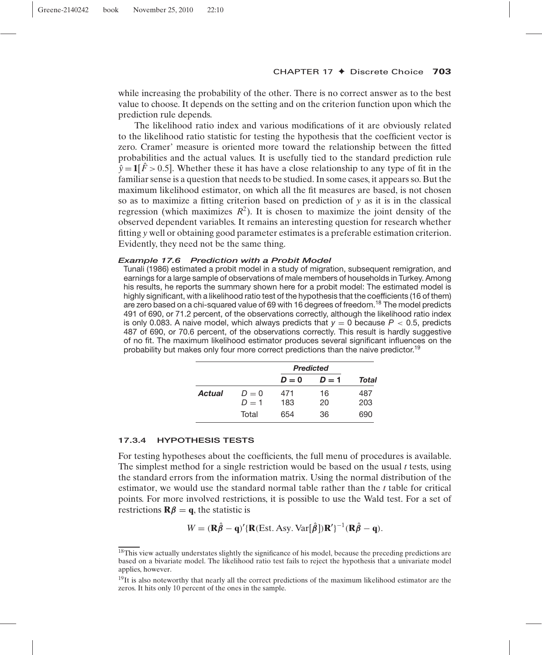while increasing the probability of the other. There is no correct answer as to the best value to choose. It depends on the setting and on the criterion function upon which the prediction rule depends.

The likelihood ratio index and various modifications of it are obviously related to the likelihood ratio statistic for testing the hypothesis that the coefficient vector is zero. Cramer' measure is oriented more toward the relationship between the fitted probabilities and the actual values. It is usefully tied to the standard prediction rule  $\hat{y} = 1/\hat{F} > 0.5$ . Whether these it has have a close relationship to any type of fit in the familiar sense is a question that needs to be studied. In some cases, it appears so. But the maximum likelihood estimator, on which all the fit measures are based, is not chosen so as to maximize a fitting criterion based on prediction of  $y$  as it is in the classical regression (which maximizes  $R^2$ ). It is chosen to maximize the joint density of the observed dependent variables. It remains an interesting question for research whether fitting *y* well or obtaining good parameter estimates is a preferable estimation criterion. Evidently, they need not be the same thing.

## *Example 17.6 Prediction with a Probit Model*

Tunali (1986) estimated a probit model in a study of migration, subsequent remigration, and earnings for a large sample of observations of male members of households in Turkey. Among his results, he reports the summary shown here for a probit model: The estimated model is highly significant, with a likelihood ratio test of the hypothesis that the coefficients (16 of them) are zero based on a chi-squared value of 69 with 16 degrees of freedom.<sup>18</sup> The model predicts 491 of 690, or 71.2 percent, of the observations correctly, although the likelihood ratio index is only 0.083. A naive model, which always predicts that  $v = 0$  because  $P < 0.5$ , predicts 487 of 690, or 70.6 percent, of the observations correctly. This result is hardly suggestive of no fit. The maximum likelihood estimator produces several significant influences on the probability but makes only four more correct predictions than the naive predictor.<sup>19</sup>

|        |       |       | <b>Predicted</b> |       |
|--------|-------|-------|------------------|-------|
|        |       | $D=0$ | $D=1$            | Total |
| Actual | $D=0$ | 471   | 16               | 487   |
|        | $D=1$ | 183   | 20               | 203   |
|        | Total | 654   | 36               | 690   |

## **17.3.4 HYPOTHESIS TESTS**

For testing hypotheses about the coefficients, the full menu of procedures is available. The simplest method for a single restriction would be based on the usual *t* tests, using the standard errors from the information matrix. Using the normal distribution of the estimator, we would use the standard normal table rather than the *t* table for critical points. For more involved restrictions, it is possible to use the Wald test. For a set of restrictions  $\mathbf{R}\boldsymbol{\beta} = \mathbf{q}$ , the statistic is

$$
W = (\mathbf{R}\hat{\boldsymbol{\beta}} - \mathbf{q})' \{ \mathbf{R}(\text{Est. Asy. Var}[\hat{\boldsymbol{\beta}}]) \mathbf{R}' \}^{-1} (\mathbf{R}\hat{\boldsymbol{\beta}} - \mathbf{q}).
$$

<sup>&</sup>lt;sup>18</sup>This view actually understates slightly the significance of his model, because the preceding predictions are based on a bivariate model. The likelihood ratio test fails to reject the hypothesis that a univariate model applies, however.

 $19$ It is also noteworthy that nearly all the correct predictions of the maximum likelihood estimator are the zeros. It hits only 10 percent of the ones in the sample.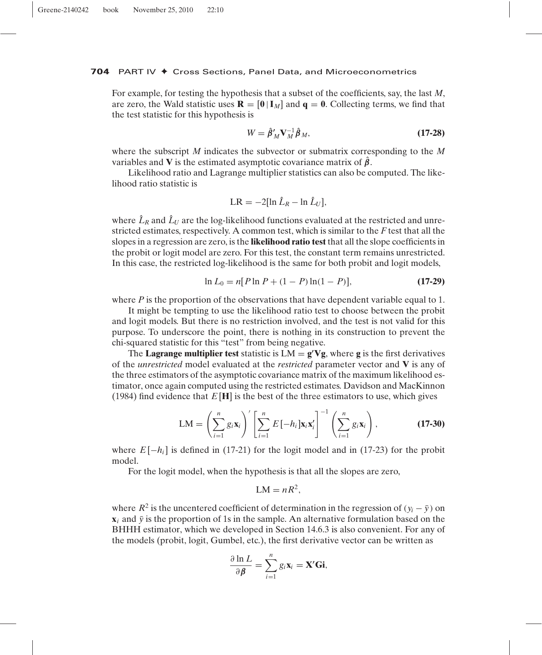For example, for testing the hypothesis that a subset of the coefficients, say, the last *M*, are zero, the Wald statistic uses  $\mathbf{R} = \begin{bmatrix} 0 & \mathbf{I}_M \end{bmatrix}$  and  $\mathbf{q} = 0$ . Collecting terms, we find that the test statistic for this hypothesis is

$$
W = \hat{\beta}'_M \mathbf{V}_M^{-1} \hat{\beta}_M, \tag{17-28}
$$

where the subscript *M* indicates the subvector or submatrix corresponding to the *M* variables and **V** is the estimated asymptotic covariance matrix of  $\hat{\beta}$ .

Likelihood ratio and Lagrange multiplier statistics can also be computed. The likelihood ratio statistic is

$$
LR = -2[\ln \hat{L}_R - \ln \hat{L}_U],
$$

where  $\hat{L}_R$  and  $\hat{L}_U$  are the log-likelihood functions evaluated at the restricted and unrestricted estimates, respectively. A common test, which is similar to the *F* test that all the slopes in a regression are zero, is the **likelihood ratio test** that all the slope coefficients in the probit or logit model are zero. For this test, the constant term remains unrestricted. In this case, the restricted log-likelihood is the same for both probit and logit models,

$$
\ln L_0 = n[P \ln P + (1 - P) \ln(1 - P)],\tag{17-29}
$$

where *P* is the proportion of the observations that have dependent variable equal to 1.

It might be tempting to use the likelihood ratio test to choose between the probit and logit models. But there is no restriction involved, and the test is not valid for this purpose. To underscore the point, there is nothing in its construction to prevent the chi-squared statistic for this "test" from being negative.

The **Lagrange multiplier test** statistic is  $LM = g'Vg$ , where g is the first derivatives of the *unrestricted* model evaluated at the *restricted* parameter vector and **V** is any of the three estimators of the asymptotic covariance matrix of the maximum likelihood estimator, once again computed using the restricted estimates. Davidson and MacKinnon (1984) find evidence that  $E[\mathbf{H}]$  is the best of the three estimators to use, which gives

$$
LM = \left(\sum_{i=1}^{n} g_i \mathbf{x}_i\right)' \left[\sum_{i=1}^{n} E\left[-h_i\right] \mathbf{x}_i \mathbf{x}'_i\right]^{-1} \left(\sum_{i=1}^{n} g_i \mathbf{x}_i\right),\tag{17-30}
$$

where  $E[-h_i]$  is defined in (17-21) for the logit model and in (17-23) for the probit model.

For the logit model, when the hypothesis is that all the slopes are zero,

$$
LM = nR^2,
$$

where  $R^2$  is the uncentered coefficient of determination in the regression of  $(y_i - \bar{y})$  on  $\bf{x}$ *i* and  $\bar{v}$  is the proportion of 1s in the sample. An alternative formulation based on the BHHH estimator, which we developed in Section 14.6.3 is also convenient. For any of the models (probit, logit, Gumbel, etc.), the first derivative vector can be written as

$$
\frac{\partial \ln L}{\partial \beta} = \sum_{i=1}^n g_i \mathbf{x}_i = \mathbf{X}' \mathbf{Gi},
$$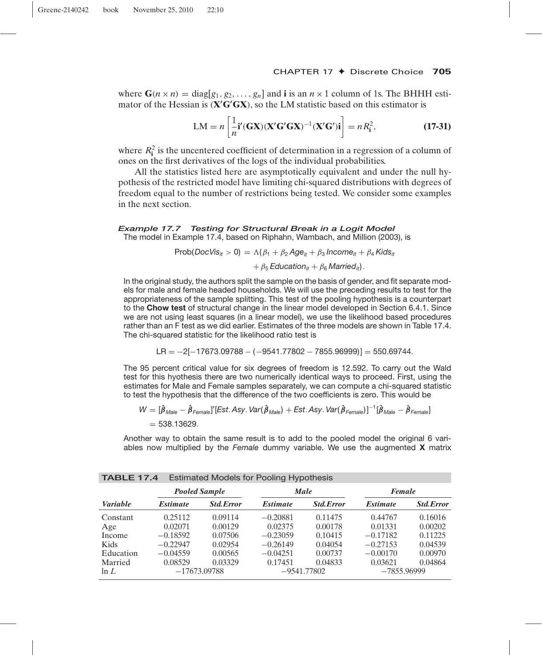where  $G(n \times n) = \text{diag}[g_1, g_2, \dots, g_n]$  and **i** is an  $n \times 1$  column of 1s. The BHHH estimator of the Hessian is (**X<sup>'</sup>G'GX**), so the LM statistic based on this estimator is

$$
LM = n\left[\frac{1}{n}\mathbf{i}'(\mathbf{G}\mathbf{X})(\mathbf{X}'\mathbf{G}'\mathbf{G}\mathbf{X})^{-1}(\mathbf{X}'\mathbf{G}')\mathbf{i}\right] = nR_{\mathbf{i}}^2,
$$
\n(17-31)

where  $R_i^2$  is the uncentered coefficient of determination in a regression of a column of ones on the first derivatives of the logs of the individual probabilities.

All the statistics listed here are asymptotically equivalent and under the null hypothesis of the restricted model have limiting chi-squared distributions with degrees of freedom equal to the number of restrictions being tested. We consider some examples in the next section.

*Example 17.7 Testing for Structural Break in a Logit Model* The model in Example 17.4, based on Riphahn, Wambach, and Million (2003), is

$$
Prob(DocVis_{it} > 0) = \Lambda(\beta_1 + \beta_2 Age_{it} + \beta_3 Income_{it} + \beta_4 Kids_{it} + \beta_5 Education_{it} + \beta_6 Married_{it}).
$$

In the original study, the authors split the sample on the basis of gender, and fit separate models for male and female headed households. We will use the preceding results to test for the appropriateness of the sample splitting. This test of the pooling hypothesis is a counterpart to the **Chow test** of structural change in the linear model developed in Section 6.4.1. Since we are not using least squares (in a linear model), we use the likelihood based procedures rather than an F test as we did earlier. Estimates of the three models are shown in Table 17.4. The chi-squared statistic for the likelihood ratio test is

LR =  $-2[-17673.09788 - (-9541.77802 - 7855.96999)] = 550.69744$ .

The 95 percent critical value for six degrees of freedom is 12.592. To carry out the Wald test for this hyothesis there are two numerically identical ways to proceed. First, using the estimates for Male and Female samples separately, we can compute a chi-squared statistic to test the hypothesis that the difference of the two coefficients is zero. This would be

$$
W = [\hat{\beta}_{Male} - \hat{\beta}_{Female}]'[Est. Asy. Var(\hat{\beta}_{Male}) + Est. Asy. Var(\hat{\beta}_{Female})]^{-1}[\hat{\beta}_{Male} - \hat{\beta}_{Female}]
$$
  
= 538.13629.

Another way to obtain the same result is to add to the pooled model the original 6 variables now multiplied by the *Female* dummy variable. We use the augmented **X** matrix

| <b>Estimated Models for Pooling Hypothesis</b><br><b>TABLE 17.4</b> |                      |                  |                 |                  |                 |                  |  |  |  |
|---------------------------------------------------------------------|----------------------|------------------|-----------------|------------------|-----------------|------------------|--|--|--|
|                                                                     | <b>Pooled Sample</b> |                  |                 | Male             | <b>Female</b>   |                  |  |  |  |
| Variable                                                            | <b>Estimate</b>      | <b>Std.Error</b> | <b>Estimate</b> | <b>Std.Error</b> | <b>Estimate</b> | <b>Std.Error</b> |  |  |  |
| Constant                                                            | 0.25112              | 0.09114          | $-0.20881$      | 0.11475          | 0.44767         | 0.16016          |  |  |  |
| Age                                                                 | 0.02071              | 0.00129          | 0.02375         | 0.00178          | 0.01331         | 0.00202          |  |  |  |
| Income                                                              | $-0.18592$           | 0.07506          | $-0.23059$      | 0.10415          | $-0.17182$      | 0.11225          |  |  |  |
| Kids                                                                | $-0.22947$           | 0.02954          | $-0.26149$      | 0.04054          | $-0.27153$      | 0.04539          |  |  |  |
| Education                                                           | $-0.04559$           | 0.00565          | $-0.04251$      | 0.00737          | $-0.00170$      | 0.00970          |  |  |  |
| Married                                                             | 0.08529              | 0.03329          | 0.17451         | 0.04833          | 0.03621         | 0.04864          |  |  |  |
| $\ln L$                                                             | $-17673.09788$       |                  |                 | $-9541.77802$    | $-7855.96999$   |                  |  |  |  |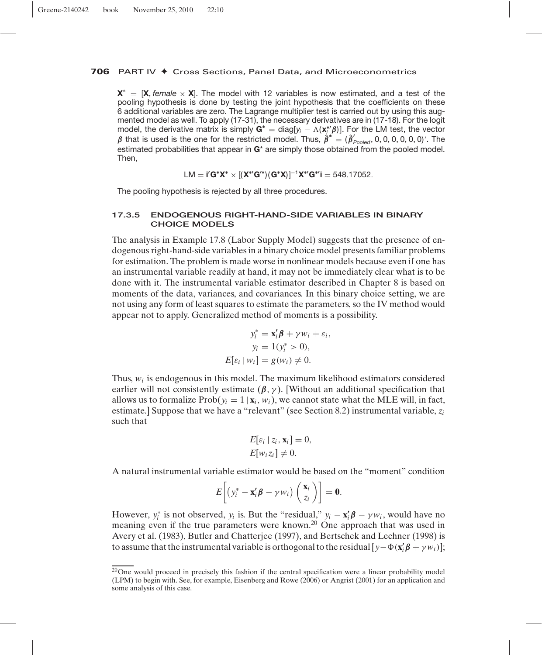**X**<sup>∗</sup> = [**X**, *female* × **X**]. The model with 12 variables is now estimated, and a test of the pooling hypothesis is done by testing the joint hypothesis that the coefficients on these 6 additional variables are zero. The Lagrange multiplier test is carried out by using this augmented model as well. To apply (17-31), the necessary derivatives are in (17-18). For the logit model, the derivative matrix is simply **G<sup>∗</sup>** = diag[*yi* − (**x∗-** *<sup>i</sup> β*)]. For the LM test, the vector *β* that is used is the one for the restricted model. Thus,  $\hat{\beta}^* = (\hat{\beta}_{Pooled}^{\prime}, 0, 0, 0, 0, 0, 0)^{\prime}$ . The estimated probabilities that appear in **G**\* are simply those obtained from the pooled model. Then,

$$
LM = i'G^*X^* \times [(X^{*'}G'^*)(G^*X)]^{-1}X^{*'}G^{*'}i = 548.17052.
$$

The pooling hypothesis is rejected by all three procedures.

# **17.3.5 ENDOGENOUS RIGHT-HAND-SIDE VARIABLES IN BINARY CHOICE MODELS**

The analysis in Example 17.8 (Labor Supply Model) suggests that the presence of endogenous right-hand-side variables in a binary choice model presents familiar problems for estimation. The problem is made worse in nonlinear models because even if one has an instrumental variable readily at hand, it may not be immediately clear what is to be done with it. The instrumental variable estimator described in Chapter 8 is based on moments of the data, variances, and covariances. In this binary choice setting, we are not using any form of least squares to estimate the parameters, so the IV method would appear not to apply. Generalized method of moments is a possibility.

$$
y_i^* = \mathbf{x}_i' \boldsymbol{\beta} + \gamma w_i + \varepsilon_i,
$$
  
\n
$$
y_i = 1(y_i^* > 0),
$$
  
\n
$$
E[\varepsilon_i | w_i] = g(w_i) \neq 0.
$$

Thus,  $w_i$  is endogenous in this model. The maximum likelihood estimators considered earlier will not consistently estimate  $(\beta, \gamma)$ . [Without an additional specification that allows us to formalize  $\text{Prob}(y_i = 1 | \mathbf{x}_i, w_i)$ , we cannot state what the MLE will, in fact, estimate.] Suppose that we have a "relevant" (see Section 8.2) instrumental variable, *zi* such that

$$
E[\varepsilon_i \mid z_i, \mathbf{x}_i] = 0,
$$
  

$$
E[w_i z_i] \neq 0.
$$

A natural instrumental variable estimator would be based on the "moment" condition

$$
E\bigg[\big(y_i^* - \mathbf{x}_i'\boldsymbol{\beta} - \gamma w_i\big)\begin{pmatrix} \mathbf{x}_i \\ z_i \end{pmatrix}\bigg] = \mathbf{0}.
$$

However,  $y_i^*$  is not observed,  $y_i$  is. But the "residual,"  $y_i - \mathbf{x}_i' \boldsymbol{\beta} - \gamma w_i$ , would have no meaning even if the true parameters were known.<sup>20</sup> One approach that was used in Avery et al. (1983), Butler and Chatterjee (1997), and Bertschek and Lechner (1998) is to assume that the instrumental variable is orthogonal to the residual  $[y - \Phi(\mathbf{x}_i' \boldsymbol{\beta} + \gamma w_i)]$ ;

 $20$ One would proceed in precisely this fashion if the central specification were a linear probability model (LPM) to begin with. See, for example, Eisenberg and Rowe (2006) or Angrist (2001) for an application and some analysis of this case.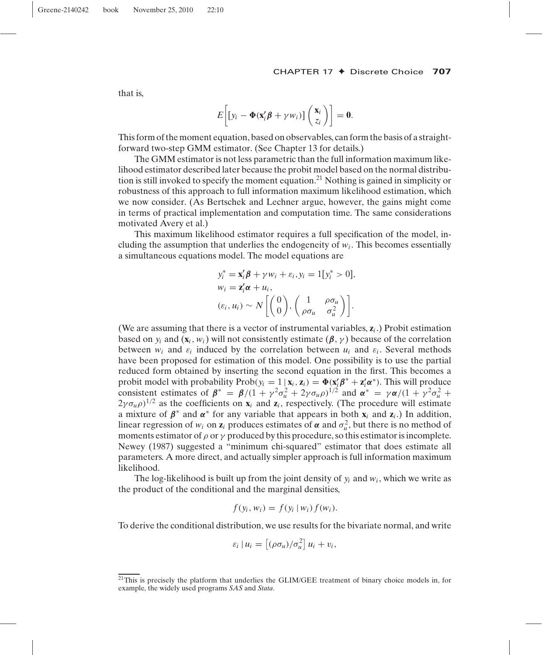that is,

$$
E\bigg[\big[y_i - \Phi(\mathbf{x}_i'\boldsymbol{\beta} + \gamma w_i)\big]\begin{pmatrix} \mathbf{x}_i \\ z_i \end{pmatrix}\bigg] = \mathbf{0}.
$$

This form of the moment equation, based on observables, can form the basis of a straightforward two-step GMM estimator. (See Chapter 13 for details.)

The GMM estimator is not less parametric than the full information maximum likelihood estimator described later because the probit model based on the normal distribution is still invoked to specify the moment equation.<sup>21</sup> Nothing is gained in simplicity or robustness of this approach to full information maximum likelihood estimation, which we now consider. (As Bertschek and Lechner argue, however, the gains might come in terms of practical implementation and computation time. The same considerations motivated Avery et al.)

This maximum likelihood estimator requires a full specification of the model, including the assumption that underlies the endogeneity of  $w_i$ . This becomes essentially a simultaneous equations model. The model equations are

$$
y_i^* = \mathbf{x}_i' \boldsymbol{\beta} + \gamma w_i + \varepsilon_i, y_i = 1[y_i^* > 0],
$$
  
\n
$$
w_i = \mathbf{z}_i' \boldsymbol{\alpha} + u_i,
$$
  
\n
$$
(\varepsilon_i, u_i) \sim N \left[ \begin{pmatrix} 0 \\ 0 \end{pmatrix}, \begin{pmatrix} 1 & \rho \sigma_u \\ \rho \sigma_u & \sigma_u^2 \end{pmatrix} \right].
$$

(We are assuming that there is a vector of instrumental variables, **z***<sup>i</sup>* .) Probit estimation based on  $y_i$  and  $(\mathbf{x}_i, w_i)$  will not consistently estimate  $(\boldsymbol{\beta}, \gamma)$  because of the correlation between  $w_i$  and  $\varepsilon_i$  induced by the correlation between  $u_i$  and  $\varepsilon_i$ . Several methods have been proposed for estimation of this model. One possibility is to use the partial reduced form obtained by inserting the second equation in the first. This becomes a probit model with probability  $\text{Prob}(y_i = 1 | \mathbf{x}_i, \mathbf{z}_i) = \Phi(\mathbf{x}_i' \boldsymbol{\beta}^* + \mathbf{z}_i' \boldsymbol{\alpha}^*)$ . This will produce consistent estimates of  $\beta^* = \beta/(1 + \gamma^2 \sigma_u^2 + 2\gamma \sigma_u \rho)^{1/2}$  and  $\alpha^* = \gamma \alpha/(1 + \gamma^2 \sigma_u^2 + 2\gamma \sigma_u \rho)^{1/2}$  $2\gamma\sigma_{\mu}\rho$ <sup>1/2</sup> as the coefficients on  $\mathbf{x}_i$  and  $\mathbf{z}_i$ , respectively. (The procedure will estimate a mixture of *β*<sup>∗</sup> and *α*<sup>∗</sup> for any variable that appears in both **x***<sup>i</sup>* and **z***<sup>i</sup>* .) In addition, linear regression of  $w_i$  on  $z_i$  produces estimates of  $\alpha$  and  $\sigma_u^2$ , but there is no method of moments estimator of  $\rho$  or  $\gamma$  produced by this procedure, so this estimator is incomplete. Newey (1987) suggested a "minimum chi-squared" estimator that does estimate all parameters. A more direct, and actually simpler approach is full information maximum likelihood.

The log-likelihood is built up from the joint density of  $y_i$  and  $w_i$ , which we write as the product of the conditional and the marginal densities,

$$
f(y_i, w_i) = f(y_i | w_i) f(w_i).
$$

To derive the conditional distribution, we use results for the bivariate normal, and write

$$
\varepsilon_i \, | \, u_i = \left[ (\rho \sigma_u) / \sigma_u^2 \right] u_i + v_i,
$$

 $^{21}$ This is precisely the platform that underlies the GLIM/GEE treatment of binary choice models in, for example, the widely used programs *SAS* and *Stata*.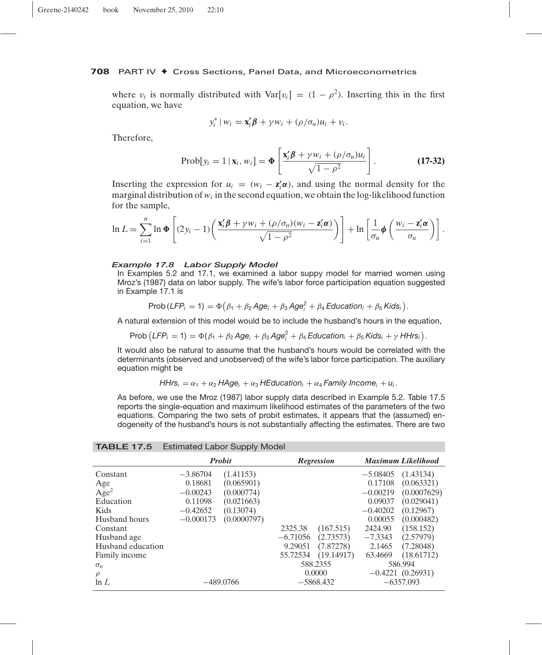where  $v_i$  is normally distributed with  $Var[v_i] = (1 - \rho^2)$ . Inserting this in the first equation, we have

$$
y_i^* | w_i = \mathbf{x}_i' \boldsymbol{\beta} + \gamma w_i + (\rho/\sigma_u)u_i + v_i.
$$

Therefore,

$$
Prob[y_i = 1 | \mathbf{x}_i, w_i] = \Phi\left[\frac{\mathbf{x}_i'\boldsymbol{\beta} + \gamma w_i + (\rho/\sigma_u)u_i}{\sqrt{1-\rho^2}}\right].
$$
 (17-32)

Inserting the expression for  $u_i = (w_i - \mathbf{z}_i^{\prime} \boldsymbol{\alpha})$ , and using the normal density for the marginal distribution of  $w_i$  in the second equation, we obtain the log-likelihood function for the sample,

$$
\ln L = \sum_{i=1}^{n} \ln \Phi \left[ (2y_i - 1) \left( \frac{\mathbf{x}_i' \boldsymbol{\beta} + \gamma w_i + (\rho/\sigma_u)(w_i - \mathbf{z}_i' \boldsymbol{\alpha})}{\sqrt{1 - \rho^2}} \right) \right] + \ln \left[ \frac{1}{\sigma_u} \boldsymbol{\phi} \left( \frac{w_i - \mathbf{z}_i' \boldsymbol{\alpha}}{\sigma_u} \right) \right].
$$

#### *Example 17.8 Labor Supply Model*

In Examples 5.2 and 17.1, we examined a labor suppy model for married women using Mroz's (1987) data on labor supply. The wife's labor force participation equation suggested in Example 17.1 is

$$
\text{Prob}\left(\text{LFP}_i=1\right)=\Phi\left(\beta_1+\beta_2\text{Age}_i+\beta_3\text{Age}_i^2+\beta_4\text{Education}_i+\beta_5\text{Kids}_i\right).
$$

A natural extension of this model would be to include the husband's hours in the equation,

$$
\text{Prob}\left(\text{LFP}_i=1\right)=\Phi(\beta_1+\beta_2 \text{Age}_i+\beta_3 \text{Age}_i^2+\beta_4 \text{Education}_i+\beta_5 \text{Kids}_i+\gamma \text{ HHrs}_i\right).
$$

It would also be natural to assume that the husband's hours would be correlated with the determinants (observed and unobserved) of the wife's labor force participation. The auxiliary equation might be

$$
HHrs_i = \alpha_1 + \alpha_2 HAge_i + \alpha_3 HEducation_i + \alpha_4 Family Income_i + u_i.
$$

As before, we use the Mroz (1987) labor supply data described in Example 5.2. Table 17.5 reports the single-equation and maximum likelihood estimates of the parameters of the two equations. Comparing the two sets of probit estimates, it appears that the (assumed) endogeneity of the husband's hours is not substantially affecting the estimates. There are two

| <b>TABLE 17.5</b> | <b>Estimated Labor Supply Model</b> |                         |            |                   |                       |                           |  |
|-------------------|-------------------------------------|-------------------------|------------|-------------------|-----------------------|---------------------------|--|
|                   |                                     | <b>Probit</b>           |            | <b>Regression</b> |                       | <b>Maximum Likelihood</b> |  |
| Constant<br>Age   | $-3.86704$<br>0.18681               | (1.41153)<br>(0.065901) |            |                   | $-5.08405$<br>0.17108 | (1.43134)<br>(0.063321)   |  |
| Age <sup>2</sup>  | $-0.00243$                          | (0.000774)              |            |                   | $-0.00219$            | (0.0007629)               |  |
| Education         | 0.11098                             | (0.021663)              |            |                   | 0.09037               | (0.029041)                |  |
| Kids              | $-0.42652$                          | (0.13074)               |            |                   | $-0.40202$            | (0.12967)                 |  |
| Husband hours     | $-0.000173$                         | (0.0000797)             |            |                   | 0.00055               | (0.000482)                |  |
| Constant          |                                     |                         | 2325.38    | (167.515)         | 2424.90               | (158.152)                 |  |
| Husband age       |                                     |                         | $-6.71056$ | (2.73573)         | $-7.3343$             | (2.57979)                 |  |
| Husband education |                                     |                         | 9.29051    | (7.87278)         | 2.1465                | (7.28048)                 |  |
| Family income     |                                     |                         | 55.72534   | (19.14917)        | 63.4669               | (18.61712)                |  |
| $\sigma_{\mu}$    |                                     |                         |            | 588.2355          |                       | 586.994                   |  |
| $\mathcal{L}$     |                                     |                         |            | 0.0000            |                       | $-0.4221(0.26931)$        |  |
| $\ln L$           |                                     | $-489.0766$             |            | $-5868.432$       |                       | $-6357.093$               |  |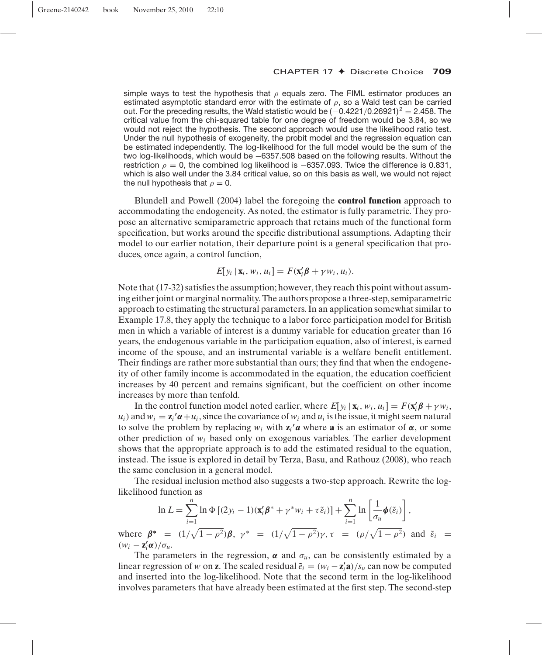simple ways to test the hypothesis that  $\rho$  equals zero. The FIML estimator produces an estimated asymptotic standard error with the estimate of  $\rho$ , so a Wald test can be carried out. For the preceding results, the Wald statistic would be  $(-0.4221/0.26921)^2 = 2.458$ . The critical value from the chi-squared table for one degree of freedom would be 3.84, so we would not reject the hypothesis. The second approach would use the likelihood ratio test. Under the null hypothesis of exogeneity, the probit model and the regression equation can be estimated independently. The log-likelihood for the full model would be the sum of the two log-likelihoods, which would be −6357.508 based on the following results. Without the restriction  $\rho = 0$ , the combined log likelihood is −6357.093. Twice the difference is 0.831, which is also well under the 3.84 critical value, so on this basis as well, we would not reject the null hypothesis that  $\rho = 0$ .

Blundell and Powell (2004) label the foregoing the **control function** approach to accommodating the endogeneity. As noted, the estimator is fully parametric. They propose an alternative semiparametric approach that retains much of the functional form specification, but works around the specific distributional assumptions. Adapting their model to our earlier notation, their departure point is a general specification that produces, once again, a control function,

$$
E[y_i | \mathbf{x}_i, w_i, u_i] = F(\mathbf{x}'_i \boldsymbol{\beta} + \gamma w_i, u_i).
$$

Note that (17-32) satisfies the assumption; however, they reach this point without assuming either joint or marginal normality. The authors propose a three-step, semiparametric approach to estimating the structural parameters. In an application somewhat similar to Example 17.8, they apply the technique to a labor force participation model for British men in which a variable of interest is a dummy variable for education greater than 16 years, the endogenous variable in the participation equation, also of interest, is earned income of the spouse, and an instrumental variable is a welfare benefit entitlement. Their findings are rather more substantial than ours; they find that when the endogeneity of other family income is accommodated in the equation, the education coefficient increases by 40 percent and remains significant, but the coefficient on other income increases by more than tenfold.

In the control function model noted earlier, where  $E[y_i | \mathbf{x}_i, w_i, u_i] = F(\mathbf{x}_i' \boldsymbol{\beta} + \gamma w_i)$ *u<sub>i</sub>*) and  $w_i = \mathbf{z}_i / \mathbf{\alpha} + u_i$ , since the covariance of  $w_i$  and  $u_i$  is the issue, it might seem natural to solve the problem by replacing  $w_i$  with  $z_i/a$  where a is an estimator of  $\alpha$ , or some other prediction of *wi* based only on exogenous variables. The earlier development shows that the appropriate approach is to add the estimated residual to the equation, instead. The issue is explored in detail by Terza, Basu, and Rathouz (2008), who reach the same conclusion in a general model.

The residual inclusion method also suggests a two-step approach. Rewrite the loglikelihood function as

$$
\ln L = \sum_{i=1}^{n} \ln \Phi \left[ (2y_i - 1)(\mathbf{x}_i' \boldsymbol{\beta}^* + \gamma^* w_i + \tau \tilde{\varepsilon}_i) \right] + \sum_{i=1}^{n} \ln \left[ \frac{1}{\sigma_u} \boldsymbol{\phi}(\tilde{\varepsilon}_i) \right],
$$
  
where  $\boldsymbol{\beta}^* = (1/\sqrt{1-\rho^2})\boldsymbol{\beta}, \ \gamma^* = (1/\sqrt{1-\rho^2})\gamma, \ \tau = (\rho/\sqrt{1-\rho^2})$  and  $\tilde{\varepsilon}_i = (\rho/\sqrt{1-\rho^2})$ 

 $(w_i - \mathbf{z}_i' \boldsymbol{\alpha})/\sigma_u$ . The parameters in the regression,  $\alpha$  and  $\sigma_{\mu}$ , can be consistently estimated by a linear regression of *w* on **z**. The scaled residual  $\tilde{e}_i = (w_i - \mathbf{z}_i' \mathbf{a})/s_u$  can now be computed and inserted into the log-likelihood. Note that the second term in the log-likelihood involves parameters that have already been estimated at the first step. The second-step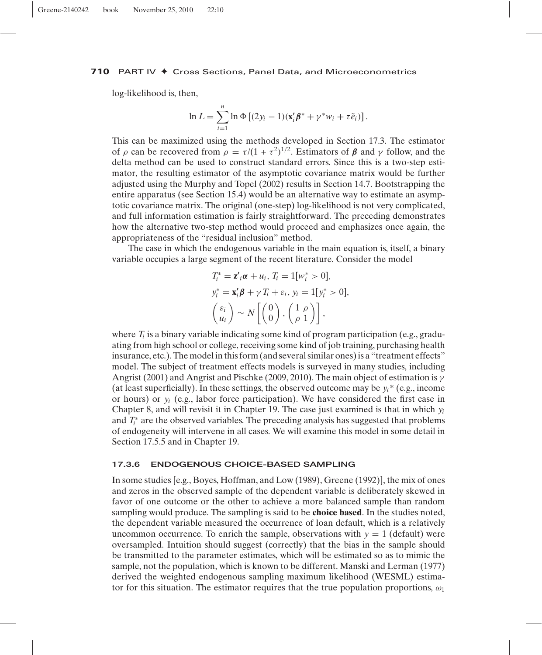log-likelihood is, then,

$$
\ln L = \sum_{i=1}^{n} \ln \Phi \left[ (2y_i - 1)(\mathbf{x}_i' \boldsymbol{\beta}^* + \gamma^* w_i + \tau \tilde{e}_i) \right].
$$

This can be maximized using the methods developed in Section 17.3. The estimator of  $\rho$  can be recovered from  $\rho = \tau/(1 + \tau^2)^{1/2}$ . Estimators of  $\beta$  and  $\gamma$  follow, and the delta method can be used to construct standard errors. Since this is a two-step estimator, the resulting estimator of the asymptotic covariance matrix would be further adjusted using the Murphy and Topel (2002) results in Section 14.7. Bootstrapping the entire apparatus (see Section 15.4) would be an alternative way to estimate an asymptotic covariance matrix. The original (one-step) log-likelihood is not very complicated, and full information estimation is fairly straightforward. The preceding demonstrates how the alternative two-step method would proceed and emphasizes once again, the appropriateness of the "residual inclusion" method.

The case in which the endogenous variable in the main equation is, itself, a binary variable occupies a large segment of the recent literature. Consider the model

$$
T_i^* = \mathbf{z}'_i \boldsymbol{\alpha} + u_i, T_i = 1[w_i^* > 0],
$$
  
\n
$$
y_i^* = \mathbf{x}'_i \boldsymbol{\beta} + \gamma T_i + \varepsilon_i, y_i = 1[y_i^* > 0],
$$
  
\n
$$
\begin{pmatrix} \varepsilon_i \\ u_i \end{pmatrix} \sim N \begin{bmatrix} 0 \\ 0 \end{bmatrix}, \begin{pmatrix} 1 & \rho \\ \rho & 1 \end{pmatrix} ,
$$

where  $T_i$  is a binary variable indicating some kind of program participation (e.g., graduating from high school or college, receiving some kind of job training, purchasing health insurance, etc.). The model in this form (and several similar ones) is a "treatment effects" model. The subject of treatment effects models is surveyed in many studies, including Angrist (2001) and Angrist and Pischke (2009, 2010). The main object of estimation is  $\gamma$ (at least superficially). In these settings, the observed outcome may be  $y_i^*$  (e.g., income or hours) or  $y_i$  (e.g., labor force participation). We have considered the first case in Chapter 8, and will revisit it in Chapter 19. The case just examined is that in which  $y_i$ and *T*<sup>∗</sup> *<sup>i</sup>* are the observed variables. The preceding analysis has suggested that problems of endogeneity will intervene in all cases. We will examine this model in some detail in Section 17.5.5 and in Chapter 19.

## **17.3.6 ENDOGENOUS CHOICE-BASED SAMPLING**

In some studies [e.g., Boyes, Hoffman, and Low (1989), Greene (1992)], the mix of ones and zeros in the observed sample of the dependent variable is deliberately skewed in favor of one outcome or the other to achieve a more balanced sample than random sampling would produce. The sampling is said to be **choice based**. In the studies noted, the dependent variable measured the occurrence of loan default, which is a relatively uncommon occurrence. To enrich the sample, observations with  $y = 1$  (default) were oversampled. Intuition should suggest (correctly) that the bias in the sample should be transmitted to the parameter estimates, which will be estimated so as to mimic the sample, not the population, which is known to be different. Manski and Lerman (1977) derived the weighted endogenous sampling maximum likelihood (WESML) estimator for this situation. The estimator requires that the true population proportions,  $\omega_1$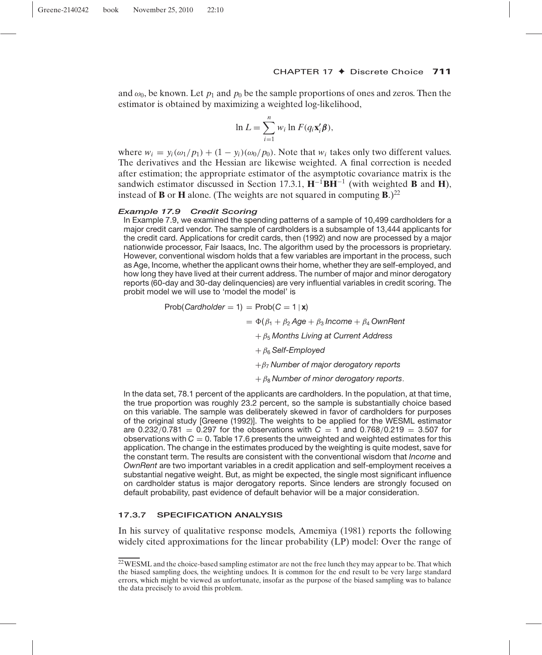and  $\omega_0$ , be known. Let  $p_1$  and  $p_0$  be the sample proportions of ones and zeros. Then the estimator is obtained by maximizing a weighted log-likelihood,

$$
\ln L = \sum_{i=1}^{n} w_i \ln F(q_i \mathbf{x}'_i \boldsymbol{\beta}),
$$

where  $w_i = y_i(\omega_1/p_1) + (1 - y_i)(\omega_0/p_0)$ . Note that  $w_i$  takes only two different values. The derivatives and the Hessian are likewise weighted. A final correction is needed after estimation; the appropriate estimator of the asymptotic covariance matrix is the sandwich estimator discussed in Section 17.3.1,  $H^{-1}BH^{-1}$  (with weighted **B** and **H**), instead of **B** or **H** alone. (The weights are not squared in computing  $\mathbf{B}$ .)<sup>22</sup>

## *Example 17.9 Credit Scoring*

In Example 7.9, we examined the spending patterns of a sample of 10,499 cardholders for a major credit card vendor. The sample of cardholders is a subsample of 13,444 applicants for the credit card. Applications for credit cards, then (1992) and now are processed by a major nationwide processor, Fair Isaacs, Inc. The algorithm used by the processors is proprietary. However, conventional wisdom holds that a few variables are important in the process, such as Age, Income, whether the applicant owns their home, whether they are self-employed, and how long they have lived at their current address. The number of major and minor derogatory reports (60-day and 30-day delinquencies) are very influential variables in credit scoring. The probit model we will use to 'model the model' is

Prob(Cardholder = 1) = Prob(C = 1 | x)

\n
$$
= \Phi(\beta_1 + \beta_2 Age + \beta_3 Income + \beta_4 OwnRent + \beta_5 Monthly at Current Address + \beta_6 Self-Employee + \beta_7 Number of major directory reports
$$

+ β<sup>8</sup> *Number of minor derogatory reports*.

In the data set, 78.1 percent of the applicants are cardholders. In the population, at that time, the true proportion was roughly 23.2 percent, so the sample is substantially choice based on this variable. The sample was deliberately skewed in favor of cardholders for purposes of the original study [Greene (1992)]. The weights to be applied for the WESML estimator are  $0.232/0.781 = 0.297$  for the observations with  $C = 1$  and  $0.768/0.219 = 3.507$  for observations with  $C = 0$ . Table 17.6 presents the unweighted and weighted estimates for this application. The change in the estimates produced by the weighting is quite modest, save for the constant term. The results are consistent with the conventional wisdom that *Income* and *OwnRent* are two important variables in a credit application and self-employment receives a substantial negative weight. But, as might be expected, the single most significant influence on cardholder status is major derogatory reports. Since lenders are strongly focused on default probability, past evidence of default behavior will be a major consideration.

## **17.3.7 SPECIFICATION ANALYSIS**

In his survey of qualitative response models, Amemiya (1981) reports the following widely cited approximations for the linear probability (LP) model: Over the range of

 $22WESML$  and the choice-based sampling estimator are not the free lunch they may appear to be. That which the biased sampling does, the weighting undoes. It is common for the end result to be very large standard errors, which might be viewed as unfortunate, insofar as the purpose of the biased sampling was to balance the data precisely to avoid this problem.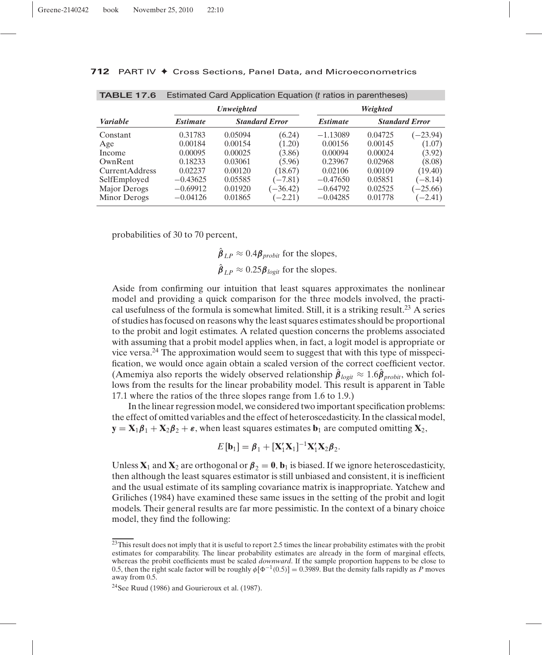|                       |                 | <b>Unweighted</b>     |            | Weighted        |         |                       |  |
|-----------------------|-----------------|-----------------------|------------|-----------------|---------|-----------------------|--|
| Variable              | <b>Estimate</b> | <b>Standard Error</b> |            | <b>Estimate</b> |         | <b>Standard Error</b> |  |
| Constant              | 0.31783         | 0.05094               | (6.24)     | $-1.13089$      | 0.04725 | $(-23.94)$            |  |
| Age                   | 0.00184         | 0.00154               | (1.20)     | 0.00156         | 0.00145 | (1.07)                |  |
| Income                | 0.00095         | 0.00025               | (3.86)     | 0.00094         | 0.00024 | (3.92)                |  |
| OwnRent               | 0.18233         | 0.03061               | (5.96)     | 0.23967         | 0.02968 | (8.08)                |  |
| <b>CurrentAddress</b> | 0.02237         | 0.00120               | (18.67)    | 0.02106         | 0.00109 | (19.40)               |  |
| SelfEmployed          | $-0.43625$      | 0.05585               | $(-7.81)$  | $-0.47650$      | 0.05851 | $-8.14)$              |  |
| Major Derogs          | $-0.69912$      | 0.01920               | $(-36.42)$ | $-0.64792$      | 0.02525 | $-25.66$              |  |
| Minor Derogs          | $-0.04126$      | 0.01865               | $-2.21$    | $-0.04285$      | 0.01778 | $-2.41)$              |  |

**TABLE 17.6** Estimated Card Application Equation (*t* ratios in parentheses)

probabilities of 30 to 70 percent,

 $\hat{\boldsymbol{\beta}}_{LP} \approx 0.4 \boldsymbol{\beta}_{probit}$  for the slopes,  $\hat{\boldsymbol{\beta}}_{LP} \approx 0.25 \boldsymbol{\beta}_{loq}$  for the slopes.

Aside from confirming our intuition that least squares approximates the nonlinear model and providing a quick comparison for the three models involved, the practical usefulness of the formula is somewhat limited. Still, it is a striking result.<sup>23</sup> A series of studies has focused on reasons why the least squares estimates should be proportional to the probit and logit estimates. A related question concerns the problems associated with assuming that a probit model applies when, in fact, a logit model is appropriate or vice versa.24 The approximation would seem to suggest that with this type of misspecification, we would once again obtain a scaled version of the correct coefficient vector. (Amemiya also reports the widely observed relationship  $\hat{\beta}_{logit} \approx 1.6 \hat{\beta}_{probit}$ , which follows from the results for the linear probability model. This result is apparent in Table 17.1 where the ratios of the three slopes range from 1.6 to 1.9.)

In the linear regression model, we considered two important specification problems: the effect of omitted variables and the effect of heteroscedasticity. In the classical model,  $\mathbf{y} = \mathbf{X}_1 \boldsymbol{\beta}_1 + \mathbf{X}_2 \boldsymbol{\beta}_2 + \boldsymbol{\epsilon}$ , when least squares estimates  $\mathbf{b}_1$  are computed omitting  $\mathbf{X}_2$ ,

$$
E[\mathbf{b}_1] = \boldsymbol{\beta}_1 + [\mathbf{X}_1'\mathbf{X}_1]^{-1}\mathbf{X}_1'\mathbf{X}_2\boldsymbol{\beta}_2.
$$

Unless  $X_1$  and  $X_2$  are orthogonal or  $\beta_2 = 0$ ,  $b_1$  is biased. If we ignore heteroscedasticity, then although the least squares estimator is still unbiased and consistent, it is inefficient and the usual estimate of its sampling covariance matrix is inappropriate. Yatchew and Griliches (1984) have examined these same issues in the setting of the probit and logit models. Their general results are far more pessimistic. In the context of a binary choice model, they find the following:

 $23$ This result does not imply that it is useful to report 2.5 times the linear probability estimates with the probit estimates for comparability. The linear probability estimates are already in the form of marginal effects, whereas the probit coefficients must be scaled *downward*. If the sample proportion happens to be close to 0.5, then the right scale factor will be roughly  $\phi[\Phi^{-1}(0.5)] = 0.3989$ . But the density falls rapidly as *P* moves away from 0.5.

<sup>24</sup>See Ruud (1986) and Gourieroux et al. (1987).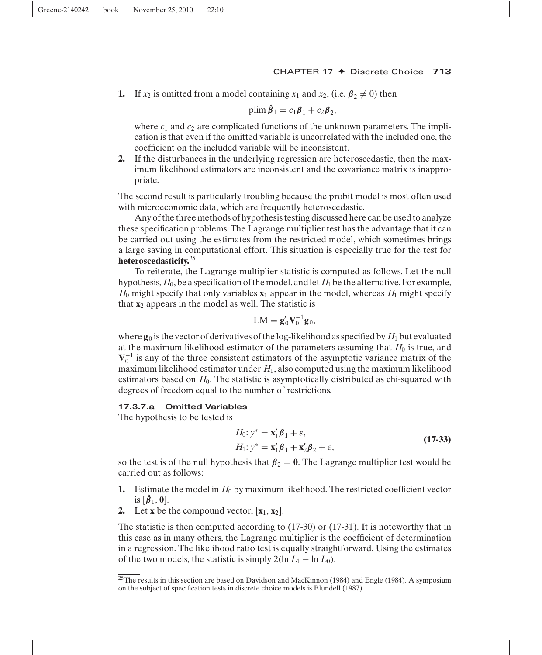**1.** If  $x_2$  is omitted from a model containing  $x_1$  and  $x_2$ , (i.e.  $\beta_2 \neq 0$ ) then

 $\hat{\beta}_1 = c_1 \beta_1 + c_2 \beta_2$ 

where  $c_1$  and  $c_2$  are complicated functions of the unknown parameters. The implication is that even if the omitted variable is uncorrelated with the included one, the coefficient on the included variable will be inconsistent.

**2.** If the disturbances in the underlying regression are heteroscedastic, then the maximum likelihood estimators are inconsistent and the covariance matrix is inappropriate.

The second result is particularly troubling because the probit model is most often used with microeconomic data, which are frequently heteroscedastic.

Any of the three methods of hypothesis testing discussed here can be used to analyze these specification problems. The Lagrange multiplier test has the advantage that it can be carried out using the estimates from the restricted model, which sometimes brings a large saving in computational effort. This situation is especially true for the test for **heteroscedasticity.**<sup>25</sup>

To reiterate, the Lagrange multiplier statistic is computed as follows. Let the null hypothesis, *H*0, be a specification of the model, and let *H*<sup>1</sup> be the alternative. For example,  $H_0$  might specify that only variables  $\mathbf{x}_1$  appear in the model, whereas  $H_1$  might specify that **x**<sup>2</sup> appears in the model as well. The statistic is

$$
LM = \mathbf{g}_0' \mathbf{V}_0^{-1} \mathbf{g}_0,
$$

where  $\mathbf{g}_0$  is the vector of derivatives of the log-likelihood as specified by  $H_1$  but evaluated at the maximum likelihood estimator of the parameters assuming that  $H_0$  is true, and  $V_0^{-1}$  is any of the three consistent estimators of the asymptotic variance matrix of the maximum likelihood estimator under *H*1, also computed using the maximum likelihood estimators based on  $H_0$ . The statistic is asymptotically distributed as chi-squared with degrees of freedom equal to the number of restrictions.

## **17.3.7.a Omitted Variables**

The hypothesis to be tested is

$$
H_0: y^* = \mathbf{x}'_1 \boldsymbol{\beta}_1 + \varepsilon,
$$
  
\n
$$
H_1: y^* = \mathbf{x}'_1 \boldsymbol{\beta}_1 + \mathbf{x}'_2 \boldsymbol{\beta}_2 + \varepsilon,
$$
\n(17-33)

so the test is of the null hypothesis that  $\beta_2 = 0$ . The Lagrange multiplier test would be carried out as follows:

- **1.** Estimate the model in  $H_0$  by maximum likelihood. The restricted coefficient vector is  $[\boldsymbol{\beta}_1, \boldsymbol{0}]$ .
- **2.** Let **x** be the compound vector,  $[\mathbf{x}_1, \mathbf{x}_2]$ .

The statistic is then computed according to (17-30) or (17-31). It is noteworthy that in this case as in many others, the Lagrange multiplier is the coefficient of determination in a regression. The likelihood ratio test is equally straightforward. Using the estimates of the two models, the statistic is simply  $2(\ln L_1 - \ln L_0)$ .

<sup>&</sup>lt;sup>25</sup>The results in this section are based on Davidson and MacKinnon (1984) and Engle (1984). A symposium on the subject of specification tests in discrete choice models is Blundell (1987).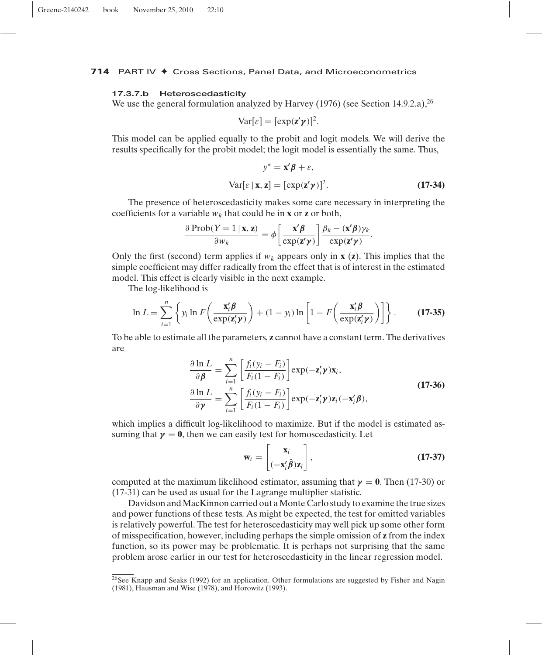## **17.3.7.b Heteroscedasticity**

We use the general formulation analyzed by Harvey (1976) (see Section 14.9.2.a),  $^{26}$ 

$$
Var[\varepsilon] = [\exp(\mathbf{z}'\mathbf{y})]^2.
$$

This model can be applied equally to the probit and logit models. We will derive the results specifically for the probit model; the logit model is essentially the same. Thus,

$$
y^* = \mathbf{x}'\boldsymbol{\beta} + \varepsilon,
$$
  
Var[ $\varepsilon$  |  $\mathbf{x}, \mathbf{z}$ ] = [exp( $\mathbf{z}'\mathbf{y}$ )]<sup>2</sup>. (17-34)

The presence of heteroscedasticity makes some care necessary in interpreting the coefficients for a variable  $w_k$  that could be in **x** or **z** or both,

$$
\frac{\partial \operatorname{Prob}(Y=1 \mid \mathbf{x}, \mathbf{z})}{\partial w_k} = \phi \left[ \frac{\mathbf{x}' \boldsymbol{\beta}}{\exp(\mathbf{z}' \mathbf{y})} \right] \frac{\beta_k - (\mathbf{x}' \boldsymbol{\beta}) \gamma_k}{\exp(\mathbf{z}' \mathbf{y})}.
$$

Only the first (second) term applies if  $w_k$  appears only in **x** (**z**). This implies that the simple coefficient may differ radically from the effect that is of interest in the estimated model. This effect is clearly visible in the next example.

The log-likelihood is

$$
\ln L = \sum_{i=1}^{n} \left\{ y_i \ln F\left(\frac{\mathbf{x}'_i \boldsymbol{\beta}}{\exp(\mathbf{z}'_i \boldsymbol{\gamma})}\right) + (1 - y_i) \ln \left[1 - F\left(\frac{\mathbf{x}'_i \boldsymbol{\beta}}{\exp(\mathbf{z}'_i \boldsymbol{\gamma})}\right)\right] \right\}.
$$
 (17-35)

To be able to estimate all the parameters, **z** cannot have a constant term. The derivatives are

$$
\frac{\partial \ln L}{\partial \beta} = \sum_{i=1}^{n} \left[ \frac{f_i(y_i - F_i)}{F_i(1 - F_i)} \right] \exp(-\mathbf{z}_i' \mathbf{y}) \mathbf{x}_i,
$$
\n
$$
\frac{\partial \ln L}{\partial \mathbf{y}} = \sum_{i=1}^{n} \left[ \frac{f_i(y_i - F_i)}{F_i(1 - F_i)} \right] \exp(-\mathbf{z}_i' \mathbf{y}) \mathbf{z}_i (-\mathbf{x}_i' \mathbf{\beta}),
$$
\n(17-36)

which implies a difficult log-likelihood to maximize. But if the model is estimated assuming that  $\gamma = 0$ , then we can easily test for homoscedasticity. Let

$$
\mathbf{w}_i = \begin{bmatrix} \mathbf{x}_i \\ (-\mathbf{x}'_i \hat{\boldsymbol{\beta}}) \mathbf{z}_i \end{bmatrix},
$$
(17-37)

computed at the maximum likelihood estimator, assuming that  $\gamma = 0$ . Then (17-30) or (17-31) can be used as usual for the Lagrange multiplier statistic.

Davidson and MacKinnon carried out a Monte Carlo study to examine the true sizes and power functions of these tests. As might be expected, the test for omitted variables is relatively powerful. The test for heteroscedasticity may well pick up some other form of misspecification, however, including perhaps the simple omission of **z** from the index function, so its power may be problematic. It is perhaps not surprising that the same problem arose earlier in our test for heteroscedasticity in the linear regression model.

<sup>&</sup>lt;sup>26</sup>See Knapp and Seaks (1992) for an application. Other formulations are suggested by Fisher and Nagin (1981), Hausman and Wise (1978), and Horowitz (1993).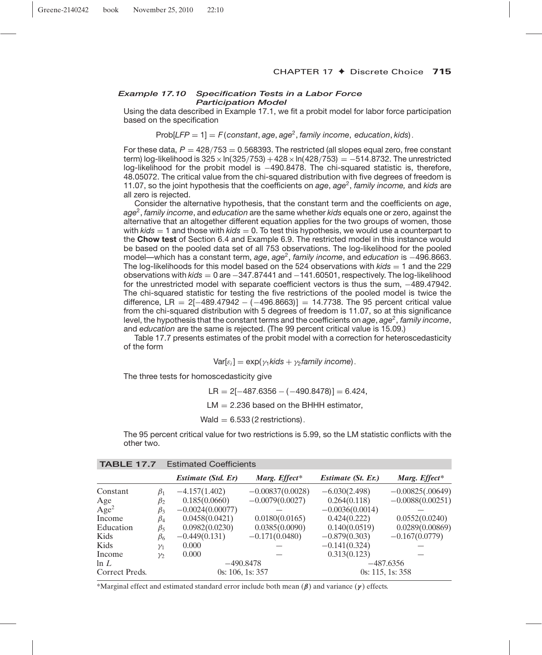## *Example 17.10 Specification Tests in a Labor Force Participation Model*

Using the data described in Example 17.1, we fit a probit model for labor force participation based on the specification

 $Prob[LFP = 1] = F(constant, age, age<sup>2</sup>, family income, education, kids).$ 

For these data,  $P = 428/753 = 0.568393$ . The restricted (all slopes equal zero, free constant term) log-likelihood is  $325 \times \ln(325/753) + 428 \times \ln(428/753) = -514.8732$ . The unrestricted log-likelihood for the probit model is −490.8478. The chi-squared statistic is, therefore, 48.05072. The critical value from the chi-squared distribution with five degrees of freedom is 11.07, so the joint hypothesis that the coefficients on *age*, *age*2, *family income,* and *kids* are all zero is rejected.

Consider the alternative hypothesis, that the constant term and the coefficients on *age*, *age*2, *family income*, and *education* are the same whether *kids* equals one or zero, against the alternative that an altogether different equation applies for the two groups of women, those with *kids* = 1 and those with *kids* = 0. To test this hypothesis, we would use a counterpart to the **Chow test** of Section 6.4 and Example 6.9. The restricted model in this instance would be based on the pooled data set of all 753 observations. The log-likelihood for the pooled model—which has a constant term, *age*, *age*2, *family income*, and *education* is −496.8663. The log-likelihoods for this model based on the 524 observations with  $kids = 1$  and the 229 observations with *kids* = 0 are −347.87441 and −141.60501, respectively. The log-likelihood for the unrestricted model with separate coefficient vectors is thus the sum, −489.47942. The chi-squared statistic for testing the five restrictions of the pooled model is twice the difference, LR = 2[-489.47942 –  $\overline{(-496.8663)}$ ] = 14.7738. The 95 percent critical value from the chi-squared distribution with 5 degrees of freedom is 11.07, so at this significance level, the hypothesis that the constant terms and the coefficients on *age*, *age*2, *family income*, and *education* are the same is rejected. (The 99 percent critical value is 15.09.)

Table 17.7 presents estimates of the probit model with a correction for heteroscedasticity of the form

 $Var[\varepsilon_i] = exp(\gamma_1 kids + \gamma_2$ *family income*).

The three tests for homoscedasticity give

 $LR = 2[-487.6356 - (-490.8478)] = 6.424$ 

 $LM = 2.236$  based on the BHHH estimator,

Wald  $= 6.533(2$  restrictions).

The 95 percent critical value for two restrictions is 5.99, so the LM statistic conflicts with the other two.

| <b>Estimated Coefficients</b><br><b>TABLE 17.7</b> |                 |                    |                    |                    |                    |  |  |  |  |
|----------------------------------------------------|-----------------|--------------------|--------------------|--------------------|--------------------|--|--|--|--|
|                                                    |                 | Estimate (Std. Er) | Marg. Effect*      | Estimate (St. Er.) | Marg. Effect*      |  |  |  |  |
| Constant                                           | $\beta_1$       | $-4.157(1.402)$    | $-0.00837(0.0028)$ | $-6.030(2.498)$    | $-0.00825(.00649)$ |  |  |  |  |
| Age                                                | $\beta_2$       | 0.185(0.0660)      | $-0.0079(0.0027)$  | 0.264(0.118)       | $-0.0088(0.00251)$ |  |  |  |  |
| Age <sup>2</sup>                                   | $\beta_3$       | $-0.0024(0.00077)$ |                    | $-0.0036(0.0014)$  |                    |  |  |  |  |
| Income                                             | $\beta_4$       | 0.0458(0.0421)     | 0.0180(0.0165)     | 0.424(0.222)       | 0.0552(0.0240)     |  |  |  |  |
| Education                                          | $\beta_5$       | 0.0982(0.0230)     | 0.0385(0.0090)     | 0.140(0.0519)      | 0.0289(0.00869)    |  |  |  |  |
| Kids                                               | $\beta_6$       | $-0.449(0.131)$    | $-0.171(0.0480)$   | $-0.879(0.303)$    | $-0.167(0.0779)$   |  |  |  |  |
| <b>Kids</b>                                        | $\mathcal{V}_1$ | 0.000              |                    | $-0.141(0.324)$    |                    |  |  |  |  |
| Income                                             | $\mathcal{V}_2$ | 0.000              |                    | 0.313(0.123)       |                    |  |  |  |  |
| $\ln L$                                            |                 |                    | $-490.8478$        |                    | $-487.6356$        |  |  |  |  |
| Correct Preds.                                     |                 |                    | 0s: 106, 1s: 357   |                    | 0s: 115, 1s: 358   |  |  |  |  |

\*Marginal effect and estimated standard error include both mean (*β*) and variance (*γ* ) effects.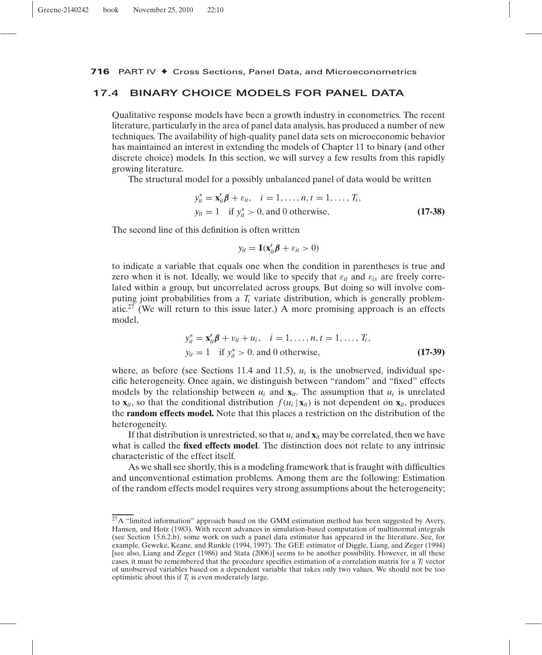# **17.4 BINARY CHOICE MODELS FOR PANEL DATA**

Qualitative response models have been a growth industry in econometrics. The recent literature, particularly in the area of panel data analysis, has produced a number of new techniques. The availability of high-quality panel data sets on microeconomic behavior has maintained an interest in extending the models of Chapter 11 to binary (and other discrete choice) models. In this section, we will survey a few results from this rapidly growing literature.

The structural model for a possibly unbalanced panel of data would be written

$$
y_{it}^{*} = \mathbf{x}_{it}'\boldsymbol{\beta} + \varepsilon_{it}, \quad i = 1, ..., n, t = 1, ..., T_{i},
$$
  

$$
y_{it} = 1 \quad \text{if } y_{it}^{*} > 0, \text{ and } 0 \text{ otherwise,}
$$
 (17-38)

The second line of this definition is often written

$$
y_{it} = \mathbf{1}(\mathbf{x}_{it}^{\prime} \boldsymbol{\beta} + \varepsilon_{it} > 0)
$$

to indicate a variable that equals one when the condition in parentheses is true and zero when it is not. Ideally, we would like to specify that  $\varepsilon_{it}$  and  $\varepsilon_{is}$  are freely correlated within a group, but uncorrelated across groups. But doing so will involve computing joint probabilities from a *Ti* variate distribution, which is generally problematic.<sup>27</sup> (We will return to this issue later.) A more promising approach is an effects model,

$$
y_{it}^{*} = \mathbf{x}_{it}'\boldsymbol{\beta} + v_{it} + u_{i}, \quad i = 1, ..., n, t = 1, ..., T_{i},
$$
  

$$
y_{it} = 1 \quad \text{if } y_{it}^{*} > 0, \text{ and } 0 \text{ otherwise,}
$$
 (17-39)

where, as before (see Sections 11.4 and 11.5),  $u_i$  is the unobserved, individual specific heterogeneity. Once again, we distinguish between "random" and "fixed" effects models by the relationship between  $u_i$  and  $\mathbf{x}_{it}$ . The assumption that  $u_i$  is unrelated to  $\mathbf{x}_{it}$ , so that the conditional distribution  $f(u_i | \mathbf{x}_{it})$  is not dependent on  $\mathbf{x}_{it}$ , produces the **random effects model.** Note that this places a restriction on the distribution of the heterogeneity.

If that distribution is unrestricted, so that  $u_i$  and  $\mathbf{x}_i$  may be correlated, then we have what is called the **fixed effects model**. The distinction does not relate to any intrinsic characteristic of the effect itself.

As we shall see shortly, this is a modeling framework that is fraught with difficulties and unconventional estimation problems. Among them are the following: Estimation of the random effects model requires very strong assumptions about the heterogeneity;

<sup>&</sup>lt;sup>27</sup>A "limited information" approach based on the GMM estimation method has been suggested by Avery, Hansen, and Hotz (1983). With recent advances in simulation-based computation of multinormal integrals (see Section 15.6.2.b), some work on such a panel data estimator has appeared in the literature. See, for example, Geweke, Keane, and Runkle (1994, 1997). The GEE estimator of Diggle, Liang, and Zeger (1994) [see also, Liang and Zeger (1986) and Stata (2006)] seems to be another possibility. However, in all these cases, it must be remembered that the procedure specifies estimation of a correlation matrix for a *Ti* vector of unobserved variables based on a dependent variable that takes only two values. We should not be too optimistic about this if  $T_i$  is even moderately large.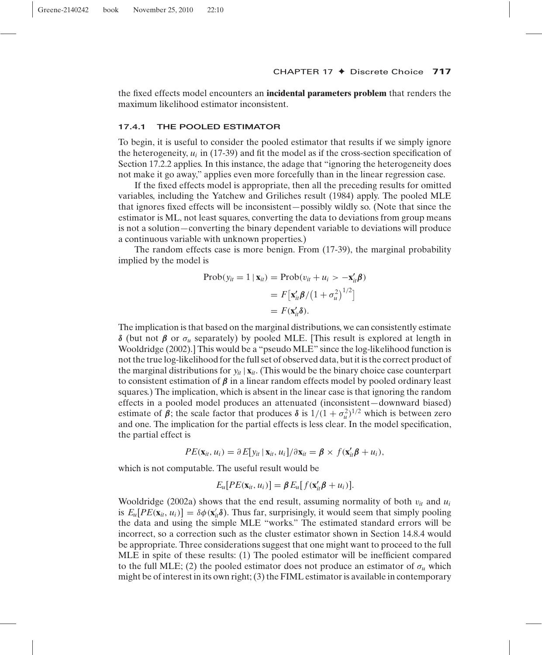the fixed effects model encounters an **incidental parameters problem** that renders the maximum likelihood estimator inconsistent.

#### **17.4.1 THE POOLED ESTIMATOR**

To begin, it is useful to consider the pooled estimator that results if we simply ignore the heterogeneity,  $u_i$  in (17-39) and fit the model as if the cross-section specification of Section 17.2.2 applies. In this instance, the adage that "ignoring the heterogeneity does not make it go away," applies even more forcefully than in the linear regression case.

If the fixed effects model is appropriate, then all the preceding results for omitted variables, including the Yatchew and Griliches result (1984) apply. The pooled MLE that ignores fixed effects will be inconsistent—possibly wildly so. (Note that since the estimator is ML, not least squares, converting the data to deviations from group means is not a solution—converting the binary dependent variable to deviations will produce a continuous variable with unknown properties.)

The random effects case is more benign. From (17-39), the marginal probability implied by the model is

$$
\begin{aligned} \text{Prob}(y_{it} = 1 \mid \mathbf{x}_{it}) &= \text{Prob}(v_{it} + u_i > -\mathbf{x}_{it}^{\prime} \boldsymbol{\beta}) \\ &= F\left[\mathbf{x}_{it}^{\prime} \boldsymbol{\beta}/\left(1 + \sigma_u^2\right)^{1/2}\right] \\ &= F(\mathbf{x}_{it}^{\prime} \boldsymbol{\delta}). \end{aligned}
$$

The implication is that based on the marginal distributions, we can consistently estimate *δ* (but not *β* or σ*<sup>u</sup>* separately) by pooled MLE. [This result is explored at length in Wooldridge (2002).] This would be a "pseudo MLE" since the log-likelihood function is not the true log-likelihood for the full set of observed data, but it is the correct product of the marginal distributions for  $y_{it} | \mathbf{x}_{it}$ . (This would be the binary choice case counterpart to consistent estimation of *β* in a linear random effects model by pooled ordinary least squares.) The implication, which is absent in the linear case is that ignoring the random effects in a pooled model produces an attenuated (inconsistent—downward biased) estimate of  $\beta$ ; the scale factor that produces  $\delta$  is  $1/(1 + \sigma_u^2)^{1/2}$  which is between zero and one. The implication for the partial effects is less clear. In the model specification, the partial effect is

$$
PE(\mathbf{x}_{it}, u_i) = \partial E[y_{it} | \mathbf{x}_{it}, u_i]/\partial \mathbf{x}_{it} = \boldsymbol{\beta} \times f(\mathbf{x}_{it}'\boldsymbol{\beta} + u_i),
$$

which is not computable. The useful result would be

$$
E_u[PE(\mathbf{x}_{it}, u_i)] = \boldsymbol{\beta} E_u[f(\mathbf{x}_{it}^{\prime}\boldsymbol{\beta} + u_i)].
$$

Wooldridge (2002a) shows that the end result, assuming normality of both  $v_{it}$  and  $u_i$ is  $E_u[PE(\mathbf{x}_i, u_i)] = \delta\phi(\mathbf{x}'_i\delta)$ . Thus far, surprisingly, it would seem that simply pooling the data and using the simple MLE "works." The estimated standard errors will be incorrect, so a correction such as the cluster estimator shown in Section 14.8.4 would be appropriate. Three considerations suggest that one might want to proceed to the full MLE in spite of these results: (1) The pooled estimator will be inefficient compared to the full MLE; (2) the pooled estimator does not produce an estimator of  $\sigma_u$  which might be of interest in its own right; (3) the FIML estimator is available in contemporary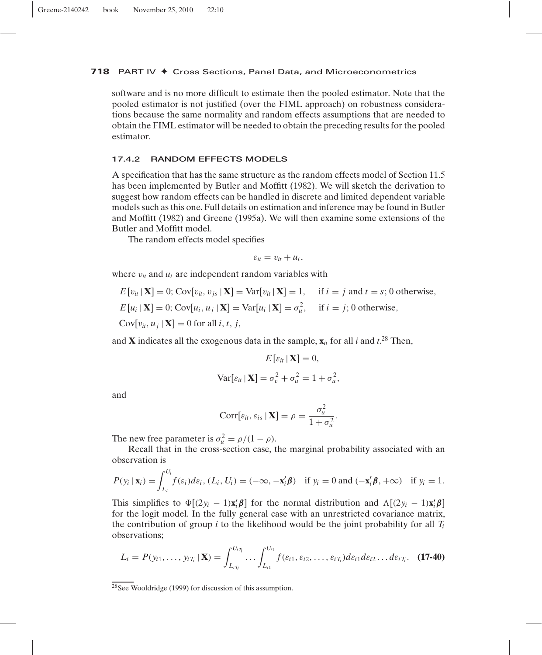software and is no more difficult to estimate then the pooled estimator. Note that the pooled estimator is not justified (over the FIML approach) on robustness considerations because the same normality and random effects assumptions that are needed to obtain the FIML estimator will be needed to obtain the preceding results for the pooled estimator.

# **17.4.2 RANDOM EFFECTS MODELS**

A specification that has the same structure as the random effects model of Section 11.5 has been implemented by Butler and Moffitt (1982). We will sketch the derivation to suggest how random effects can be handled in discrete and limited dependent variable models such as this one. Full details on estimation and inference may be found in Butler and Moffitt (1982) and Greene (1995a). We will then examine some extensions of the Butler and Moffitt model.

The random effects model specifies

$$
\varepsilon_{it} = v_{it} + u_i,
$$

where  $v_{it}$  and  $u_i$  are independent random variables with

$$
E[v_{it} | \mathbf{X}] = 0; \text{Cov}[v_{it}, v_{js} | \mathbf{X}] = \text{Var}[v_{it} | \mathbf{X}] = 1, \quad \text{if } i = j \text{ and } t = s; 0 \text{ otherwise,}
$$
  
\n
$$
E[u_i | \mathbf{X}] = 0; \text{Cov}[u_i, u_j | \mathbf{X}] = \text{Var}[u_i | \mathbf{X}] = \sigma_u^2, \quad \text{if } i = j; 0 \text{ otherwise,}
$$
  
\n
$$
\text{Cov}[v_{it}, u_j | \mathbf{X}] = 0 \text{ for all } i, t, j,
$$

and **X** indicates all the exogenous data in the sample,  $\mathbf{x}_{it}$  for all *i* and  $t$ .<sup>28</sup> Then,

$$
E[\varepsilon_{it} | \mathbf{X}] = 0,
$$
  
Var[ $\varepsilon_{it} | \mathbf{X}] = \sigma_v^2 + \sigma_u^2 = 1 + \sigma_u^2,$ 

and

$$
Corr[\varepsilon_{it}, \varepsilon_{is} \mid \mathbf{X}] = \rho = \frac{\sigma_u^2}{1 + \sigma_u^2}.
$$

The new free parameter is  $\sigma_u^2 = \rho/(1-\rho)$ .

Recall that in the cross-section case, the marginal probability associated with an observation is

$$
P(y_i | \mathbf{x}_i) = \int_{L_i}^{U_i} f(\varepsilon_i) d\varepsilon_i, (L_i, U_i) = (-\infty, -\mathbf{x}_i'\boldsymbol{\beta}) \quad \text{if } y_i = 0 \text{ and } (-\mathbf{x}_i'\boldsymbol{\beta}, +\infty) \quad \text{if } y_i = 1.
$$

This simplifies to  $\Phi[(2y_i - 1)\mathbf{x}_i'\boldsymbol{\beta}]$  for the normal distribution and  $\Lambda[(2y_i - 1)\mathbf{x}_i'\boldsymbol{\beta}]$ for the logit model. In the fully general case with an unrestricted covariance matrix, the contribution of group *i* to the likelihood would be the joint probability for all  $T_i$ observations;

$$
L_i = P(y_{i1},...,y_{iT_i} | \mathbf{X}) = \int_{L_i T_i}^{U_{iT_i}} ... \int_{L_{i1}}^{U_{i1}} f(\varepsilon_{i1}, \varepsilon_{i2},..., \varepsilon_{iT_i}) d\varepsilon_{i1} d\varepsilon_{i2} ... d\varepsilon_{iT_i}.
$$
 (17-40)

 $28$ See Wooldridge (1999) for discussion of this assumption.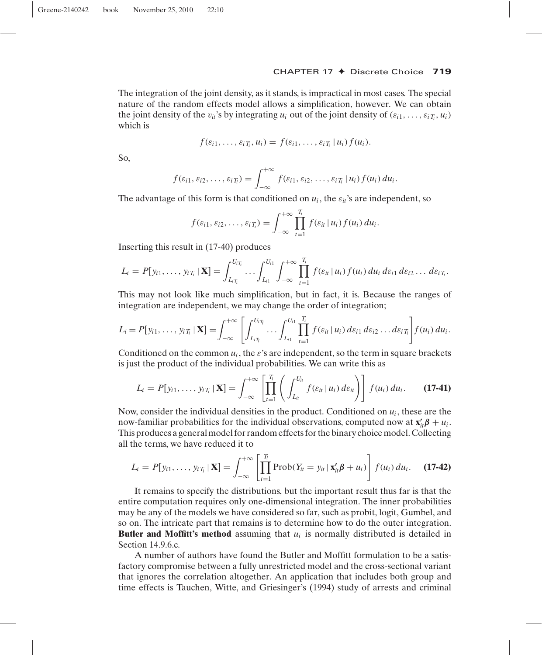The integration of the joint density, as it stands, is impractical in most cases. The special nature of the random effects model allows a simplification, however. We can obtain the joint density of the  $v_i$ 's by integrating  $u_i$  out of the joint density of  $(\varepsilon_{i1},\ldots,\varepsilon_{iT_i},u_i)$ which is

$$
f(\varepsilon_{i1},\ldots,\varepsilon_{iT_i},u_i)=f(\varepsilon_{i1},\ldots,\varepsilon_{iT_i}\,|\,u_i)\,f(u_i).
$$

So,

$$
f(\varepsilon_{i1},\varepsilon_{i2},\ldots,\varepsilon_{iT_i})=\int_{-\infty}^{+\infty}f(\varepsilon_{i1},\varepsilon_{i2},\ldots,\varepsilon_{iT_i}\,|\,u_i)\,f(u_i)\,du_i.
$$

The advantage of this form is that conditioned on  $u_i$ , the  $\varepsilon_{it}$ 's are independent, so

$$
f(\varepsilon_{i1},\varepsilon_{i2},\ldots,\varepsilon_{iT_i})=\int_{-\infty}^{+\infty}\prod_{t=1}^{T_i}f(\varepsilon_{it}\,|\,u_i)\,f(u_i)\,du_i.
$$

Inserting this result in (17-40) produces

$$
L_i = P[y_{i1}, \ldots, y_{iT_i} | \mathbf{X}] = \int_{L_i T_i}^{U_{iT_i}} \cdots \int_{L_{i1}}^{U_{i1}} \int_{-\infty}^{+\infty} \prod_{t=1}^{T_i} f(\varepsilon_{it} | u_i) f(u_i) du_i d\varepsilon_{i1} d\varepsilon_{i2} \ldots d\varepsilon_{iT_i}.
$$

This may not look like much simplification, but in fact, it is. Because the ranges of integration are independent, we may change the order of integration;

$$
L_i = P[y_{i1}, \ldots, y_{i T_i} | \mathbf{X}] = \int_{-\infty}^{+\infty} \left[ \int_{L_i T_i}^{U_{i T_i}} \cdots \int_{L_{i 1}}^{U_{i 1}} \prod_{t=1}^{T_i} f(\varepsilon_{i t} | u_i) d\varepsilon_{i 1} d\varepsilon_{i 2} \ldots d\varepsilon_{i T_i} \right] f(u_i) du_i.
$$

Conditioned on the common  $u_i$ , the  $\varepsilon$ 's are independent, so the term in square brackets is just the product of the individual probabilities. We can write this as

$$
L_i = P[y_{i1}, \ldots, y_{i T_i} | \mathbf{X}] = \int_{-\infty}^{+\infty} \left[ \prod_{t=1}^{T_i} \left( \int_{L_{it}}^{U_{it}} f(\varepsilon_{it} | u_i) \, d\varepsilon_{it} \right) \right] f(u_i) \, du_i. \tag{17-41}
$$

Now, consider the individual densities in the product. Conditioned on *ui* , these are the now-familiar probabilities for the individual observations, computed now at  $\mathbf{x}'_{it} \boldsymbol{\beta} + u_i$ . This produces a general model for random effects for the binary choice model. Collecting all the terms, we have reduced it to

$$
L_i = P[y_{i1},\ldots,y_{iT_i} | \mathbf{X}] = \int_{-\infty}^{+\infty} \left[ \prod_{t=1}^{T_i} \operatorname{Prob}(Y_{it} = y_{it} | \mathbf{x}_{it}'\boldsymbol{\beta} + u_i) \right] f(u_i) du_i.
$$
 (17-42)

It remains to specify the distributions, but the important result thus far is that the entire computation requires only one-dimensional integration. The inner probabilities may be any of the models we have considered so far, such as probit, logit, Gumbel, and so on. The intricate part that remains is to determine how to do the outer integration. **Butler and Moffitt's method** assuming that  $u_i$  is normally distributed is detailed in Section 14.9.6.c.

A number of authors have found the Butler and Moffitt formulation to be a satisfactory compromise between a fully unrestricted model and the cross-sectional variant that ignores the correlation altogether. An application that includes both group and time effects is Tauchen, Witte, and Griesinger's (1994) study of arrests and criminal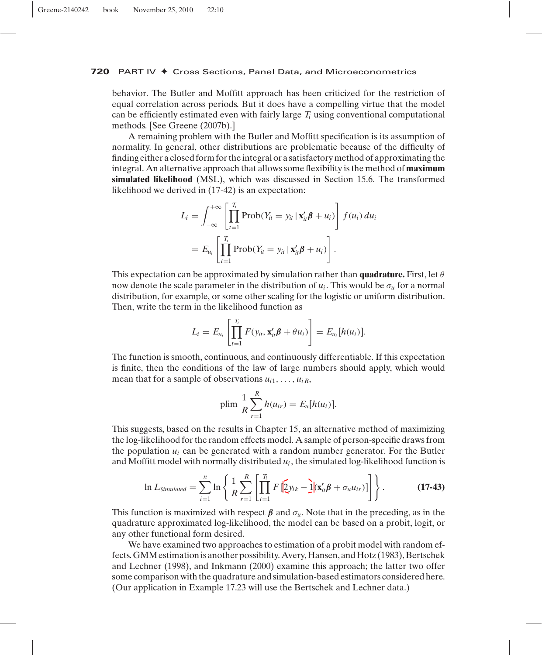behavior. The Butler and Moffitt approach has been criticized for the restriction of equal correlation across periods. But it does have a compelling virtue that the model can be efficiently estimated even with fairly large *Ti* using conventional computational methods. [See Greene (2007b).]

A remaining problem with the Butler and Moffitt specification is its assumption of normality. In general, other distributions are problematic because of the difficulty of finding either a closed form for the integral or a satisfactory method of approximating the integral. An alternative approach that allows some flexibility is the method of **maximum simulated likelihood** (MSL), which was discussed in Section 15.6. The transformed likelihood we derived in (17-42) is an expectation:

$$
L_i = \int_{-\infty}^{+\infty} \left[ \prod_{t=1}^{T_i} \text{Prob}(Y_{it} = y_{it} \mid \mathbf{x}'_{it} \boldsymbol{\beta} + u_i) \right] f(u_i) du_i
$$
  
=  $E_{u_i} \left[ \prod_{t=1}^{T_i} \text{Prob}(Y_{it} = y_{it} \mid \mathbf{x}'_{it} \boldsymbol{\beta} + u_i) \right].$ 

This expectation can be approximated by simulation rather than **quadrature.** First, let  $\theta$ now denote the scale parameter in the distribution of  $u_i$ . This would be  $\sigma_u$  for a normal distribution, for example, or some other scaling for the logistic or uniform distribution. Then, write the term in the likelihood function as

$$
L_i = E_{u_i} \left[ \prod_{t=1}^{T_i} F(y_{it}, \mathbf{x}'_{it} \boldsymbol{\beta} + \theta u_i) \right] = E_{u_i} [h(u_i)].
$$

The function is smooth, continuous, and continuously differentiable. If this expectation is finite, then the conditions of the law of large numbers should apply, which would mean that for a sample of observations  $u_{i1}, \ldots, u_{iR}$ ,

$$
\text{plim }\frac{1}{R}\sum_{r=1}^R h(u_{ir})=E_u[h(u_i)].
$$

This suggests, based on the results in Chapter 15, an alternative method of maximizing the log-likelihood for the random effects model. A sample of person-specific draws from the population  $u_i$  can be generated with a random number generator. For the Butler and Moffitt model with normally distributed  $u_i$ , the simulated log-likelihood function is

$$
\ln L_{Simulated} = \sum_{i=1}^{n} \ln \left\{ \frac{1}{R} \sum_{r=1}^{R} \left[ \prod_{t=1}^{T_i} F \left[ \sum_{i=1}^{T_i} v_{ik} - \sum_{i=1}^{T_i} \left( \mathbf{x}_{it}' \boldsymbol{\beta} + \sigma_u u_{ir} \right) \right] \right] \right\}.
$$
 (17-43)

This function is maximized with respect  $\beta$  and  $\sigma_u$ . Note that in the preceding, as in the quadrature approximated log-likelihood, the model can be based on a probit, logit, or any other functional form desired.

We have examined two approaches to estimation of a probit model with random effects. GMM estimation is another possibility. Avery, Hansen, and Hotz (1983), Bertschek and Lechner (1998), and Inkmann (2000) examine this approach; the latter two offer some comparison with the quadrature and simulation-based estimators considered here. (Our application in Example 17.23 will use the Bertschek and Lechner data.)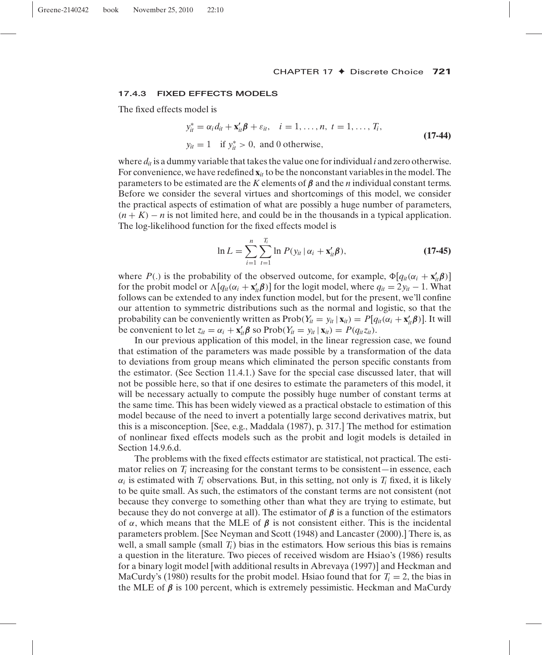### **17.4.3 FIXED EFFECTS MODELS**

The fixed effects model is

$$
y_{it}^{*} = \alpha_{i} d_{it} + \mathbf{x}_{it}' \boldsymbol{\beta} + \varepsilon_{it}, \quad i = 1, ..., n, \ t = 1, ..., T_{i},
$$
  

$$
y_{it} = 1 \quad \text{if } y_{it}^{*} > 0, \text{ and } 0 \text{ otherwise,}
$$
 (17-44)

where  $d_{ij}$  is a dummy variable that takes the value one for individual *i* and zero otherwise. For convenience, we have redefined  $\mathbf{x}_{it}$  to be the nonconstant variables in the model. The parameters to be estimated are the *K* elements of *β* and the *n* individual constant terms. Before we consider the several virtues and shortcomings of this model, we consider the practical aspects of estimation of what are possibly a huge number of parameters,  $(n + K) - n$  is not limited here, and could be in the thousands in a typical application. The log-likelihood function for the fixed effects model is

$$
\ln L = \sum_{i=1}^{n} \sum_{t=1}^{T_i} \ln P(y_{it} | \alpha_i + \mathbf{x}'_{it} \boldsymbol{\beta}),
$$
 (17-45)

where *P*(.) is the probability of the observed outcome, for example,  $\Phi[q_{it}(\alpha_i + \mathbf{x}'_{it}\boldsymbol{\beta})]$ for the probit model or  $\Lambda[q_{it}(\alpha_i + \mathbf{x}'_{it}\boldsymbol{\beta})]$  for the logit model, where  $q_{it} = 2y_{it} - 1$ . What follows can be extended to any index function model, but for the present, we'll confine our attention to symmetric distributions such as the normal and logistic, so that the probability can be conveniently written as  $Prob(Y_{it} = y_{it} | \mathbf{x}_{it}) = P[q_{it}(\alpha_i + \mathbf{x}_{it}^{\prime} \boldsymbol{\beta})]$ . It will be convenient to let  $z_{it} = \alpha_i + \mathbf{x}'_{it} \boldsymbol{\beta}$  so  $Prob(Y_{it} = y_{it} | \mathbf{x}_{it}) = P(q_{it} z_{it}).$ 

In our previous application of this model, in the linear regression case, we found that estimation of the parameters was made possible by a transformation of the data to deviations from group means which eliminated the person specific constants from the estimator. (See Section 11.4.1.) Save for the special case discussed later, that will not be possible here, so that if one desires to estimate the parameters of this model, it will be necessary actually to compute the possibly huge number of constant terms at the same time. This has been widely viewed as a practical obstacle to estimation of this model because of the need to invert a potentially large second derivatives matrix, but this is a misconception. [See, e.g., Maddala (1987), p. 317.] The method for estimation of nonlinear fixed effects models such as the probit and logit models is detailed in Section 14.9.6.d.

The problems with the fixed effects estimator are statistical, not practical. The estimator relies on  $T_i$  increasing for the constant terms to be consistent—in essence, each  $\alpha_i$  is estimated with  $T_i$  observations. But, in this setting, not only is  $T_i$  fixed, it is likely to be quite small. As such, the estimators of the constant terms are not consistent (not because they converge to something other than what they are trying to estimate, but because they do not converge at all). The estimator of  $\beta$  is a function of the estimators of  $\alpha$ , which means that the MLE of  $\beta$  is not consistent either. This is the incidental parameters problem. [See Neyman and Scott (1948) and Lancaster (2000).] There is, as well, a small sample (small  $T_i$ ) bias in the estimators. How serious this bias is remains a question in the literature. Two pieces of received wisdom are Hsiao's (1986) results for a binary logit model [with additional results in Abrevaya (1997)] and Heckman and MaCurdy's (1980) results for the probit model. Hsiao found that for  $T_i = 2$ , the bias in the MLE of *β* is 100 percent, which is extremely pessimistic. Heckman and MaCurdy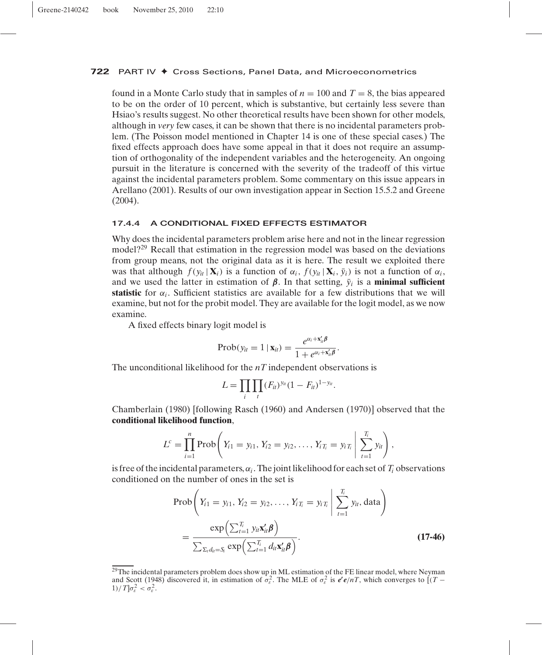found in a Monte Carlo study that in samples of  $n = 100$  and  $T = 8$ , the bias appeared to be on the order of 10 percent, which is substantive, but certainly less severe than Hsiao's results suggest. No other theoretical results have been shown for other models, although in *very* few cases, it can be shown that there is no incidental parameters problem. (The Poisson model mentioned in Chapter 14 is one of these special cases.) The fixed effects approach does have some appeal in that it does not require an assumption of orthogonality of the independent variables and the heterogeneity. An ongoing pursuit in the literature is concerned with the severity of the tradeoff of this virtue against the incidental parameters problem. Some commentary on this issue appears in Arellano (2001). Results of our own investigation appear in Section 15.5.2 and Greene (2004).

# **17.4.4 A CONDITIONAL FIXED EFFECTS ESTIMATOR**

Why does the incidental parameters problem arise here and not in the linear regression model?<sup>29</sup> Recall that estimation in the regression model was based on the deviations from group means, not the original data as it is here. The result we exploited there was that although  $f(y_{ii} | \mathbf{X}_i)$  is a function of  $\alpha_i$ ,  $f(y_{ii} | \mathbf{X}_i, \bar{y}_i)$  is not a function of  $\alpha_i$ , and we used the latter in estimation of  $\beta$ . In that setting,  $\bar{y}_i$  is a **minimal sufficient statistic** for  $\alpha_i$ . Sufficient statistics are available for a few distributions that we will examine, but not for the probit model. They are available for the logit model, as we now examine.

A fixed effects binary logit model is

$$
\operatorname{Prob}(y_{it}=1\,|\,\mathbf{x}_{it})=\frac{e^{\alpha_i+\mathbf{x}'_{it}\beta}}{1+e^{\alpha_i+\mathbf{x}'_{it}\beta}}.
$$

The unconditional likelihood for the *nT* independent observations is

$$
L = \prod_{i} \prod_{t} (F_{it})^{y_{it}} (1 - F_{it})^{1 - y_{it}}.
$$

Chamberlain (1980) [following Rasch (1960) and Andersen (1970)] observed that the **conditional likelihood function**,

$$
L^{c} = \prod_{i=1}^{n} Prob\left(Y_{i1} = y_{i1}, Y_{i2} = y_{i2}, \ldots, Y_{iT_{i}} = y_{iT_{i}} \middle| \sum_{t=1}^{T_{i}} y_{it}\right),
$$

is free of the incidental parameters,  $\alpha_i$ . The joint likelihood for each set of  $T_i$  observations conditioned on the number of ones in the set is

$$
\text{Prob}\left(Y_{i1} = y_{i1}, Y_{i2} = y_{i2}, \dots, Y_{i T_i} = y_{i T_i} \middle| \sum_{t=1}^{T_i} y_{it}, \text{data}\right)
$$
\n
$$
= \frac{\exp\left(\sum_{t=1}^{T_i} y_{it} \mathbf{x}_{it}' \boldsymbol{\beta}\right)}{\sum_{\Sigma_t d_{it} = S_i} \exp\left(\sum_{t=1}^{T_i} d_{it} \mathbf{x}_{it}' \boldsymbol{\beta}\right)}.
$$
\n(17-46)

 $29$ The incidental parameters problem does show up in ML estimation of the FE linear model, where Neyman and Scott (1948) discovered it, in estimation of  $\sigma_{\varepsilon}^2$ . The MLE of  $\sigma_{\varepsilon}^2$  is  $e'e/nT$ , which converges to  $[(T -$ 1)/*T*] $\sigma_{\varepsilon}^2 < \sigma_{\varepsilon}^2$ .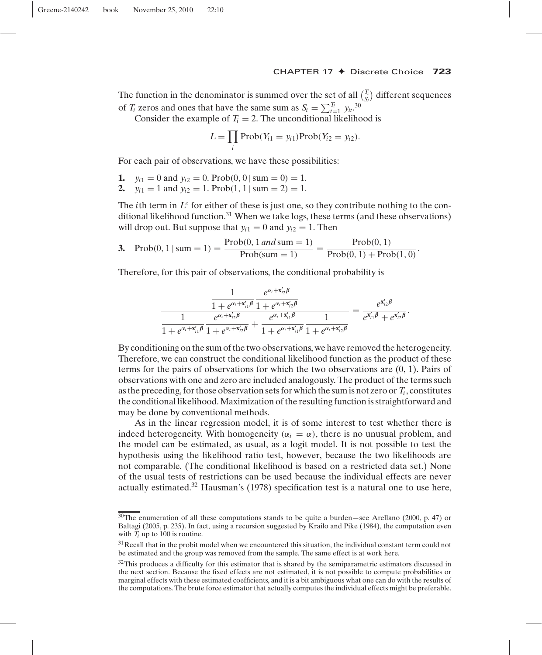The function in the denominator is summed over the set of all  $\binom{T_i}{S_i}$  different sequences of *T<sub>i</sub>* zeros and ones that have the same sum as  $S_i = \sum_{t=1}^{T_i} y_{it}^{30}$ .

Consider the example of  $T_i = 2$ . The unconditional likelihood is

$$
L = \prod_i \text{Prob}(Y_{i1} = y_{i1}) \text{Prob}(Y_{i2} = y_{i2}).
$$

For each pair of observations, we have these possibilities:

- **1.**  $y_{i1} = 0$  and  $y_{i2} = 0$ . Prob $(0, 0 | \text{sum} = 0) = 1$ .
- **2.**  $y_{i1} = 1$  and  $y_{i2} = 1$ . Prob(1, 1 | sum = 2) = 1.

The *i*th term in  $L^c$  for either of these is just one, so they contribute nothing to the conditional likelihood function.<sup>31</sup> When we take logs, these terms (and these observations) will drop out. But suppose that  $y_{i1} = 0$  and  $y_{i2} = 1$ . Then

3. Prob(0, 1 | sum = 1) = 
$$
\frac{Prob(0, 1 \text{ and sum} = 1)}{Prob(sum = 1)} = \frac{Prob(0, 1)}{Prob(0, 1) + Prob(1, 0)}.
$$

Therefore, for this pair of observations, the conditional probability is

$$
\frac{1}{1+e^{\alpha_i+x'_{i1}\beta}}\frac{e^{\alpha_i+x'_{i2}\beta}}{1+e^{\alpha_i+x'_{i1}\beta}}=\frac{e^{x'_{i2}\beta}}{1+e^{\alpha_i+x'_{i2}\beta}}=\frac{e^{x'_{i2}\beta}}{e^{x'_{i1}\beta}+e^{x'_{i2}\beta}}.
$$

By conditioning on the sum of the two observations, we have removed the heterogeneity. Therefore, we can construct the conditional likelihood function as the product of these terms for the pairs of observations for which the two observations are (0, 1). Pairs of observations with one and zero are included analogously. The product of the terms such as the preceding, for those observation sets for which the sum is not zero or  $T_i$ , constitutes the conditional likelihood. Maximization of the resulting function is straightforward and may be done by conventional methods.

As in the linear regression model, it is of some interest to test whether there is indeed heterogeneity. With homogeneity  $(\alpha_i = \alpha)$ , there is no unusual problem, and the model can be estimated, as usual, as a logit model. It is not possible to test the hypothesis using the likelihood ratio test, however, because the two likelihoods are not comparable. (The conditional likelihood is based on a restricted data set.) None of the usual tests of restrictions can be used because the individual effects are never actually estimated. $32$  Hausman's (1978) specification test is a natural one to use here,

<sup>30</sup>The enumeration of all these computations stands to be quite a burden—see Arellano (2000, p. 47) or Baltagi (2005, p. 235). In fact, using a recursion suggested by Krailo and Pike (1984), the computation even with  $T_i$  up to 100 is routine.

<sup>&</sup>lt;sup>31</sup>Recall that in the probit model when we encountered this situation, the individual constant term could not be estimated and the group was removed from the sample. The same effect is at work here.

 $32$ This produces a difficulty for this estimator that is shared by the semiparametric estimators discussed in the next section. Because the fixed effects are not estimated, it is not possible to compute probabilities or marginal effects with these estimated coefficients, and it is a bit ambiguous what one can do with the results of the computations. The brute force estimator that actually computes the individual effects might be preferable.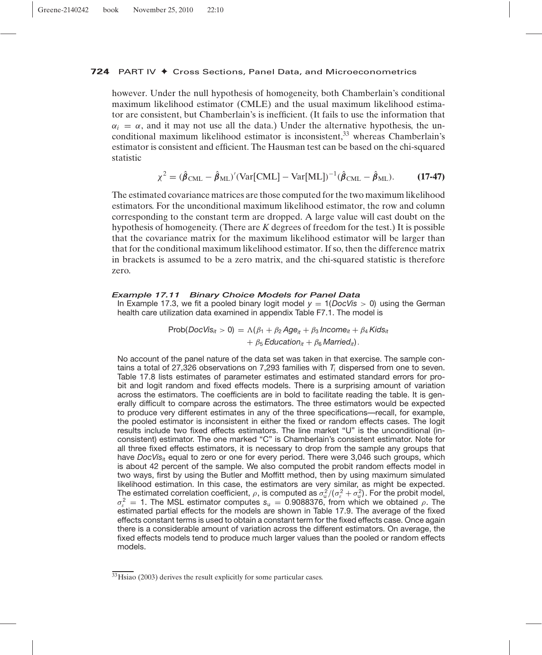however. Under the null hypothesis of homogeneity, both Chamberlain's conditional maximum likelihood estimator (CMLE) and the usual maximum likelihood estimator are consistent, but Chamberlain's is inefficient. (It fails to use the information that  $\alpha_i = \alpha$ , and it may not use all the data.) Under the alternative hypothesis, the unconditional maximum likelihood estimator is inconsistent, $33$  whereas Chamberlain's estimator is consistent and efficient. The Hausman test can be based on the chi-squared statistic

$$
\chi^2 = (\hat{\beta}_{\text{CML}} - \hat{\beta}_{\text{ML}})'(\text{Var}[\text{CML}] - \text{Var}[\text{ML}])^{-1}(\hat{\beta}_{\text{CML}} - \hat{\beta}_{\text{ML}}). \tag{17-47}
$$

The estimated covariance matrices are those computed for the two maximum likelihood estimators. For the unconditional maximum likelihood estimator, the row and column corresponding to the constant term are dropped. A large value will cast doubt on the hypothesis of homogeneity. (There are *K* degrees of freedom for the test.) It is possible that the covariance matrix for the maximum likelihood estimator will be larger than that for the conditional maximum likelihood estimator. If so, then the difference matrix in brackets is assumed to be a zero matrix, and the chi-squared statistic is therefore zero.

# *Example 17.11 Binary Choice Models for Panel Data*

In Example 17.3, we fit a pooled binary logit model  $y = 1(DocVis > 0)$  using the German health care utilization data examined in appendix Table F7.1. The model is

> $Prob(DocVis<sub>it</sub> > 0) = \Lambda(\beta_1 + \beta_2 Age<sub>it</sub> + \beta_3 Income<sub>it</sub> + \beta_4 Kids<sub>it</sub>$ +  $\beta_5$  *Education*<sub>it</sub> +  $\beta_6$  *Married*<sub>it</sub>).

No account of the panel nature of the data set was taken in that exercise. The sample contains a total of 27,326 observations on 7,293 families with *Ti* dispersed from one to seven. Table 17.8 lists estimates of parameter estimates and estimated standard errors for probit and Iogit random and fixed effects models. There is a surprising amount of variation across the estimators. The coefficients are in bold to facilitate reading the table. It is generally difficult to compare across the estimators. The three estimators would be expected to produce very different estimates in any of the three specifications—recall, for example, the pooled estimator is inconsistent in either the fixed or random effects cases. The Iogit results include two fixed effects estimators. The line market "U" is the unconditional (inconsistent) estimator. The one marked "C" is Chamberlain's consistent estimator. Note for all three fixed effects estimators, it is necessary to drop from the sample any groups that have *DocVis*it equal to zero or one for every period. There were 3,046 such groups, which is about 42 percent of the sample. We also computed the probit random effects model in two ways, first by using the Butler and Moffitt method, then by using maximum simulated likelihood estimation. In this case, the estimators are very similar, as might be expected. The estimated correlation coefficient,  $\rho$ , is computed as  $\sigma_u^2/(\sigma_\varepsilon^2+\sigma_u^2)$ . For the probit model,  $\sigma_{\varepsilon}^2 = 1$ . The MSL estimator computes  $s_u = 0.9088376$ , from which we obtained  $\rho$ . The estimated partial effects for the models are shown in Table 17.9. The average of the fixed effects constant terms is used to obtain a constant term for the fixed effects case. Once again there is a considerable amount of variation across the different estimators. On average, the fixed effects models tend to produce much larger values than the pooled or random effects models.

<sup>33</sup>Hsiao (2003) derives the result explicitly for some particular cases.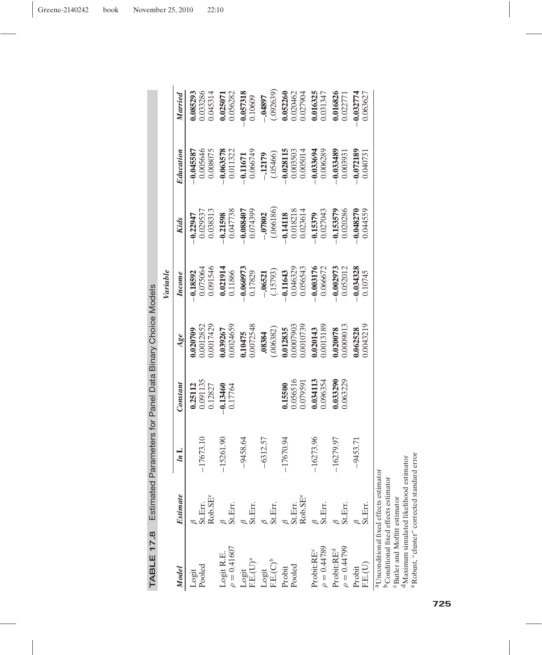| TABLE 17.8 Estimated Parameters for Panel Data Binary Choice Models                                                                                                                                                                |                     |             |                                                                        |                       |                         |                          |                         |                        |
|------------------------------------------------------------------------------------------------------------------------------------------------------------------------------------------------------------------------------------|---------------------|-------------|------------------------------------------------------------------------|-----------------------|-------------------------|--------------------------|-------------------------|------------------------|
|                                                                                                                                                                                                                                    |                     |             |                                                                        |                       | Variable                |                          |                         |                        |
| Model                                                                                                                                                                                                                              | <b>Estimate</b>     | $\ln L$     | Constant                                                               | Age                   | Income                  | Kids                     | Education               | Married                |
| Logit<br>Pooled                                                                                                                                                                                                                    | St.Err.             | $-17673.10$ | $\begin{array}{c} \textbf{0.25112} \\ 0.091135 \\ 0.12827 \end{array}$ | 0.0012852<br>0.020709 | $-0.18592$              | 0.029537<br>$-0.22947$   | 0.005646<br>$-0.045587$ | 0.085293<br>0.033286   |
|                                                                                                                                                                                                                                    | Rob.SE <sup>e</sup> |             |                                                                        | 0.0017429             | 0.075064<br>0.091546    | 0.038313                 | 0.008075                | 0.045314               |
| Logit R.E. $\rho = 0.41607$                                                                                                                                                                                                        | St.Err.             | $-15261.90$ | $-0.13460$<br>0.17764                                                  | 0.0024659<br>1,039267 | 0.021914<br>0.11866     | 0.047738<br>$-0.21598$   | $-0.063578$<br>0.011322 | 0.056282<br>0.025071   |
| F.E.(U) <sup>a</sup><br>Logit                                                                                                                                                                                                      | St.Err.             | $-9458.64$  |                                                                        | 0.0072548<br>1.10475  | $-0.060973$<br>0.17829  | $-0.088407$<br>0.074399  | 0.066749<br>$-0.11671$  | $-0.057318$<br>0.10609 |
| $\begin{array}{l} \text{Logit} \\ \text{F.E.}(\text{C})^\text{b} \end{array}$                                                                                                                                                      | St.Err.             | $-6312.57$  |                                                                        | (.006382)<br>.08384   | (.15793)<br>$-.06521$   | (.066186)<br>$-.07802$   | (.05466)<br>$-.12179$   | (.092639)<br>$-0.897$  |
|                                                                                                                                                                                                                                    |                     | $-17670.94$ | 0.15500                                                                | 0.12835               | $-0.11643$              |                          | $-0.028115$             | 0.052260               |
| Probit<br>Pooled                                                                                                                                                                                                                   | St.Err.             |             | 0.056516                                                               | 0.007903              | 0.046329                | $-0.14118$<br>$0.018218$ | 0.003503                | 0.020462               |
|                                                                                                                                                                                                                                    | Rob.SE <sup>e</sup> |             | 0.07959                                                                | 0.0010739             | 0.056543                | 0.023614                 | 0.005014                | 0.027904               |
| $\begin{array}{c} \text{Probability} \\ \rho = 0.44789 \end{array}$                                                                                                                                                                | St.Err.             | $-16273.96$ | 0.034113<br>0.096354                                                   | 0.0013189<br>.020143  | $-0.003176$<br>0.066672 | 0.027043<br>$-0.15379$   | $-0.033694$<br>0.006289 | 0.016325<br>0.031347   |
| $\begin{array}{c} \text{Probability} \\ \rho = 0.44799 \end{array}$                                                                                                                                                                | St.Err.             | $-16279.97$ | 0.63229<br>0.033290                                                    | 0.0009013<br>020078.  | 0.002973<br>0.052012    | 0.153579<br>0.020286     | $-0.033489$<br>0.00393  | 0.016826<br>0.02277    |
| F.E.(U)<br>Probit                                                                                                                                                                                                                  | it.Em.              | $-9453.7$   |                                                                        | 0.0043219<br>0.62528  | 0.034328<br>0.10745     | 0.044559<br>0.048270     | $-0.072189$<br>0.04073  | 0.032774<br>0.063627   |
| 'Robust, "cluster" corrected standard error<br>dMaximum simulated likelihood estimator<br>a Unconditional fixed effects estimator<br><sup>b</sup> Conditional fixed effects estimator<br><sup>2</sup> Butler and Moffitt estimator |                     |             |                                                                        |                       |                         |                          |                         |                        |

TABLE 17.8 Estimated Parameters for Panel Data Binary Choice Models

**725**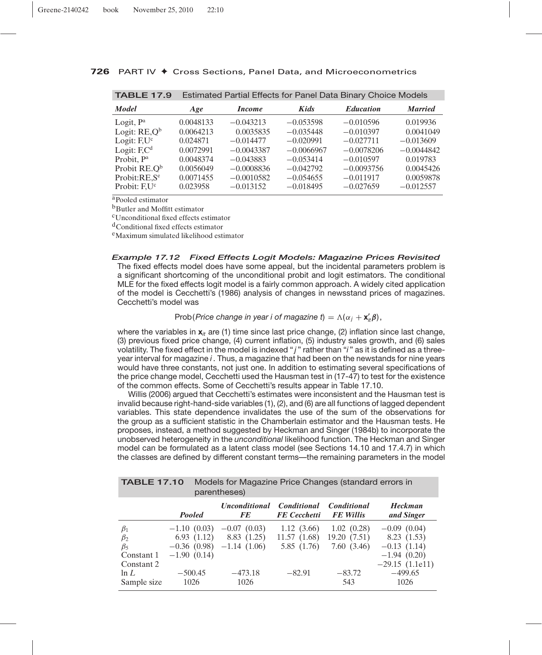| <b>TABLE 17.9</b>        |           |               |              | Estimated Partial Effects for Panel Data Binary Choice Models |                |
|--------------------------|-----------|---------------|--------------|---------------------------------------------------------------|----------------|
| <b>Model</b>             | Age       | <i>Income</i> | <b>Kids</b>  | <b>Education</b>                                              | <b>Married</b> |
| Logit, $P^a$             | 0.0048133 | $-0.043213$   | $-0.053598$  | $-0.010596$                                                   | 0.019936       |
| Logit: $RE,Q^b$          | 0.0064213 | 0.0035835     | $-0.035448$  | $-0.010397$                                                   | 0.0041049      |
| Logit: F,U <sup>c</sup>  | 0.024871  | $-0.014477$   | $-0.020991$  | $-0.027711$                                                   | $-0.013609$    |
| Logit: $FcCd$            | 0.0072991 | $-0.0043387$  | $-0.0066967$ | $-0.0078206$                                                  | $-0.0044842$   |
| Probit. P <sup>a</sup>   | 0.0048374 | $-0.043883$   | $-0.053414$  | $-0.010597$                                                   | 0.019783       |
| Probit $RE.Ob$           | 0.0056049 | $-0.0008836$  | $-0.042792$  | $-0.0093756$                                                  | 0.0045426      |
| Probit:RE,S <sup>e</sup> | 0.0071455 | $-0.0010582$  | $-0.054655$  | $-0.011917$                                                   | 0.0059878      |
| Probit: $F.U^c$          | 0.023958  | $-0.013152$   | $-0.018495$  | $-0.027659$                                                   | $-0.012557$    |

aPooled estimator

**b**Butler and Moffitt estimator

cUnconditional fixed effects estimator

dConditional fixed effects estimator

eMaximum simulated likelihood estimator

### *Example 17.12 Fixed Effects Logit Models: Magazine Prices Revisited* The fixed effects model does have some appeal, but the incidental parameters problem is a significant shortcoming of the unconditional probit and logit estimators. The conditional MLE for the fixed effects logit model is a fairly common approach. A widely cited application of the model is Cecchetti's (1986) analysis of changes in newsstand prices of magazines. Cecchetti's model was

Prob(*Price change in year i of magazine t*) =  $\Lambda(\alpha_j + \mathbf{x}'_{it} \boldsymbol{\beta})$ ,

where the variables in  $\mathbf{x}_i$  are (1) time since last price change, (2) inflation since last change, (3) previous fixed price change, (4) current inflation, (5) industry sales growth, and (6) sales volatility. The fixed effect in the model is indexed "*j*" rather than "*i*" as it is defined as a threeyear interval for magazine *i* . Thus, a magazine that had been on the newstands for nine years would have three constants, not just one. In addition to estimating several specifications of the price change model, Cecchetti used the Hausman test in (17-47) to test for the existence of the common effects. Some of Cecchetti's results appear in Table 17.10.

Willis (2006) argued that Cecchetti's estimates were inconsistent and the Hausman test is invalid because right-hand-side variables (1), (2), and (6) are all functions of lagged dependent variables. This state dependence invalidates the use of the sum of the observations for the group as a sufficient statistic in the Chamberlain estimator and the Hausman tests. He proposes, instead, a method suggested by Heckman and Singer (1984b) to incorporate the unobserved heterogeneity in the *unconditional* likelihood function. The Heckman and Singer model can be formulated as a latent class model (see Sections 14.10 and 17.4.7) in which the classes are defined by different constant terms—the remaining parameters in the model

| <b>TABLE 17.10</b> | Models for Magazine Price Changes (standard errors in |
|--------------------|-------------------------------------------------------|
|                    | parentheses)                                          |

|                                                                                           |                                                                                    | <b>Partillence</b>                                                 |                                                     |                                                             |                                                                                                          |
|-------------------------------------------------------------------------------------------|------------------------------------------------------------------------------------|--------------------------------------------------------------------|-----------------------------------------------------|-------------------------------------------------------------|----------------------------------------------------------------------------------------------------------|
|                                                                                           | <b>Pooled</b>                                                                      | <i><b>Unconditional</b></i><br><b>FE</b>                           | <b>Conditional</b><br><b>FE</b> Cecchetti           | Conditional<br><b>FE Willis</b>                             | <b>Heckman</b><br>and Singer                                                                             |
| $\beta_1$<br>$\beta_2$<br>$\beta_5$<br>Constant 1<br>Constant 2<br>$\ln L$<br>Sample size | $-1.10(0.03)$<br>6.93(1.12)<br>$-0.36(0.98)$<br>$-1.90(0.14)$<br>$-500.45$<br>1026 | $-0.07(0.03)$<br>8.83 (1.25)<br>$-1.14(1.06)$<br>$-473.18$<br>1026 | 1.12(3.66)<br>11.57(1.68)<br>5.85(1.76)<br>$-82.91$ | 1.02(0.28)<br>19.20 (7.51)<br>7.60(3.46)<br>$-83.72$<br>543 | $-0.09(0.04)$<br>8.23 (1.53)<br>$-0.13(1.14)$<br>$-1.94(0.20)$<br>$-29.15$ (1.1e11)<br>$-499.65$<br>1026 |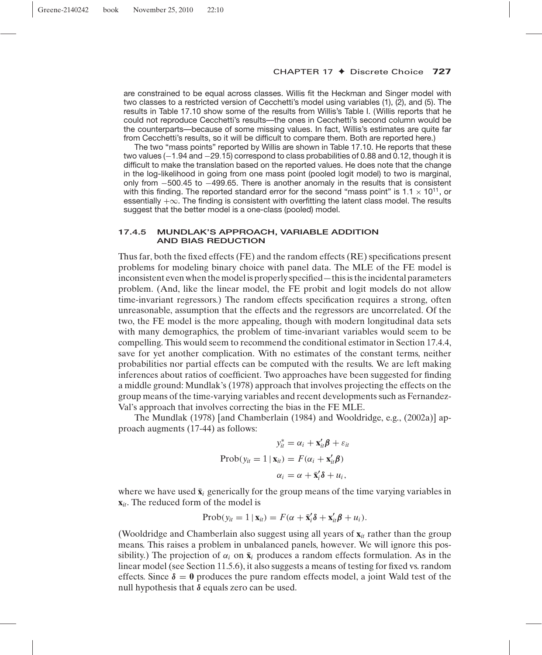are constrained to be equal across classes. Willis fit the Heckman and Singer model with two classes to a restricted version of Cecchetti's model using variables (1), (2), and (5). The results in Table 17.10 show some of the results from Willis's Table I. (Willis reports that he could not reproduce Cecchetti's results—the ones in Cecchetti's second column would be the counterparts—because of some missing values. In fact, Willis's estimates are quite far from Cecchetti's results, so it will be difficult to compare them. Both are reported here.)

The two "mass points" reported by Willis are shown in Table 17.10. He reports that these two values (−1.94 and −29.15) correspond to class probabilities of 0.88 and 0.12, though it is difficult to make the translation based on the reported values. He does note that the change in the log-likelihood in going from one mass point (pooled logit model) to two is marginal, only from −500.45 to −499.65. There is another anomaly in the results that is consistent with this finding. The reported standard error for the second "mass point" is 1.1  $\times$  10<sup>11</sup>, or essentially +∞. The finding is consistent with overfitting the latent class model. The results suggest that the better model is a one-class (pooled) model.

### **17.4.5 MUNDLAK'S APPROACH, VARIABLE ADDITION AND BIAS REDUCTION**

Thus far, both the fixed effects (FE) and the random effects (RE) specifications present problems for modeling binary choice with panel data. The MLE of the FE model is inconsistent even when the model is properly specified—this is the incidental parameters problem. (And, like the linear model, the FE probit and logit models do not allow time-invariant regressors.) The random effects specification requires a strong, often unreasonable, assumption that the effects and the regressors are uncorrelated. Of the two, the FE model is the more appealing, though with modern longitudinal data sets with many demographics, the problem of time-invariant variables would seem to be compelling. This would seem to recommend the conditional estimator in Section 17.4.4, save for yet another complication. With no estimates of the constant terms, neither probabilities nor partial effects can be computed with the results. We are left making inferences about ratios of coefficient. Two approaches have been suggested for finding a middle ground: Mundlak's (1978) approach that involves projecting the effects on the group means of the time-varying variables and recent developments such as Fernandez-Val's approach that involves correcting the bias in the FE MLE.

The Mundlak (1978) [and Chamberlain (1984) and Wooldridge, e.g., (2002a)] approach augments (17-44) as follows:

$$
y_{it}^{*} = \alpha_{i} + \mathbf{x}_{it}'\boldsymbol{\beta} + \varepsilon_{it}
$$
  
Prob $(y_{it} = 1 | \mathbf{x}_{it}) = F(\alpha_{i} + \mathbf{x}_{it}'\boldsymbol{\beta})$   
 $\alpha_{i} = \alpha + \bar{\mathbf{x}}_{i}'\boldsymbol{\delta} + u_{i},$ 

where we have used  $\bar{\mathbf{x}}_i$  generically for the group means of the time varying variables in **x***it*. The reduced form of the model is

$$
Prob(y_{it} = 1 | \mathbf{x}_{it}) = F(\alpha + \bar{\mathbf{x}}'_{i} \delta + \mathbf{x}'_{it} \beta + u_{i}).
$$

(Wooldridge and Chamberlain also suggest using all years of  $\mathbf{x}_{it}$  rather than the group means. This raises a problem in unbalanced panels, however. We will ignore this possibility.) The projection of  $\alpha_i$  on  $\bar{\mathbf{x}}_i$  produces a random effects formulation. As in the linear model (see Section 11.5.6), it also suggests a means of testing for fixed vs. random effects. Since  $\delta = 0$  produces the pure random effects model, a joint Wald test of the null hypothesis that *δ* equals zero can be used.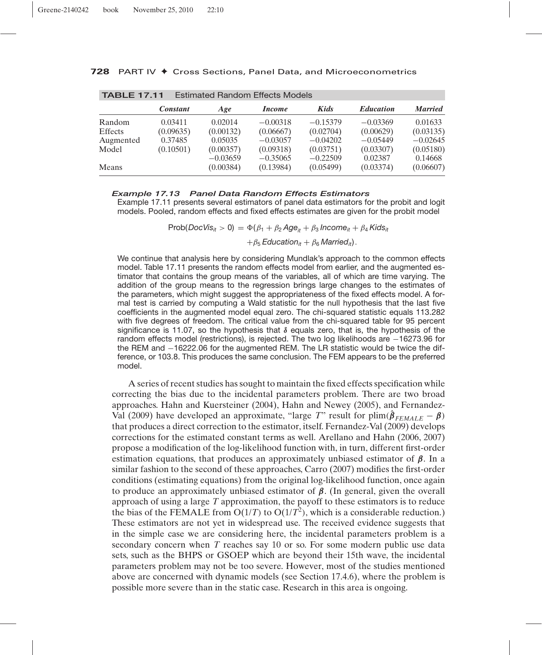| IADLE 17.11 |           | ESUINALEU NANUONII ENECLS MUUTUS |                         |                         |                      |                      |
|-------------|-----------|----------------------------------|-------------------------|-------------------------|----------------------|----------------------|
|             | Constant  | Age                              | <i>Income</i>           | <b>Kids</b>             | <b>Education</b>     | <b>Married</b>       |
| Random      | 0.03411   | 0.02014                          | $-0.00318$              | $-0.15379$              | $-0.03369$           | 0.01633              |
| Effects     | (0.09635) | (0.00132)                        | (0.06667)               | (0.02704)               | (0.00629)            | (0.03135)            |
| Augmented   | 0.37485   | 0.05035                          | $-0.03057$              | $-0.04202$              | $-0.05449$           | $-0.02645$           |
| Model       | (0.10501) | (0.00357)<br>$-0.03659$          | (0.09318)<br>$-0.35065$ | (0.03751)<br>$-0.22509$ | (0.03307)<br>0.02387 | (0.05180)<br>0.14668 |
| Means       |           | (0.00384)                        | (0.13984)               | (0.05499)               | (0.03374)            | (0.06607)            |

**TABLE 17.11** Estimated Random Effects Models

### *Example 17.13 Panel Data Random Effects Estimators*

Example 17.11 presents several estimators of panel data estimators for the probit and logit models. Pooled, random effects and fixed effects estimates are given for the probit model

 $Prob(DocVis<sub>it</sub> > 0) = \Phi(\beta_1 + \beta_2 Age_{it} + \beta_3 Income_{it} + \beta_4$  *Kids<sub>it</sub>* 

 $+ \beta_5$  *Education<sub>it</sub>* +  $\beta_6$  *Married<sub>it</sub>*).

We continue that analysis here by considering Mundlak's approach to the common effects model. Table 17.11 presents the random effects model from earlier, and the augmented estimator that contains the group means of the variables, all of which are time varying. The addition of the group means to the regression brings large changes to the estimates of the parameters, which might suggest the appropriateness of the fixed effects model. A formal test is carried by computing a Wald statistic for the null hypothesis that the last five coefficients in the augmented model equal zero. The chi-squared statistic equals 113.282 with five degrees of freedom. The critical value from the chi-squared table for 95 percent significance is 11.07, so the hypothesis that *δ* equals zero, that is, the hypothesis of the random effects model (restrictions), is rejected. The two log likelihoods are −16273.96 for the REM and −16222.06 for the augmented REM. The LR statistic would be twice the difference, or 103.8. This produces the same conclusion. The FEM appears to be the preferred model.

A series of recent studies has sought to maintain the fixed effects specification while correcting the bias due to the incidental parameters problem. There are two broad approaches. Hahn and Kuersteiner (2004), Hahn and Newey (2005), and Fernandez-Val (2009) have developed an approximate, "large *T*" result for plim( $\hat{\beta}_{FEMALE} - \beta$ ) that produces a direct correction to the estimator, itself. Fernandez-Val (2009) develops corrections for the estimated constant terms as well. Arellano and Hahn (2006, 2007) propose a modification of the log-likelihood function with, in turn, different first-order estimation equations, that produces an approximately unbiased estimator of *β*. In a similar fashion to the second of these approaches, Carro (2007) modifies the first-order conditions (estimating equations) from the original log-likelihood function, once again to produce an approximately unbiased estimator of  $\beta$ . (In general, given the overall approach of using a large *T* approximation, the payoff to these estimators is to reduce the bias of the FEMALE from  $O(1/T)$  to  $O(1/T^2)$ , which is a considerable reduction.) These estimators are not yet in widespread use. The received evidence suggests that in the simple case we are considering here, the incidental parameters problem is a secondary concern when *T* reaches say 10 or so. For some modern public use data sets, such as the BHPS or GSOEP which are beyond their 15th wave, the incidental parameters problem may not be too severe. However, most of the studies mentioned above are concerned with dynamic models (see Section 17.4.6), where the problem is possible more severe than in the static case. Research in this area is ongoing.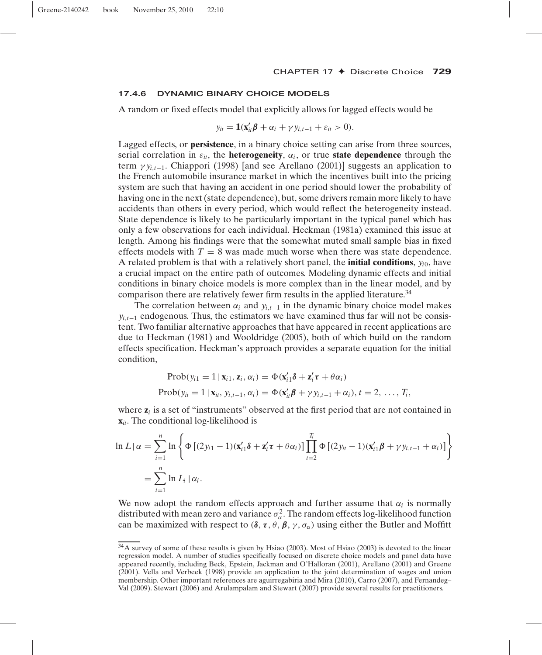### **17.4.6 DYNAMIC BINARY CHOICE MODELS**

A random or fixed effects model that explicitly allows for lagged effects would be

$$
y_{it} = \mathbf{1}(\mathbf{x}_{it}'\boldsymbol{\beta} + \alpha_i + \gamma y_{i,t-1} + \varepsilon_{it} > 0).
$$

Lagged effects, or **persistence**, in a binary choice setting can arise from three sources, serial correlation in  $\varepsilon_{it}$ , the **heterogeneity**,  $\alpha_i$ , or true **state dependence** through the term γ *yi*,*t*<sup>−</sup>1. Chiappori (1998) [and see Arellano (2001)] suggests an application to the French automobile insurance market in which the incentives built into the pricing system are such that having an accident in one period should lower the probability of having one in the next (state dependence), but, some drivers remain more likely to have accidents than others in every period, which would reflect the heterogeneity instead. State dependence is likely to be particularly important in the typical panel which has only a few observations for each individual. Heckman (1981a) examined this issue at length. Among his findings were that the somewhat muted small sample bias in fixed effects models with  $T = 8$  was made much worse when there was state dependence. A related problem is that with a relatively short panel, the **initial conditions**,  $y_{i0}$ , have a crucial impact on the entire path of outcomes. Modeling dynamic effects and initial conditions in binary choice models is more complex than in the linear model, and by comparison there are relatively fewer firm results in the applied literature.<sup>34</sup>

The correlation between  $\alpha_i$  and  $y_{i,t-1}$  in the dynamic binary choice model makes  $y_{i,t-1}$  endogenous. Thus, the estimators we have examined thus far will not be consistent. Two familiar alternative approaches that have appeared in recent applications are due to Heckman (1981) and Wooldridge (2005), both of which build on the random effects specification. Heckman's approach provides a separate equation for the initial condition,

$$
\text{Prob}(y_{i1} = 1 \mid \mathbf{x}_{i1}, \mathbf{z}_i, \alpha_i) = \Phi(\mathbf{x}_{i1}' \delta + \mathbf{z}_i' \tau + \theta \alpha_i)
$$
\n
$$
\text{Prob}(y_{it} = 1 \mid \mathbf{x}_{it}, y_{i,t-1}, \alpha_i) = \Phi(\mathbf{x}_{it}' \beta + \gamma y_{i,t-1} + \alpha_i), t = 2, \dots, T_i,
$$

where  $z_i$  is a set of "instruments" observed at the first period that are not contained in **x***it*. The conditional log-likelihood is

$$
\ln L|\alpha = \sum_{i=1}^{n} \ln \left\{ \Phi \left[ (2y_{i1} - 1)(\mathbf{x}_{i1}'\boldsymbol{\delta} + \mathbf{z}_{i}'\boldsymbol{\tau} + \theta \alpha_{i}) \right] \prod_{i=2}^{T_i} \Phi \left[ (2y_{it} - 1)(\mathbf{x}_{i1}'\boldsymbol{\beta} + \gamma y_{i,t-1} + \alpha_{i}) \right] \right\}
$$
  
= 
$$
\sum_{i=1}^{n} \ln L_i |\alpha_i.
$$

We now adopt the random effects approach and further assume that  $\alpha_i$  is normally distributed with mean zero and variance  $\sigma_{\alpha}^2$ . The random effects log-likelihood function can be maximized with respect to  $(\delta, \tau, \theta, \beta, \gamma, \sigma_\alpha)$  using either the Butler and Moffitt

<sup>&</sup>lt;sup>34</sup>A survey of some of these results is given by Hsiao (2003). Most of Hsiao (2003) is devoted to the linear regression model. A number of studies specifically focused on discrete choice models and panel data have appeared recently, including Beck, Epstein, Jackman and O'Halloran (2001), Arellano (2001) and Greene (2001). Vella and Verbeek (1998) provide an application to the joint determination of wages and union membership. Other important references are aguirregabiria and Mira (2010), Carro (2007), and Fernandeg– Val (2009). Stewart (2006) and Arulampalam and Stewart (2007) provide several results for practitioners.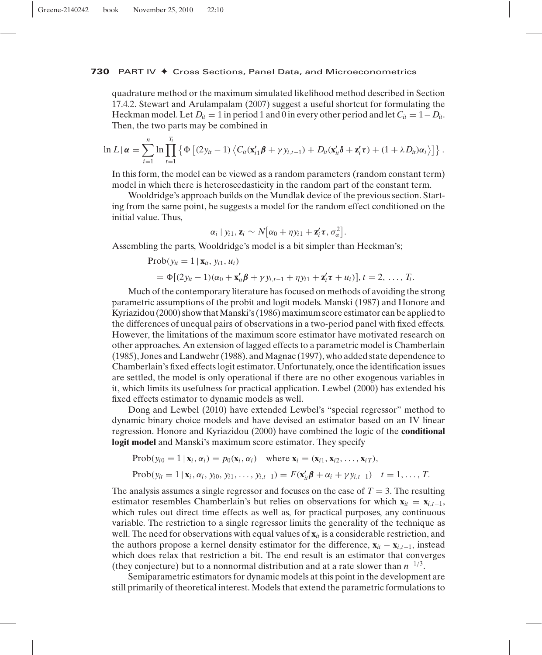quadrature method or the maximum simulated likelihood method described in Section 17.4.2. Stewart and Arulampalam (2007) suggest a useful shortcut for formulating the Heckman model. Let  $D_{it} = 1$  in period 1 and 0 in every other period and let  $C_{it} = 1 - D_{it}$ . Then, the two parts may be combined in

$$
\ln L|\boldsymbol{\alpha} = \sum_{i=1}^n \ln \prod_{t=1}^{T_i} \left\{ \Phi \left[ (2y_{it}-1) \left\langle C_{it}(\mathbf{x}_{i1}'\boldsymbol{\beta} + \gamma y_{i,t-1}) + D_{it}(\mathbf{x}_{it}'\boldsymbol{\delta} + \mathbf{z}_{i}'\boldsymbol{\tau}) + (1+\lambda D_{it})\alpha_i \right\rangle \right] \right\}.
$$

In this form, the model can be viewed as a random parameters (random constant term) model in which there is heteroscedasticity in the random part of the constant term.

Wooldridge's approach builds on the Mundlak device of the previous section. Starting from the same point, he suggests a model for the random effect conditioned on the initial value. Thus,

$$
\alpha_i \mid y_{i1}, \mathbf{z}_i \sim N[\alpha_0 + \eta y_{i1} + \mathbf{z}_i' \mathbf{\tau}, \sigma_\alpha^2].
$$

Assembling the parts, Wooldridge's model is a bit simpler than Heckman's;

$$
\begin{aligned} \text{Prob}(y_{it}=1\,|\,\mathbf{x}_{it},\,y_{i1},\,u_{i})\\ &= \Phi[(2y_{it}-1)(\alpha_{0}+\mathbf{x}_{it}^{\prime}\boldsymbol{\beta}+\gamma y_{i,t-1}+\eta y_{i1}+\mathbf{z}_{i}^{\prime}\boldsymbol{\tau}+u_{i})],\,t=2,\,\ldots,\,T_{i}.\end{aligned}
$$

Much of the contemporary literature has focused on methods of avoiding the strong parametric assumptions of the probit and logit models. Manski (1987) and Honore and Kyriazidou (2000) show that Manski's (1986) maximum score estimator can be applied to the differences of unequal pairs of observations in a two-period panel with fixed effects. However, the limitations of the maximum score estimator have motivated research on other approaches. An extension of lagged effects to a parametric model is Chamberlain (1985), Jones and Landwehr (1988), and Magnac (1997), who added state dependence to Chamberlain's fixed effects logit estimator. Unfortunately, once the identification issues are settled, the model is only operational if there are no other exogenous variables in it, which limits its usefulness for practical application. Lewbel (2000) has extended his fixed effects estimator to dynamic models as well.

Dong and Lewbel (2010) have extended Lewbel's "special regressor" method to dynamic binary choice models and have devised an estimator based on an IV linear regression. Honore and Kyriazidou (2000) have combined the logic of the **conditional logit model** and Manski's maximum score estimator. They specify

$$
\text{Prob}(y_{i0} = 1 \mid \mathbf{x}_i, \alpha_i) = p_0(\mathbf{x}_i, \alpha_i) \quad \text{where } \mathbf{x}_i = (\mathbf{x}_{i1}, \mathbf{x}_{i2}, \dots, \mathbf{x}_{iT}),
$$
\n
$$
\text{Prob}(y_{it} = 1 \mid \mathbf{x}_i, \alpha_i, y_{i0}, y_{i1}, \dots, y_{i,t-1}) = F(\mathbf{x}_{it}^{\prime} \boldsymbol{\beta} + \alpha_i + \gamma y_{i,t-1}) \quad t = 1, \dots, T.
$$

The analysis assumes a single regressor and focuses on the case of  $T = 3$ . The resulting estimator resembles Chamberlain's but relies on observations for which  $\mathbf{x}_{it} = \mathbf{x}_{i,t-1}$ , which rules out direct time effects as well as, for practical purposes, any continuous variable. The restriction to a single regressor limits the generality of the technique as well. The need for observations with equal values of  $\mathbf{x}_{it}$  is a considerable restriction, and the authors propose a kernel density estimator for the difference,  $\mathbf{x}_{it} - \mathbf{x}_{i,t-1}$ , instead which does relax that restriction a bit. The end result is an estimator that converges (they conjecture) but to a nonnormal distribution and at a rate slower than *n*<sup>−</sup>1/3.

Semiparametric estimators for dynamic models at this point in the development are still primarily of theoretical interest. Models that extend the parametric formulations to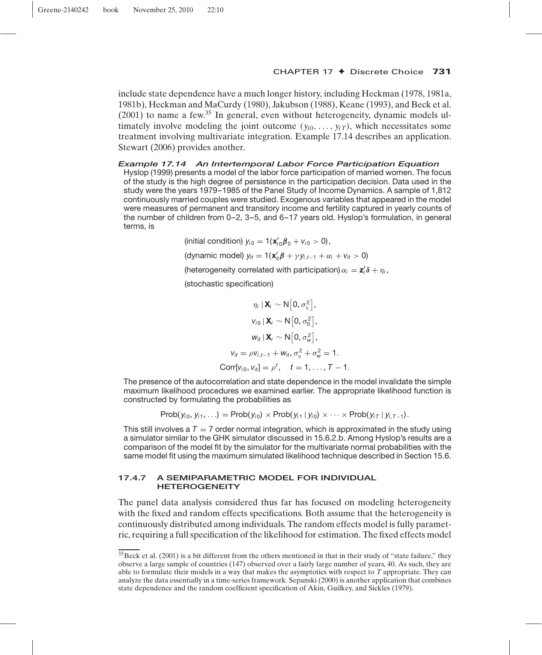include state dependence have a much longer history, including Heckman (1978, 1981a, 1981b), Heckman and MaCurdy (1980), Jakubson (1988), Keane (1993), and Beck et al.  $(2001)$  to name a few.<sup>35</sup> In general, even without heterogeneity, dynamic models ultimately involve modeling the joint outcome  $(y_{i0},..., y_{iT})$ , which necessitates some treatment involving multivariate integration. Example 17.14 describes an application. Stewart (2006) provides another.

### *Example 17.14 An Intertemporal Labor Force Participation Equation*

Hyslop (1999) presents a model of the labor force participation of married women. The focus of the study is the high degree of persistence in the participation decision. Data used in the study were the years 1979–1985 of the Panel Study of Income Dynamics. A sample of 1,812 continuously married couples were studied. Exogenous variables that appeared in the model were measures of permanent and transitory income and fertility captured in yearly counts of the number of children from 0–2, 3–5, and 6–17 years old. Hyslop's formulation, in general terms, is

> (initial condition)  $y_{i0} = 1$ ( $\mathbf{x}'_{i0} \boldsymbol{\beta}_0 + v_{i0} > 0$ ), (dynamic model)  $y_{it} = 1(\mathbf{x}_{it}'\boldsymbol{\beta} + \gamma y_{i,t-1} + \alpha_i + v_{it} > 0)$ (heterogeneity correlated with participation)  $\alpha_i = \mathbf{z}_i^{\prime} \mathbf{\delta} + \eta_i$ ,

(stochastic specification)

$$
\eta_i \mid \mathbf{X}_i \sim \mathsf{N}\left[0, \sigma_{\eta}^2\right],
$$
\n
$$
v_{i0} \mid \mathbf{X}_i \sim \mathsf{N}\left[0, \sigma_0^2\right],
$$
\n
$$
w_{it} \mid \mathbf{X}_i \sim \mathsf{N}\left[0, \sigma_{w}^2\right],
$$
\n
$$
v_{it} = \rho v_{i, t-1} + w_{it}, \sigma_{\eta}^2 + \sigma_{w}^2 = 1.
$$
\n
$$
Corr[v_{i0}, v_{it}] = \rho^t, \quad t = 1, \dots, T - 1.
$$

The presence of the autocorrelation and state dependence in the model invalidate the simple maximum likelihood procedures we examined earlier. The appropriate likelihood function is constructed by formulating the probabilities as

 $Prob(y_{i0}, y_{i1}, ...) = Prob(y_{i0}) \times Prob(y_{i1} | y_{i0}) \times \cdots \times Prob(y_{iT} | y_{i.T-1}).$ 

This still involves a  $T = 7$  order normal integration, which is approximated in the study using a simulator similar to the GHK simulator discussed in 15.6.2.b. Among Hyslop's results are a comparison of the model fit by the simulator for the multivariate normal probabilities with the same model fit using the maximum simulated likelihood technique described in Section 15.6.

### **17.4.7 A SEMIPARAMETRIC MODEL FOR INDIVIDUAL HETEROGENEITY**

The panel data analysis considered thus far has focused on modeling heterogeneity with the fixed and random effects specifications. Both assume that the heterogeneity is continuously distributed among individuals. The random effects model is fully parametric, requiring a full specification of the likelihood for estimation. The fixed effects model

 $35$ Beck et al. (2001) is a bit different from the others mentioned in that in their study of "state failure," they observe a large sample of countries (147) observed over a fairly large number of years, 40. As such, they are able to formulate their models in a way that makes the asymptotics with respect to *T* appropriate. They can analyze the data essentially in a time-series framework. Sepanski (2000) is another application that combines state dependence and the random coefficient specification of Akin, Guilkey, and Sickles (1979).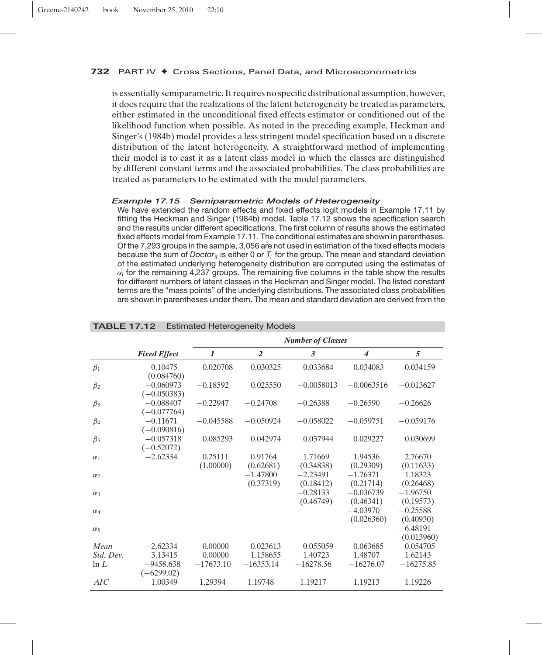is essentially semiparametric. It requires no specific distributional assumption, however, it does require that the realizations of the latent heterogeneity be treated as parameters, either estimated in the unconditional fixed effects estimator or conditioned out of the likelihood function when possible. As noted in the preceding example, Heckman and Singer's (1984b) model provides a less stringent model specification based on a discrete distribution of the latent heterogeneity. A straightforward method of implementing their model is to cast it as a latent class model in which the classes are distinguished by different constant terms and the associated probabilities. The class probabilities are treated as parameters to be estimated with the model parameters.

#### *Example 17.15 Semiparametric Models of Heterogeneity*

We have extended the random effects and fixed effects logit models in Example 17.11 by fitting the Heckman and Singer (1984b) model. Table 17.12 shows the specification search and the results under different specifications. The first column of results shows the estimated fixed effects model from Example 17.11. The conditional estimates are shown in parentheses. Of the 7,293 groups in the sample, 3,056 are not used in estimation of the fixed effects models because the sum of *Doctor<sub>it</sub>* is either 0 or  $T_i$  for the group. The mean and standard deviation of the estimated underlying heterogeneity distribution are computed using the estimates of  $\alpha_i$  for the remaining 4,237 groups. The remaining five columns in the table show the results for different numbers of latent classes in the Heckman and Singer model. The listed constant terms are the "mass points" of the underlying distributions. The associated class probabilities are shown in parentheses under them. The mean and standard deviation are derived from the

|                              |                                                      |                                   |                                     | <b>Number of Classes</b>           |                                    |                                    |
|------------------------------|------------------------------------------------------|-----------------------------------|-------------------------------------|------------------------------------|------------------------------------|------------------------------------|
|                              | <b>Fixed Effect</b>                                  | 1                                 | $\overline{2}$                      | 3                                  | $\boldsymbol{4}$                   | 5                                  |
| $\beta_1$                    | 0.10475<br>(0.084760)                                | 0.020708                          | 0.030325                            | 0.033684                           | 0.034083                           | 0.034159                           |
| $\beta_2$                    | $-0.060973$<br>$(-0.050383)$                         | $-0.18592$                        | 0.025550                            | $-0.0058013$                       | $-0.0063516$                       | $-0.013627$                        |
| $\beta_3$                    | $-0.088407$<br>$(-0.077764)$                         | $-0.22947$                        | $-0.24708$                          | $-0.26388$                         | $-0.26590$                         | $-0.26626$                         |
| $\beta_4$                    | $-0.11671$<br>$(-0.090816)$                          | $-0.045588$                       | $-0.050924$                         | $-0.058022$                        | $-0.059751$                        | $-0.059176$                        |
| $\beta_5$                    | $-0.057318$<br>$(-0.52072)$                          | 0.085293                          | 0.042974                            | 0.037944                           | 0.029227                           | 0.030699                           |
| $\alpha_1$                   | $-2.62334$                                           | 0.25111<br>(1.00000)              | 0.91764<br>(0.62681)                | 1.71669<br>(0.34838)               | 1.94536<br>(0.29309)               | 2.76670<br>(0.11633)               |
| $\alpha$                     |                                                      |                                   | $-1.47800$<br>(0.37319)             | $-2.23491$<br>(0.18412)            | $-1.76371$<br>(0.21714)            | 1.18323<br>(0.26468)               |
| $\alpha_3$                   |                                                      |                                   |                                     | $-0.28133$<br>(0.46749)            | $-0.036739$<br>(0.46341)           | $-1.96750$<br>(0.19573)            |
| $\alpha_4$                   |                                                      |                                   |                                     |                                    | $-4.03970$<br>(0.026360)           | $-0.25588$<br>(0.40930)            |
| $\alpha_{5}$                 |                                                      |                                   |                                     |                                    |                                    | $-6.48191$<br>(0.013960)           |
| Mean<br>Std. Dev.<br>$\ln L$ | $-2.62334$<br>3.13415<br>$-9458.638$<br>$(-6299.02)$ | 0.00000<br>0.00000<br>$-17673.10$ | 0.023613<br>1.158655<br>$-16353.14$ | 0.055059<br>1.40723<br>$-16278.56$ | 0.063685<br>1.48707<br>$-16276.07$ | 0.054705<br>1.62143<br>$-16275.85$ |
| AIC                          | 1.00349                                              | 1.29394                           | 1.19748                             | 1.19217                            | 1.19213                            | 1.19226                            |

#### **TABLE 17.12** Estimated Heterogeneity Models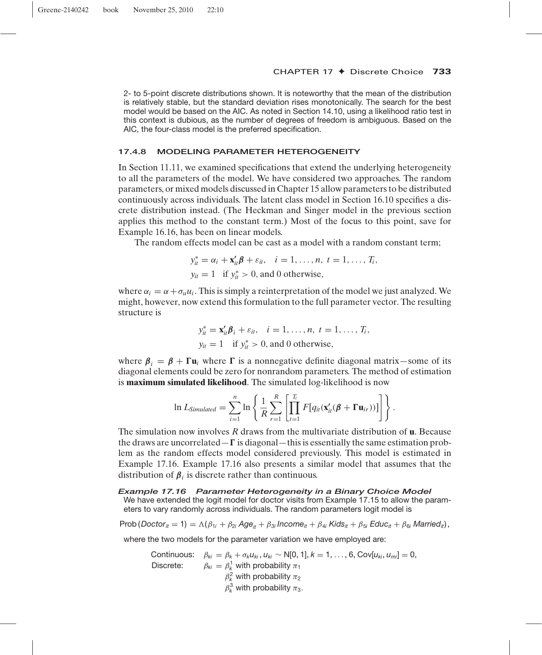2- to 5-point discrete distributions shown. It is noteworthy that the mean of the distribution is relatively stable, but the standard deviation rises monotonically. The search for the best model would be based on the AIC. As noted in Section 14.10, using a likelihood ratio test in this context is dubious, as the number of degrees of freedom is ambiguous. Based on the AIC, the four-class model is the preferred specification.

# **17.4.8 MODELING PARAMETER HETEROGENEITY**

In Section 11.11, we examined specifications that extend the underlying heterogeneity to all the parameters of the model. We have considered two approaches. The random parameters, or mixed models discussed in Chapter 15 allow parameters to be distributed continuously across individuals. The latent class model in Section 16.10 specifies a discrete distribution instead. (The Heckman and Singer model in the previous section applies this method to the constant term.) Most of the focus to this point, save for Example 16.16, has been on linear models.

The random effects model can be cast as a model with a random constant term;

$$
y_{it}^* = \alpha_i + \mathbf{x}_{it}'\boldsymbol{\beta} + \varepsilon_{it}, \quad i = 1, \dots, n, \ t = 1, \dots, T_i,
$$
  

$$
y_{it} = 1 \quad \text{if } y_{it}^* > 0, \text{ and } 0 \text{ otherwise,}
$$

where  $\alpha_i = \alpha + \sigma_u u_i$ . This is simply a reinterpretation of the model we just analyzed. We might, however, now extend this formulation to the full parameter vector. The resulting structure is

$$
y_{it}^* = \mathbf{x}_{it}'\boldsymbol{\beta}_i + \varepsilon_{it}, \quad i = 1, \dots, n, \ t = 1, \dots, T_i,
$$
  

$$
y_{it} = 1 \quad \text{if } y_{it}^* > 0, \text{ and } 0 \text{ otherwise,}
$$

where  $\beta_i = \beta + \Gamma u_i$  where  $\Gamma$  is a nonnegative definite diagonal matrix—some of its diagonal elements could be zero for nonrandom parameters. The method of estimation is **maximum simulated likelihood**. The simulated log-likelihood is now

$$
\ln L_{Simulated} = \sum_{i=1}^{n} \ln \left\{ \frac{1}{R} \sum_{r=1}^{R} \left[ \prod_{t=1}^{T_i} F[q_{it}(\mathbf{x}_{it}'(\boldsymbol{\beta} + \boldsymbol{\Gamma} \mathbf{u}_{ir}))] \right] \right\}.
$$

The simulation now involves *R* draws from the multivariate distribution of **u**. Because the draws are uncorrelated  $-\Gamma$  is diagonal—this is essentially the same estimation problem as the random effects model considered previously. This model is estimated in Example 17.16. Example 17.16 also presents a similar model that assumes that the distribution of  $\beta_i$  is discrete rather than continuous.

# *Example 17.16 Parameter Heterogeneity in a Binary Choice Model*

We have extended the logit model for doctor visits from Example 17.15 to allow the parameters to vary randomly across individuals. The random parameters logit model is

 $\text{Prob}(\text{Doctor}_{it} = 1) = \Lambda(\beta_{1i} + \beta_{2i} \text{Age}_{it} + \beta_{3i} \text{ Income}_{it} + \beta_{4i} \text{Kids}_{it} + \beta_{5i} \text{Edge}_{it} + \beta_{6i} \text{Married}_{it}),$ 

where the two models for the parameter variation we have employed are:

Continuous: 
$$
\beta_{ki} = \beta_k + \sigma_k u_{ki}, u_{ki} \sim N[0, 1], k = 1, ..., 6, Cov[u_{ki}, u_{mi}] = 0,
$$
  
\nDiscrete:  $\beta_{ki} = \beta_k^1$  with probability  $\pi_1$   
\n $\beta_k^2$  with probability  $\pi_2$   
\n $\beta_k^3$  with probability  $\pi_3$ .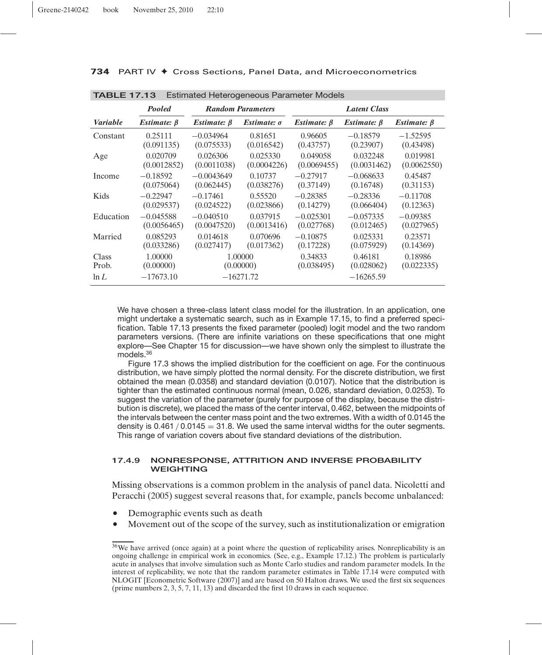|                           | <b>Pooled</b>                       |                   | <b>Random Parameters</b>            |                          | <b>Latent Class</b>                  |                       |
|---------------------------|-------------------------------------|-------------------|-------------------------------------|--------------------------|--------------------------------------|-----------------------|
| <b>Variable</b>           | Estimate: $\beta$                   | Estimate: $\beta$ | Estimate: $\sigma$                  | <i>Estimate:</i> $\beta$ | Estimate: $\beta$                    | Estimate: $\beta$     |
| Constant                  | 0.25111                             | $-0.034964$       | 0.81651                             | 0.96605                  | $-0.18579$                           | $-1.52595$            |
|                           | (0.091135)                          | (0.075533)        | (0.016542)                          | (0.43757)                | (0.23907)                            | (0.43498)             |
| Age                       | 0.020709                            | 0.026306          | 0.025330                            | 0.049058                 | 0.032248                             | 0.019981              |
|                           | (0.0012852)                         | (0.0011038)       | (0.0004226)                         | (0.0069455)              | (0.0031462)                          | (0.0062550)           |
| Income                    | $-0.18592$                          | $-0.0043649$      | 0.10737                             | $-0.27917$               | $-0.068633$                          | 0.45487               |
|                           | (0.075064)                          | (0.062445)        | (0.038276)                          | (0.37149)                | (0.16748)                            | (0.31153)             |
| Kids                      | $-0.22947$                          | $-0.17461$        | 0.55520                             | $-0.28385$               | $-0.28336$                           | $-0.11708$            |
|                           | (0.029537)                          | (0.024522)        | (0.023866)                          | (0.14279)                | (0.066404)                           | (0.12363)             |
| Education                 | $-0.045588$                         | $-0.040510$       | 0.037915                            | $-0.025301$              | $-0.057335$                          | $-0.09385$            |
|                           | (0.0056465)                         | (0.0047520)       | (0.0013416)                         | (0.027768)               | (0.012465)                           | (0.027965)            |
| Married                   | 0.085293                            | 0.014618          | 0.070696                            | $-0.10875$               | 0.025331                             | 0.23571               |
|                           | (0.033286)                          | (0.027417)        | (0.017362)                          | (0.17228)                | (0.075929)                           | (0.14369)             |
| Class<br>Prob.<br>$\ln L$ | 1.00000<br>(0.00000)<br>$-17673.10$ |                   | 1.00000<br>(0.00000)<br>$-16271.72$ | 0.34833<br>(0.038495)    | 0.46181<br>(0.028062)<br>$-16265.59$ | 0.18986<br>(0.022335) |

**TABLE 17.13** Estimated Heterogeneous Parameter Models

We have chosen a three-class latent class model for the illustration. In an application, one might undertake a systematic search, such as in Example 17.15, to find a preferred specification. Table 17.13 presents the fixed parameter (pooled) logit model and the two random parameters versions. (There are infinite variations on these specifications that one might explore—See Chapter 15 for discussion—we have shown only the simplest to illustrate the models.<sup>36</sup>

Figure 17.3 shows the implied distribution for the coefficient on age. For the continuous distribution, we have simply plotted the normal density. For the discrete distribution, we first obtained the mean (0.0358) and standard deviation (0.0107). Notice that the distribution is tighter than the estimated continuous normal (mean, 0.026, standard deviation, 0.0253). To suggest the variation of the parameter (purely for purpose of the display, because the distribution is discrete), we placed the mass of the center interval, 0.462, between the midpoints of the intervals between the center mass point and the two extremes. With a width of 0.0145 the density is  $0.461 / 0.0145 = 31.8$ . We used the same interval widths for the outer segments. This range of variation covers about five standard deviations of the distribution.

### **17.4.9 NONRESPONSE, ATTRITION AND INVERSE PROBABILITY WEIGHTING**

Missing observations is a common problem in the analysis of panel data. Nicoletti and Peracchi (2005) suggest several reasons that, for example, panels become unbalanced:

- Demographic events such as death
- Movement out of the scope of the survey, such as institutionalization or emigration

 $36$ We have arrived (once again) at a point where the question of replicability arises. Nonreplicability is an ongoing challenge in empirical work in economics. (See, e.g., Example 17.12.) The problem is particularly acute in analyses that involve simulation such as Monte Carlo studies and random parameter models. In the interest of replicability, we note that the random parameter estimates in Table 17.14 were computed with NLOGIT [Econometric Software (2007)] and are based on 50 Halton draws. We used the first six sequences (prime numbers 2, 3, 5, 7, 11, 13) and discarded the first 10 draws in each sequence.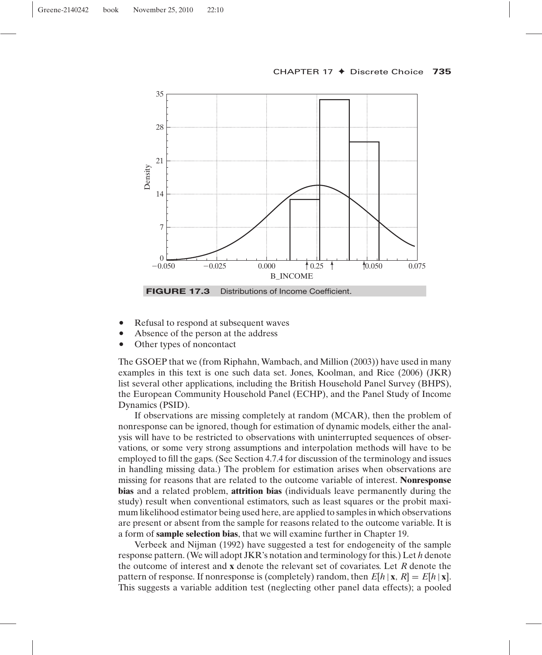



- Refusal to respond at subsequent waves
- Absence of the person at the address
- Other types of noncontact

The GSOEP that we (from Riphahn, Wambach, and Million (2003)) have used in many examples in this text is one such data set. Jones, Koolman, and Rice (2006) (JKR) list several other applications, including the British Household Panel Survey (BHPS), the European Community Household Panel (ECHP), and the Panel Study of Income Dynamics (PSID).

If observations are missing completely at random (MCAR), then the problem of nonresponse can be ignored, though for estimation of dynamic models, either the analysis will have to be restricted to observations with uninterrupted sequences of observations, or some very strong assumptions and interpolation methods will have to be employed to fill the gaps. (See Section 4.7.4 for discussion of the terminology and issues in handling missing data.) The problem for estimation arises when observations are missing for reasons that are related to the outcome variable of interest. **Nonresponse bias** and a related problem, **attrition bias** (individuals leave permanently during the study) result when conventional estimators, such as least squares or the probit maximum likelihood estimator being used here, are applied to samples in which observations are present or absent from the sample for reasons related to the outcome variable. It is a form of **sample selection bias**, that we will examine further in Chapter 19.

Verbeek and Nijman (1992) have suggested a test for endogeneity of the sample response pattern. (We will adopt JKR's notation and terminology for this.) Let *h* denote the outcome of interest and **x** denote the relevant set of covariates. Let *R* denote the pattern of response. If nonresponse is (completely) random, then  $E[h | \mathbf{x}, R] = E[h | \mathbf{x}]$ . This suggests a variable addition test (neglecting other panel data effects); a pooled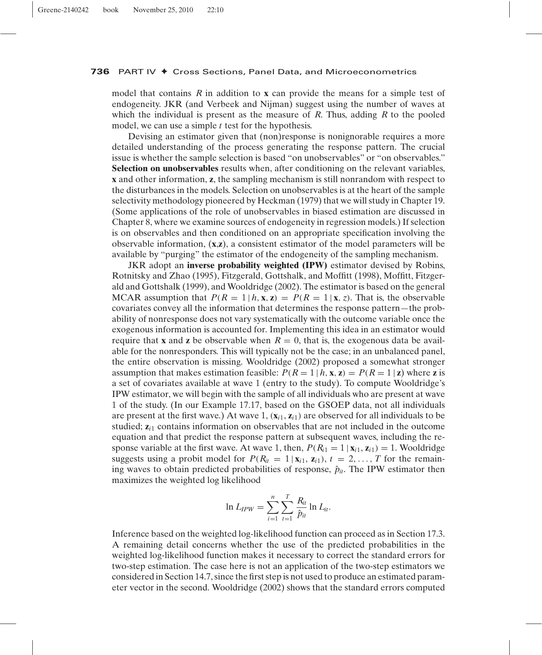model that contains *R* in addition to **x** can provide the means for a simple test of endogeneity. JKR (and Verbeek and Nijman) suggest using the number of waves at which the individual is present as the measure of *R*. Thus, adding *R* to the pooled model, we can use a simple *t* test for the hypothesis.

Devising an estimator given that (non)response is nonignorable requires a more detailed understanding of the process generating the response pattern. The crucial issue is whether the sample selection is based "on unobservables" or "on observables." **Selection on unobservables** results when, after conditioning on the relevant variables, **x** and other information, **z**, the sampling mechanism is still nonrandom with respect to the disturbances in the models. Selection on unobservables is at the heart of the sample selectivity methodology pioneered by Heckman (1979) that we will study in Chapter 19. (Some applications of the role of unobservables in biased estimation are discussed in Chapter 8, where we examine sources of endogeneity in regression models.) If selection is on observables and then conditioned on an appropriate specification involving the observable information, (**x**,**z**), a consistent estimator of the model parameters will be available by "purging" the estimator of the endogeneity of the sampling mechanism.

JKR adopt an **inverse probability weighted (IPW)** estimator devised by Robins, Rotnitsky and Zhao (1995), Fitzgerald, Gottshalk, and Moffitt (1998), Moffitt, Fitzgerald and Gottshalk (1999), and Wooldridge (2002). The estimator is based on the general MCAR assumption that  $P(R = 1 | h, \mathbf{x}, \mathbf{z}) = P(R = 1 | \mathbf{x}, z)$ . That is, the observable covariates convey all the information that determines the response pattern—the probability of nonresponse does not vary systematically with the outcome variable once the exogenous information is accounted for. Implementing this idea in an estimator would require that **x** and **z** be observable when  $R = 0$ , that is, the exogenous data be available for the nonresponders. This will typically not be the case; in an unbalanced panel, the entire observation is missing. Wooldridge (2002) proposed a somewhat stronger assumption that makes estimation feasible:  $P(R = 1 | h, \mathbf{x}, \mathbf{z}) = P(R = 1 | \mathbf{z})$  where **z** is a set of covariates available at wave 1 (entry to the study). To compute Wooldridge's IPW estimator, we will begin with the sample of all individuals who are present at wave 1 of the study. (In our Example 17.17, based on the GSOEP data, not all individuals are present at the first wave.) At wave 1,  $(\mathbf{x}_{i1}, \mathbf{z}_{i1})$  are observed for all individuals to be studied;  $z_{i1}$  contains information on observables that are not included in the outcome equation and that predict the response pattern at subsequent waves, including the response variable at the first wave. At wave 1, then,  $P(R_i = 1 | \mathbf{x}_{i1}, \mathbf{z}_{i1}) = 1$ . Wooldridge suggests using a probit model for  $P(R_{it} = 1 | \mathbf{x}_{i1}, \mathbf{z}_{i1}), t = 2, ..., T$  for the remaining waves to obtain predicted probabilities of response,  $\hat{p}_{it}$ . The IPW estimator then maximizes the weighted log likelihood

$$
\ln L_{IPW} = \sum_{i=1}^{n} \sum_{t=1}^{T} \frac{R_{it}}{\hat{p}_{it}} \ln L_{it}.
$$

Inference based on the weighted log-likelihood function can proceed as in Section 17.3. A remaining detail concerns whether the use of the predicted probabilities in the weighted log-likelihood function makes it necessary to correct the standard errors for two-step estimation. The case here is not an application of the two-step estimators we considered in Section 14.7, since the first step is not used to produce an estimated parameter vector in the second. Wooldridge (2002) shows that the standard errors computed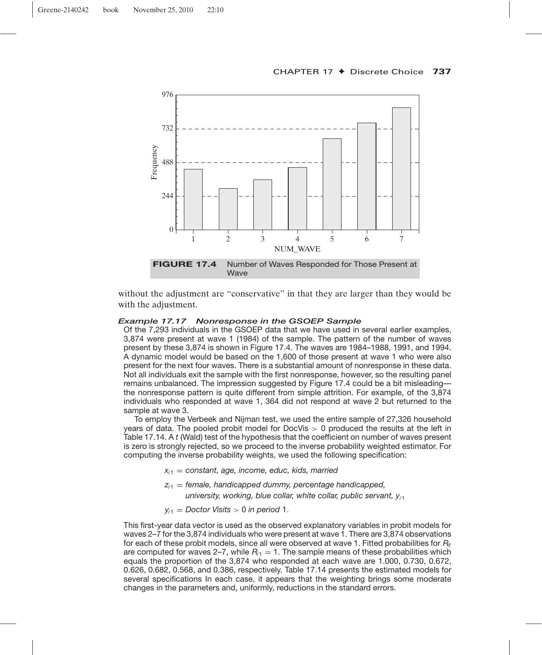

CHAPTER 17 ✦ Discrete Choice **737**

without the adjustment are "conservative" in that they are larger than they would be with the adjustment.

### *Example 17.17 Nonresponse in the GSOEP Sample*

Of the 7,293 individuals in the GSOEP data that we have used in several earlier examples, 3,874 were present at wave 1 (1984) of the sample. The pattern of the number of waves present by these 3,874 is shown in Figure 17.4. The waves are 1984–1988, 1991, and 1994. A dynamic model would be based on the 1,600 of those present at wave 1 who were also present for the next four waves. There is a substantial amount of nonresponse in these data. Not all individuals exit the sample with the first nonresponse, however, so the resulting panel remains unbalanced. The impression suggested by Figure 17.4 could be a bit misleading the nonresponse pattern is quite different from simple attrition. For example, of the 3,874 individuals who responded at wave 1, 364 did not respond at wave 2 but returned to the sample at wave 3.

To employ the Verbeek and Nijman test, we used the entire sample of 27,326 household years of data. The pooled probit model for DocVis > 0 produced the results at the left in Table 17.14. A *t* (Wald) test of the hypothesis that the coefficient on number of waves present is zero is strongly rejected, so we proceed to the inverse probability weighted estimator. For computing the inverse probability weights, we used the following specification:

*xi* <sup>1</sup> = *constant, age, income, educ, kids, married*

*zi* <sup>1</sup> = *female, handicapped dummy, percentage handicapped,*

*university, working, blue collar, white collar, public servant, yi* <sup>1</sup>

 $y_{i1}$  = *Doctor Visits* > 0 *in period* 1.

This first-year data vector is used as the observed explanatory variables in probit models for waves 2–7 for the 3,874 individuals who were present at wave 1. There are 3,874 observations for each of these probit models, since all were observed at wave 1. Fitted probabilities for *Rit* are computed for waves 2–7, while  $R<sub>i1</sub> = 1$ . The sample means of these probabilities which equals the proportion of the 3,874 who responded at each wave are 1.000, 0.730, 0.672, 0.626, 0.682, 0.568, and 0.386, respectively. Table 17.14 presents the estimated models for several specifications In each case, it appears that the weighting brings some moderate changes in the parameters and, uniformly, reductions in the standard errors.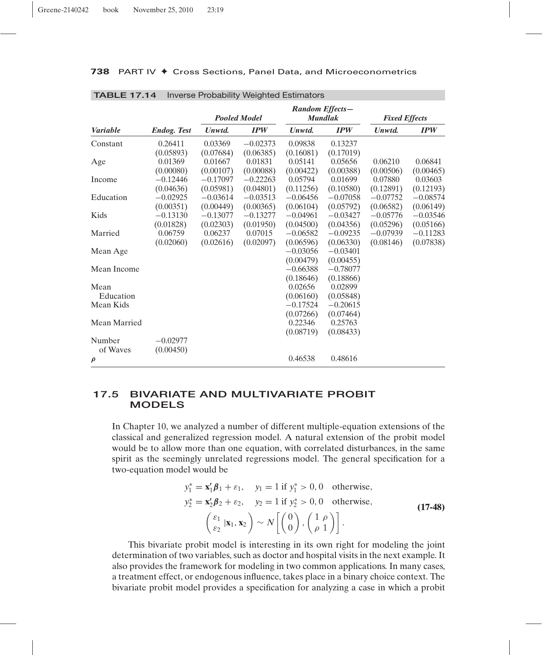|                 |                    |            | <b>Pooled Model</b> | <b>Random Effects-</b> | <b>Mundlak</b> | <b>Fixed Effects</b> |            |
|-----------------|--------------------|------------|---------------------|------------------------|----------------|----------------------|------------|
| <b>Variable</b> | <b>Endog. Test</b> | Unwtd.     | IPW                 | Unwtd.                 | IPW            | Unwtd.               | <b>IPW</b> |
| Constant        | 0.26411            | 0.03369    | $-0.02373$          | 0.09838                | 0.13237        |                      |            |
|                 | (0.05893)          | (0.07684)  | (0.06385)           | (0.16081)              | (0.17019)      |                      |            |
| Age             | 0.01369            | 0.01667    | 0.01831             | 0.05141                | 0.05656        | 0.06210              | 0.06841    |
|                 | (0.00080)          | (0.00107)  | (0.00088)           | (0.00422)              | (0.00388)      | (0.00506)            | (0.00465)  |
| Income          | $-0.12446$         | $-0.17097$ | $-0.22263$          | 0.05794                | 0.01699        | 0.07880              | 0.03603    |
|                 | (0.04636)          | (0.05981)  | (0.04801)           | (0.11256)              | (0.10580)      | (0.12891)            | (0.12193)  |
| Education       | $-0.02925$         | $-0.03614$ | $-0.03513$          | $-0.06456$             | $-0.07058$     | $-0.07752$           | $-0.08574$ |
|                 | (0.00351)          | (0.00449)  | (0.00365)           | (0.06104)              | (0.05792)      | (0.06582)            | (0.06149)  |
| Kids            | $-0.13130$         | $-0.13077$ | $-0.13277$          | $-0.04961$             | $-0.03427$     | $-0.05776$           | $-0.03546$ |
|                 | (0.01828)          | (0.02303)  | (0.01950)           | (0.04500)              | (0.04356)      | (0.05296)            | (0.05166)  |
| Married         | 0.06759            | 0.06237    | 0.07015             | $-0.06582$             | $-0.09235$     | $-0.07939$           | $-0.11283$ |
|                 | (0.02060)          | (0.02616)  | (0.02097)           | (0.06596)              | (0.06330)      | (0.08146)            | (0.07838)  |
| Mean Age        |                    |            |                     | $-0.03056$             | $-0.03401$     |                      |            |
|                 |                    |            |                     | (0.00479)              | (0.00455)      |                      |            |
| Mean Income     |                    |            |                     | $-0.66388$             | $-0.78077$     |                      |            |
|                 |                    |            |                     | (0.18646)              | (0.18866)      |                      |            |
| Mean            |                    |            |                     | 0.02656                | 0.02899        |                      |            |
| Education       |                    |            |                     | (0.06160)              | (0.05848)      |                      |            |
| Mean Kids       |                    |            |                     | $-0.17524$             | $-0.20615$     |                      |            |
|                 |                    |            |                     | (0.07266)              | (0.07464)      |                      |            |
| Mean Married    |                    |            |                     | 0.22346                | 0.25763        |                      |            |
|                 |                    |            |                     | (0.08719)              | (0.08433)      |                      |            |
| Number          | $-0.02977$         |            |                     |                        |                |                      |            |
| of Waves        | (0.00450)          |            |                     |                        |                |                      |            |
| $\rho$          |                    |            |                     | 0.46538                | 0.48616        |                      |            |

**TABLE 17.14** Inverse Probability Weighted Estimators

# **17.5 BIVARIATE AND MULTIVARIATE PROBIT MODELS**

In Chapter 10, we analyzed a number of different multiple-equation extensions of the classical and generalized regression model. A natural extension of the probit model would be to allow more than one equation, with correlated disturbances, in the same spirit as the seemingly unrelated regressions model. The general specification for a two-equation model would be

$$
y_1^* = \mathbf{x}_1' \boldsymbol{\beta}_1 + \varepsilon_1, \quad y_1 = 1 \text{ if } y_1^* > 0, 0 \quad \text{otherwise},
$$
  
\n
$$
y_2^* = \mathbf{x}_2' \boldsymbol{\beta}_2 + \varepsilon_2, \quad y_2 = 1 \text{ if } y_2^* > 0, 0 \quad \text{otherwise},
$$
  
\n
$$
\begin{pmatrix} \varepsilon_1 \\ \varepsilon_2 \end{pmatrix} \mathbf{x}_1, \mathbf{x}_2 \end{pmatrix} \sim N \begin{bmatrix} 0 \\ 0 \end{bmatrix}, \begin{pmatrix} 1 \\ \rho \end{pmatrix}.
$$
 (17-48)

This bivariate probit model is interesting in its own right for modeling the joint determination of two variables, such as doctor and hospital visits in the next example. It also provides the framework for modeling in two common applications. In many cases, a treatment effect, or endogenous influence, takes place in a binary choice context. The bivariate probit model provides a specification for analyzing a case in which a probit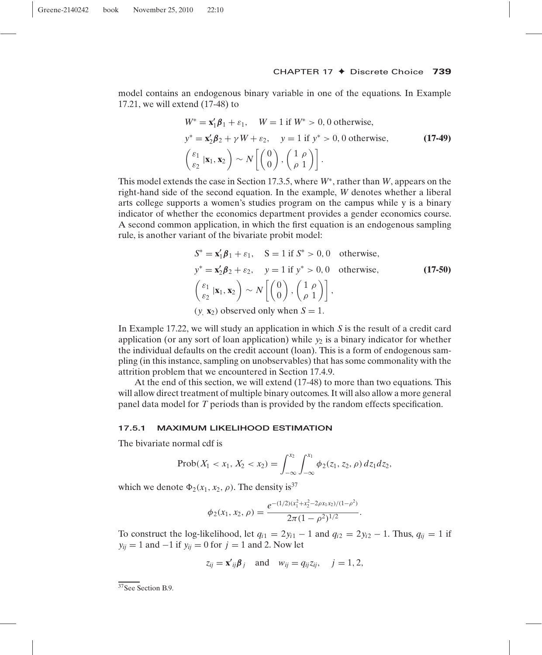model contains an endogenous binary variable in one of the equations. In Example 17.21, we will extend (17-48) to

$$
W^* = \mathbf{x}_1' \boldsymbol{\beta}_1 + \varepsilon_1, \quad W = 1 \text{ if } W^* > 0, \text{ 0 otherwise,}
$$
  
\n
$$
y^* = \mathbf{x}_2' \boldsymbol{\beta}_2 + \gamma W + \varepsilon_2, \quad y = 1 \text{ if } y^* > 0, \text{ 0 otherwise,}
$$
  
\n
$$
\begin{pmatrix} \varepsilon_1 \\ \varepsilon_2 \end{pmatrix} \mathbf{x}_1, \mathbf{x}_2 \end{pmatrix} \sim N \begin{bmatrix} 0 \\ 0 \end{bmatrix}, \begin{pmatrix} 1 & \rho \\ \rho & 1 \end{pmatrix}.
$$
 (17-49)

This model extends the case in Section 17.3.5, where *W*<sup>∗</sup>, rather than *W*, appears on the right-hand side of the second equation. In the example, *W* denotes whether a liberal arts college supports a women's studies program on the campus while y is a binary indicator of whether the economics department provides a gender economics course. A second common application, in which the first equation is an endogenous sampling rule, is another variant of the bivariate probit model:

$$
S^* = \mathbf{x}_1' \boldsymbol{\beta}_1 + \varepsilon_1, \quad S = 1 \text{ if } S^* > 0, 0 \quad \text{otherwise},
$$
  
\n
$$
y^* = \mathbf{x}_2' \boldsymbol{\beta}_2 + \varepsilon_2, \quad y = 1 \text{ if } y^* > 0, 0 \quad \text{otherwise},
$$
  
\n
$$
\begin{pmatrix} \varepsilon_1 \\ \varepsilon_2 \end{pmatrix} \mathbf{x}_1, \mathbf{x}_2 \end{pmatrix} \sim N \begin{bmatrix} 0 \\ 0 \end{bmatrix}, \begin{pmatrix} 1 \\ \rho \end{pmatrix}, \begin{pmatrix} 1 \\ \rho \end{pmatrix},
$$
  
\n
$$
(y, \mathbf{x}_2) \text{ observed only when } S = 1.
$$
 (17-50)

In Example 17.22, we will study an application in which *S* is the result of a credit card application (or any sort of loan application) while  $y_2$  is a binary indicator for whether the individual defaults on the credit account (loan). This is a form of endogenous sampling (in this instance, sampling on unobservables) that has some commonality with the attrition problem that we encountered in Section 17.4.9.

At the end of this section, we will extend (17-48) to more than two equations. This will allow direct treatment of multiple binary outcomes. It will also allow a more general panel data model for *T* periods than is provided by the random effects specification.

### **17.5.1 MAXIMUM LIKELIHOOD ESTIMATION**

The bivariate normal cdf is

$$
\mathrm{Prob}(X_1 < x_1, X_2 < x_2) = \int_{-\infty}^{x_2} \int_{-\infty}^{x_1} \phi_2(z_1, z_2, \rho) \, dz_1 dz_2,
$$

which we denote  $\Phi_2(x_1, x_2, \rho)$ . The density is<sup>37</sup>

$$
\phi_2(x_1, x_2, \rho) = \frac{e^{-(1/2)(x_1^2 + x_2^2 - 2\rho x_1 x_2)/(1 - \rho^2)}}{2\pi (1 - \rho^2)^{1/2}}.
$$

To construct the log-likelihood, let  $q_{i1} = 2y_{i1} - 1$  and  $q_{i2} = 2y_{i2} - 1$ . Thus,  $q_{ij} = 1$  if *y<sub>ij</sub>* = 1 and −1 if *y<sub>ij</sub>* = 0 for *j* = 1 and 2. Now let

$$
z_{ij} = \mathbf{x}'_{ij}\boldsymbol{\beta}_j \quad \text{and} \quad w_{ij} = q_{ij}z_{ij}, \quad j = 1, 2,
$$

 $\frac{37}{37}$ See Section B.9.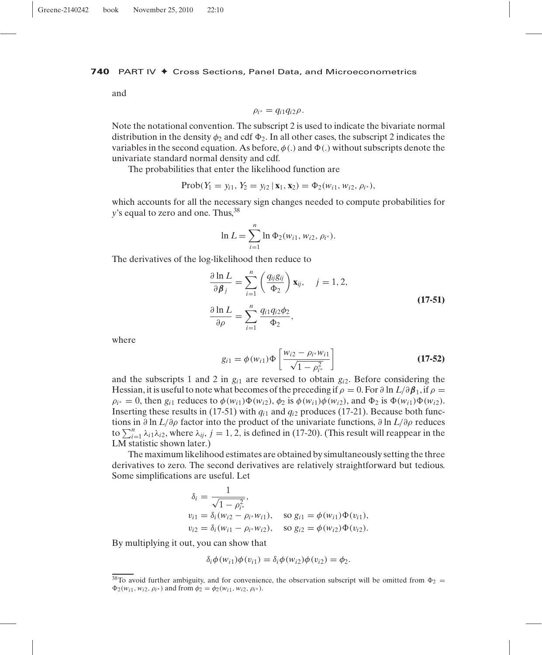and

$$
\rho_{i^*}=q_{i1}q_{i2}\rho.
$$

Note the notational convention. The subscript 2 is used to indicate the bivariate normal distribution in the density  $\phi_2$  and cdf  $\Phi_2$ . In all other cases, the subscript 2 indicates the variables in the second equation. As before,  $\phi(.)$  and  $\Phi(.)$  without subscripts denote the univariate standard normal density and cdf.

The probabilities that enter the likelihood function are

$$
Prob(Y_1 = y_{i1}, Y_2 = y_{i2} | \mathbf{x}_1, \mathbf{x}_2) = \Phi_2(w_{i1}, w_{i2}, \rho_{i^*}),
$$

which accounts for all the necessary sign changes needed to compute probabilities for *y*'s equal to zero and one. Thus,<sup>38</sup>

$$
\ln L = \sum_{i=1}^{n} \ln \Phi_2(w_{i1}, w_{i2}, \rho_{i^*}).
$$

The derivatives of the log-likelihood then reduce to

$$
\frac{\partial \ln L}{\partial \beta_j} = \sum_{i=1}^n \left( \frac{q_{ij}g_{ij}}{\Phi_2} \right) \mathbf{x}_{ij}, \quad j = 1, 2,
$$
  

$$
\frac{\partial \ln L}{\partial \rho} = \sum_{i=1}^n \frac{q_{i1}q_{i2}\phi_2}{\Phi_2},
$$
 (17-51)

where

$$
g_{i1} = \phi(w_{i1}) \Phi\left[\frac{w_{i2} - \rho_{i^*} w_{i1}}{\sqrt{1 - \rho_{i^*}^2}}\right]
$$
(17-52)

and the subscripts 1 and 2 in  $g_{i1}$  are reversed to obtain  $g_{i2}$ . Before considering the Hessian, it is useful to note what becomes of the preceding if  $\rho = 0$ . For  $\partial \ln L / \partial \beta_1$ , if  $\rho =$  $\rho_{i^*} = 0$ , then  $g_{i1}$  reduces to  $\phi(w_{i1})\Phi(w_{i2}), \phi_2$  is  $\phi(w_{i1})\phi(w_{i2})$ , and  $\Phi_2$  is  $\Phi(w_{i1})\Phi(w_{i2})$ . Inserting these results in (17-51) with  $q_{i1}$  and  $q_{i2}$  produces (17-21). Because both functions in ∂ ln *L*/∂ρ factor into the product of the univariate functions, ∂ ln *L*/∂ρ reduces to  $\sum_{i=1}^{n} \lambda_{i1} \lambda_{i2}$ , where  $\lambda_{ij}$ ,  $j = 1, 2$ , is defined in (17-20). (This result will reappear in the LM statistic shown later.)

The maximum likelihood estimates are obtained by simultaneously setting the three derivatives to zero. The second derivatives are relatively straightforward but tedious. Some simplifications are useful. Let

$$
\delta_i = \frac{1}{\sqrt{1 - \rho_{i^*}^2}},
$$
  
\n
$$
v_{i1} = \delta_i (w_{i2} - \rho_{i^*} w_{i1}), \quad \text{so } g_{i1} = \phi(w_{i1}) \Phi(v_{i1}),
$$
  
\n
$$
v_{i2} = \delta_i (w_{i1} - \rho_{i^*} w_{i2}), \quad \text{so } g_{i2} = \phi(w_{i2}) \Phi(v_{i2}).
$$

By multiplying it out, you can show that

$$
\delta_i \phi(w_{i1}) \phi(v_{i1}) = \delta_i \phi(w_{i2}) \phi(v_{i2}) = \phi_2.
$$

<sup>&</sup>lt;sup>38</sup>To avoid further ambiguity, and for convenience, the observation subscript will be omitted from  $\Phi_2$  =  $\Phi_2(w_{i1}, w_{i2}, \rho_{i^*})$  and from  $\phi_2 = \phi_2(w_{i1}, w_{i2}, \rho_{i^*}).$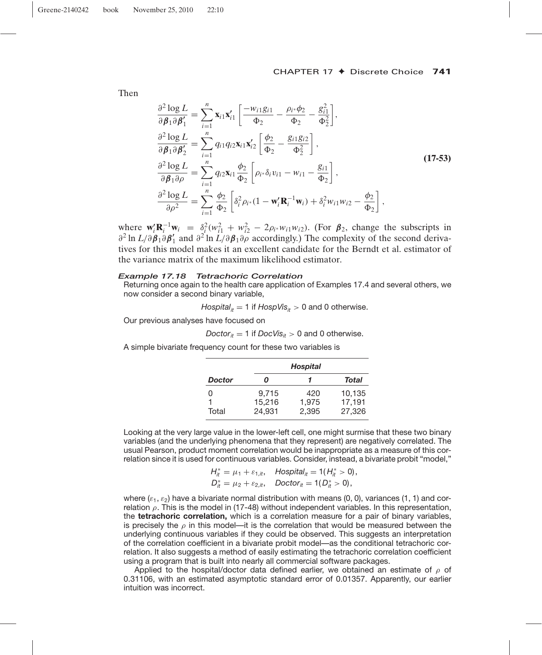Then

$$
\frac{\partial^2 \log L}{\partial \beta_1 \partial \beta'_1} = \sum_{i=1}^n \mathbf{x}_{i1} \mathbf{x}'_{i1} \left[ \frac{-w_{i1} g_{i1}}{\Phi_2} - \frac{\rho_{i*} \phi_2}{\Phi_2} - \frac{g_{i1}^2}{\Phi_2^2} \right],
$$
  
\n
$$
\frac{\partial^2 \log L}{\partial \beta_1 \partial \beta'_2} = \sum_{i=1}^n q_{i1} q_{i2} \mathbf{x}_{i1} \mathbf{x}'_{i2} \left[ \frac{\phi_2}{\Phi_2} - \frac{g_{i1} g_{i2}}{\Phi_2^2} \right],
$$
  
\n
$$
\frac{\partial^2 \log L}{\partial \beta_1 \partial \rho} = \sum_{i=1}^n q_{i2} \mathbf{x}_{i1} \frac{\phi_2}{\Phi_2} \left[ \rho_{i*} \delta_i v_{i1} - w_{i1} - \frac{g_{i1}}{\Phi_2} \right],
$$
  
\n
$$
\frac{\partial^2 \log L}{\partial \rho^2} = \sum_{i=1}^n \frac{\phi_2}{\Phi_2} \left[ \delta_i^2 \rho_{i*} (1 - \mathbf{w}'_i \mathbf{R}_i^{-1} \mathbf{w}_i) + \delta_i^2 w_{i1} w_{i2} - \frac{\phi_2}{\Phi_2} \right],
$$
\n(17-53)

where  $\mathbf{w}_i' \mathbf{R}_i^{-1} \mathbf{w}_i = \delta_i^2 (w_{i1}^2 + w_{i2}^2 - 2\rho_{i*} w_{i1} w_{i2})$ . (For  $\beta_2$ , change the subscripts in ∂<sup>2</sup> ln *L*/∂*β*1∂*β***-** <sup>1</sup> and ∂<sup>2</sup> ln *L*/∂*β*1∂ρ accordingly.) The complexity of the second derivatives for this model makes it an excellent candidate for the Berndt et al. estimator of the variance matrix of the maximum likelihood estimator.

#### *Example 17.18 Tetrachoric Correlation*

Returning once again to the health care application of Examples 17.4 and several others, we now consider a second binary variable,

*Hospital<sub>it</sub>* = 1 if *HospVis<sub>it</sub>* > 0 and 0 otherwise.

Our previous analyses have focused on

*Doctor<sub>it</sub>* = 1 if *DocVis<sub>it</sub>* > 0 and 0 otherwise.

A simple bivariate frequency count for these two variables is

|        |        | <b>Hospital</b> |        |
|--------|--------|-----------------|--------|
| Doctor | Ω      |                 | Total  |
| 0      | 9.715  | 420             | 10,135 |
|        | 15,216 | 1.975           | 17,191 |
| Total  | 24,931 | 2.395           | 27,326 |

Looking at the very large value in the lower-left cell, one might surmise that these two binary variables (and the underlying phenomena that they represent) are negatively correlated. The usual Pearson, product moment correlation would be inappropriate as a measure of this correlation since it is used for continuous variables. Consider, instead, a bivariate probit "model,"

$$
H_{it}^* = \mu_1 + \varepsilon_{1,it}, \quad Hospital_{it} = 1(H_{it}^* > 0),
$$
  

$$
D_{it}^* = \mu_2 + \varepsilon_{2,it}, \quad Doctor_{it} = 1(D_{it}^* > 0),
$$

where  $(\varepsilon_1, \varepsilon_2)$  have a bivariate normal distribution with means (0, 0), variances (1, 1) and correlation  $\rho$ . This is the model in (17-48) without independent variables. In this representation, the **tetrachoric correlation,** which is a correlation measure for a pair of binary variables, is precisely the  $\rho$  in this model—it is the correlation that would be measured between the underlying continuous variables if they could be observed. This suggests an interpretation of the correlation coefficient in a bivariate probit model—as the conditional tetrachoric correlation. It also suggests a method of easily estimating the tetrachoric correlation coefficient using a program that is built into nearly all commercial software packages.

Applied to the hospital/doctor data defined earlier, we obtained an estimate of  $\rho$  of 0.31106, with an estimated asymptotic standard error of 0.01357. Apparently, our earlier intuition was incorrect.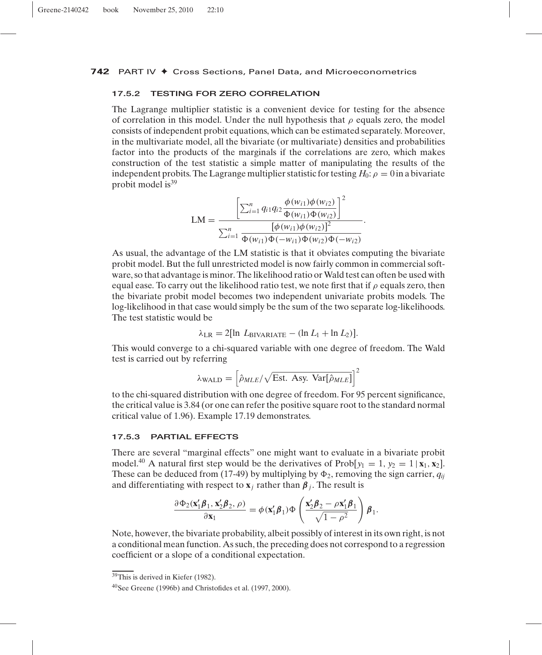# **17.5.2 TESTING FOR ZERO CORRELATION**

The Lagrange multiplier statistic is a convenient device for testing for the absence of correlation in this model. Under the null hypothesis that  $\rho$  equals zero, the model consists of independent probit equations, which can be estimated separately. Moreover, in the multivariate model, all the bivariate (or multivariate) densities and probabilities factor into the products of the marginals if the correlations are zero, which makes construction of the test statistic a simple matter of manipulating the results of the independent probits. The Lagrange multiplier statistic for testing  $H_0$ :  $\rho = 0$  in a bivariate probit model is $39$ 

$$
LM = \frac{\left[\sum_{i=1}^{n} q_{i1}q_{i2} \frac{\phi(w_{i1})\phi(w_{i2})}{\Phi(w_{i1})\Phi(w_{i2})}\right]^{2}}{\sum_{i=1}^{n} \frac{[\phi(w_{i1})\phi(w_{i2})]^{2}}{\Phi(w_{i1})\Phi(-w_{i1})\Phi(w_{i2})\Phi(-w_{i2})}}.
$$

As usual, the advantage of the LM statistic is that it obviates computing the bivariate probit model. But the full unrestricted model is now fairly common in commercial software, so that advantage is minor. The likelihood ratio or Wald test can often be used with equal ease. To carry out the likelihood ratio test, we note first that if  $\rho$  equals zero, then the bivariate probit model becomes two independent univariate probits models. The log-likelihood in that case would simply be the sum of the two separate log-likelihoods. The test statistic would be

$$
\lambda_{LR} = 2[\ln L_{BIVARIATE} - (\ln L_1 + \ln L_2)].
$$

This would converge to a chi-squared variable with one degree of freedom. The Wald test is carried out by referring

$$
\lambda_{\text{WALD}} = \left[ \hat{\rho}_{MLE} / \sqrt{\text{Est. Asy. Var}[\hat{\rho}_{MLE}]} \right]^2
$$

to the chi-squared distribution with one degree of freedom. For 95 percent significance, the critical value is 3.84 (or one can refer the positive square root to the standard normal critical value of 1.96). Example 17.19 demonstrates.

# **17.5.3 PARTIAL EFFECTS**

There are several "marginal effects" one might want to evaluate in a bivariate probit model.<sup>40</sup> A natural first step would be the derivatives of Prob[ $y_1 = 1$ ,  $y_2 = 1 | \mathbf{x}_1, \mathbf{x}_2$ ]. These can be deduced from (17-49) by multiplying by  $\Phi_2$ , removing the sign carrier,  $q_{ii}$ and differentiating with respect to  $\mathbf{x}_i$  rather than  $\beta_i$ . The result is

$$
\frac{\partial \Phi_2(\mathbf{x}_1'\boldsymbol{\beta}_1, \mathbf{x}_2'\boldsymbol{\beta}_2, \rho)}{\partial \mathbf{x}_1} = \phi(\mathbf{x}_1'\boldsymbol{\beta}_1)\Phi\left(\frac{\mathbf{x}_2'\boldsymbol{\beta}_2 - \rho\mathbf{x}_1'\boldsymbol{\beta}_1}{\sqrt{1-\rho^2}}\right)\boldsymbol{\beta}_1.
$$

Note, however, the bivariate probability, albeit possibly of interest in its own right, is not a conditional mean function. As such, the preceding does not correspond to a regression coefficient or a slope of a conditional expectation.

<sup>&</sup>lt;sup>39</sup>This is derived in Kiefer (1982).

<sup>40</sup>See Greene (1996b) and Christofides et al. (1997, 2000).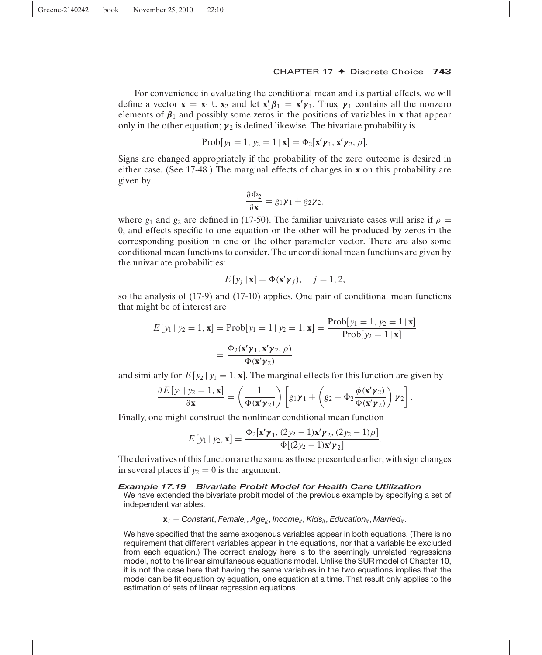For convenience in evaluating the conditional mean and its partial effects, we will define a vector  $\mathbf{x} = \mathbf{x}_1 \cup \mathbf{x}_2$  and let  $\mathbf{x}'_1 \boldsymbol{\beta}_1 = \mathbf{x}' \boldsymbol{\gamma}_1$ . Thus,  $\boldsymbol{\gamma}_1$  contains all the nonzero elements of  $\beta_1$  and possibly some zeros in the positions of variables in **x** that appear only in the other equation;  $\gamma_2$  is defined likewise. The bivariate probability is

$$
Prob[y_1 = 1, y_2 = 1 | \mathbf{x}] = \Phi_2[\mathbf{x}' \mathbf{y}_1, \mathbf{x}' \mathbf{y}_2, \rho].
$$

Signs are changed appropriately if the probability of the zero outcome is desired in either case. (See 17-48.) The marginal effects of changes in **x** on this probability are given by

$$
\frac{\partial \Phi_2}{\partial \mathbf{x}} = g_1 \mathbf{y}_1 + g_2 \mathbf{y}_2,
$$

where  $g_1$  and  $g_2$  are defined in (17-50). The familiar univariate cases will arise if  $\rho =$ 0, and effects specific to one equation or the other will be produced by zeros in the corresponding position in one or the other parameter vector. There are also some conditional mean functions to consider. The unconditional mean functions are given by the univariate probabilities:

$$
E[y_j | \mathbf{x}] = \Phi(\mathbf{x}' \mathbf{y}_j), \quad j = 1, 2,
$$

so the analysis of (17-9) and (17-10) applies. One pair of conditional mean functions that might be of interest are

$$
E[y_1 | y_2 = 1, \mathbf{x}] = Prob[y_1 = 1 | y_2 = 1, \mathbf{x}] = \frac{Prob[y_1 = 1, y_2 = 1 | \mathbf{x}]}{Prob[y_2 = 1 | \mathbf{x}]} = \frac{\Phi_2(\mathbf{x}' \mathbf{y}_1, \mathbf{x}' \mathbf{y}_2, \rho)}{\Phi(\mathbf{x}' \mathbf{y}_2)}
$$

and similarly for  $E[y_2 | y_1 = 1, \mathbf{x}]$ . The marginal effects for this function are given by

$$
\frac{\partial E[y_1 \mid y_2 = 1, \mathbf{x}]}{\partial \mathbf{x}} = \left(\frac{1}{\Phi(\mathbf{x}' \mathbf{y}_2)}\right) \left[g_1 \mathbf{y}_1 + \left(g_2 - \Phi_2 \frac{\phi(\mathbf{x}' \mathbf{y}_2)}{\Phi(\mathbf{x}' \mathbf{y}_2)}\right) \mathbf{y}_2\right].
$$

Finally, one might construct the nonlinear conditional mean function

$$
E[y_1 | y_2, \mathbf{x}] = \frac{\Phi_2[\mathbf{x}' \boldsymbol{\gamma}_1, (2y_2 - 1)\mathbf{x}' \boldsymbol{\gamma}_2, (2y_2 - 1)\rho]}{\Phi[(2y_2 - 1)\mathbf{x}' \boldsymbol{\gamma}_2]}.
$$

The derivatives of this function are the same as those presented earlier, with sign changes in several places if  $y_2 = 0$  is the argument.

#### *Example 17.19 Bivariate Probit Model for Health Care Utilization*

We have extended the bivariate probit model of the previous example by specifying a set of independent variables,

 $\mathbf{x}_i =$  *Constant*, *Female<sub>i</sub>*, *Age<sub>it</sub>*, *Income<sub>it</sub>*, *Kids<sub>it</sub>*, *Education<sub>it</sub>*, *Married<sub>it</sub>*.

We have specified that the same exogenous variables appear in both equations. (There is no requirement that different variables appear in the equations, nor that a variable be excluded from each equation.) The correct analogy here is to the seemingly unrelated regressions model, not to the linear simultaneous equations model. Unlike the SUR model of Chapter 10, it is not the case here that having the same variables in the two equations implies that the model can be fit equation by equation, one equation at a time. That result only applies to the estimation of sets of linear regression equations.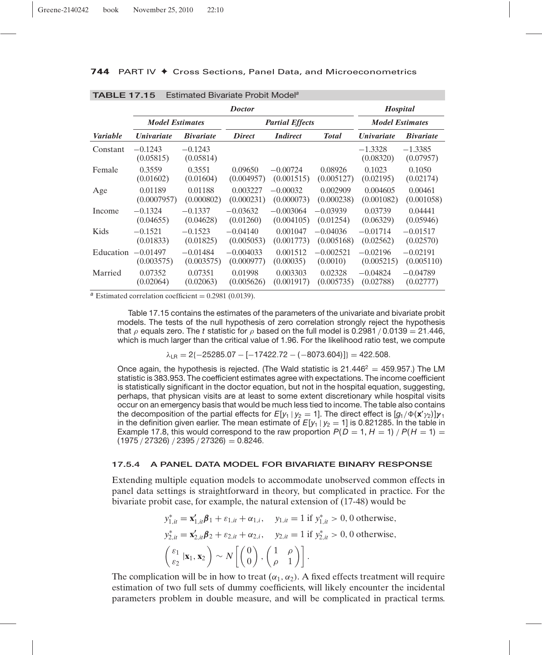|                 |                          |                        | <b>Doctor</b> |                        |              | <b>Hospital</b>          |                        |
|-----------------|--------------------------|------------------------|---------------|------------------------|--------------|--------------------------|------------------------|
|                 | <b>Model Estimates</b>   |                        |               | <b>Partial Effects</b> |              | <b>Model Estimates</b>   |                        |
| <b>Variable</b> | <i><b>Univariate</b></i> | <b>Bivariate</b>       | <b>Direct</b> | <i>Indirect</i>        | <b>Total</b> | <i><b>Univariate</b></i> | <b>Bivariate</b>       |
| Constant        | $-0.1243$<br>(0.05815)   | $-0.1243$<br>(0.05814) |               |                        |              | $-1.3328$<br>(0.08320)   | $-1.3385$<br>(0.07957) |
| Female          | 0.3559                   | 0.3551                 | 0.09650       | $-0.00724$             | 0.08926      | 0.1023                   | 0.1050                 |
|                 | (0.01602)                | (0.01604)              | (0.004957)    | (0.001515)             | (0.005127)   | (0.02195)                | (0.02174)              |
| Age             | 0.01189                  | 0.01188                | 0.003227      | $-0.00032$             | 0.002909     | 0.004605                 | 0.00461                |
|                 | (0.0007957)              | (0.000802)             | (0.000231)    | (0.000073)             | (0.000238)   | (0.001082)               | (0.001058)             |
| Income          | $-0.1324$                | $-0.1337$              | $-0.03632$    | $-0.003064$            | $-0.03939$   | 0.03739                  | 0.04441                |
|                 | (0.04655)                | (0.04628)              | (0.01260)     | (0.004105)             | (0.01254)    | (0.06329)                | (0.05946)              |
| Kids            | $-0.1521$                | $-0.1523$              | $-0.04140$    | 0.001047               | $-0.04036$   | $-0.01714$               | $-0.01517$             |
|                 | (0.01833)                | (0.01825)              | (0.005053)    | (0.001773)             | (0.005168)   | (0.02562)                | (0.02570)              |
| Education       | $-0.01497$               | $-0.01484$             | $-0.004033$   | 0.001512               | $-0.002521$  | $-0.02196$               | $-0.02191$             |
|                 | (0.003575)               | (0.003575)             | (0.000977)    | (0.00035)              | (0.0010)     | (0.005215)               | (0.005110)             |
| Married         | 0.07352                  | 0.07351                | 0.01998       | 0.003303               | 0.02328      | $-0.04824$               | $-0.04789$             |
|                 | (0.02064)                | (0.02063)              | (0.005626)    | (0.001917)             | (0.005735)   | (0.02788)                | (0.02777)              |

**TABLE 17.15** Estimated Bivariate Probit Model*<sup>a</sup>*

 $a$  Estimated correlation coefficient = 0.2981 (0.0139).

Table 17.15 contains the estimates of the parameters of the univariate and bivariate probit models. The tests of the null hypothesis of zero correlation strongly reject the hypothesis that  $\rho$  equals zero. The *t* statistic for  $\rho$  based on the full model is 0.2981 / 0.0139 = 21.446, which is much larger than the critical value of 1.96. For the likelihood ratio test, we compute

$$
\lambda_{LR}=2\{-25285.07 - [-17422.72 - (-8073.604)]\}=422.508.
$$

Once again, the hypothesis is rejected. (The Wald statistic is  $21.446^2 = 459.957$ .) The LM statistic is 383.953. The coefficient estimates agree with expectations. The income coefficient is statistically significant in the doctor equation, but not in the hospital equation, suggesting, perhaps, that physican visits are at least to some extent discretionary while hospital visits occur on an emergency basis that would be much less tied to income. The table also contains the decomposition of the partial effects for *E*[*y*<sub>1</sub> | *y*<sub>2</sub> = 1]. The direct effect is [*g*<sub>1</sub>/Φ(**x′** γ<sub>2</sub>)] $<sub>1</sub>$ in the definition given earlier. The mean estimate of  $E[y_1]y_2 = 1$  is 0.821285. In the table in Example 17.8, this would correspond to the raw proportion  $P(D = 1, H = 1) / P(H = 1)$  $(1975 / 27326) / 2395 / 27326) = 0.8246.$ 

### **17.5.4 A PANEL DATA MODEL FOR BIVARIATE BINARY RESPONSE**

Extending multiple equation models to accommodate unobserved common effects in panel data settings is straightforward in theory, but complicated in practice. For the bivariate probit case, for example, the natural extension of (17-48) would be

$$
y_{1,ii}^* = \mathbf{x}_{1,ii}' \boldsymbol{\beta}_1 + \varepsilon_{1,ii} + \alpha_{1,i}, \quad y_{1,ii} = 1 \text{ if } y_{1,ii}^* > 0, 0 \text{ otherwise,}
$$
  
\n
$$
y_{2,ii}^* = \mathbf{x}_{2,ii}' \boldsymbol{\beta}_2 + \varepsilon_{2,ii} + \alpha_{2,i}, \quad y_{2,ii} = 1 \text{ if } y_{2,ii}^* > 0, 0 \text{ otherwise,}
$$
  
\n
$$
\begin{pmatrix} \varepsilon_1 \\ \varepsilon_2 \end{pmatrix} \mathbf{x}_1, \mathbf{x}_2 \rightarrow N \begin{bmatrix} \begin{pmatrix} 0 \\ 0 \end{pmatrix}, \begin{pmatrix} 1 & \rho \\ \rho & 1 \end{pmatrix} \end{bmatrix}.
$$

The complication will be in how to treat  $(\alpha_1, \alpha_2)$ . A fixed effects treatment will require estimation of two full sets of dummy coefficients, will likely encounter the incidental parameters problem in double measure, and will be complicated in practical terms.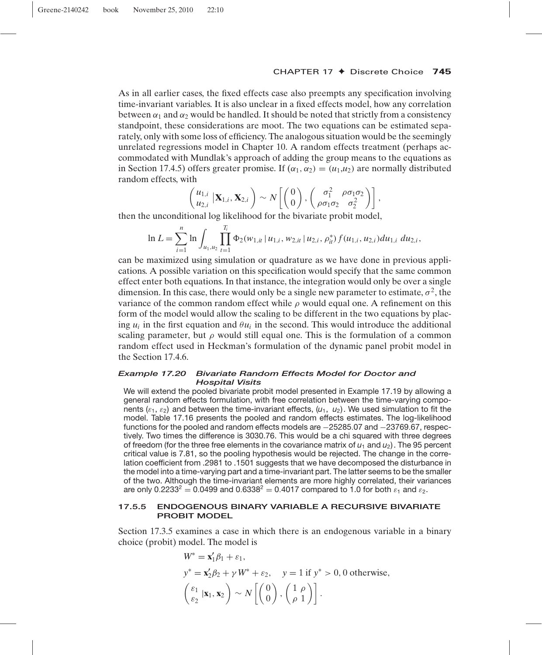As in all earlier cases, the fixed effects case also preempts any specification involving time-invariant variables. It is also unclear in a fixed effects model, how any correlation between  $\alpha_1$  and  $\alpha_2$  would be handled. It should be noted that strictly from a consistency standpoint, these considerations are moot. The two equations can be estimated separately, only with some loss of efficiency. The analogous situation would be the seemingly unrelated regressions model in Chapter 10. A random effects treatment (perhaps accommodated with Mundlak's approach of adding the group means to the equations as in Section 17.4.5) offers greater promise. If  $(\alpha_1, \alpha_2) = (u_1, u_2)$  are normally distributed random effects, with

$$
\begin{pmatrix} u_{1,i} \\ u_{2,i} \end{pmatrix} \mathbf{X}_{1,i}, \mathbf{X}_{2,i} \end{pmatrix} \sim N \left[ \begin{pmatrix} 0 \\ 0 \end{pmatrix}, \begin{pmatrix} \sigma_1^2 & \rho \sigma_1 \sigma_2 \\ \rho \sigma_1 \sigma_2 & \sigma_2^2 \end{pmatrix} \right],
$$

then the unconditional log likelihood for the bivariate probit model,

$$
\ln L = \sum_{i=1}^{n} \ln \int_{u_1, u_2} \prod_{t=1}^{T_i} \Phi_2(w_{1, it} \mid u_{1, i}, w_{2, it} \mid u_{2, i}, \rho_{it}^*) f(u_{1, i}, u_{2, i}) du_{1, i} du_{2, i},
$$

can be maximized using simulation or quadrature as we have done in previous applications. A possible variation on this specification would specify that the same common effect enter both equations. In that instance, the integration would only be over a single dimension. In this case, there would only be a single new parameter to estimate,  $\sigma^2$ , the variance of the common random effect while  $\rho$  would equal one. A refinement on this form of the model would allow the scaling to be different in the two equations by placing  $u_i$  in the first equation and  $\theta u_i$  in the second. This would introduce the additional scaling parameter, but  $\rho$  would still equal one. This is the formulation of a common random effect used in Heckman's formulation of the dynamic panel probit model in the Section 17.4.6.

# *Example 17.20 Bivariate Random Effects Model for Doctor and Hospital Visits*

We will extend the pooled bivariate probit model presented in Example 17.19 by allowing a general random effects formulation, with free correlation between the time-varying components ( $\varepsilon_1$ ,  $\varepsilon_2$ ) and between the time-invariant effects, ( $u_1$ ,  $u_2$ ). We used simulation to fit the model. Table 17.16 presents the pooled and random effects estimates. The log-likelihood functions for the pooled and random effects models are −25285.07 and −23769.67, respectively. Two times the difference is 3030.76. This would be a chi squared with three degrees of freedom (for the three free elements in the covariance matrix of  $u_1$  and  $u_2$ ). The 95 percent critical value is 7.81, so the pooling hypothesis would be rejected. The change in the correlation coefficient from .2981 to .1501 suggests that we have decomposed the disturbance in the model into a time-varying part and a time-invariant part. The latter seems to be the smaller of the two. Although the time-invariant elements are more highly correlated, their variances are only 0.2233<sup>2</sup> = 0.0499 and 0.6338<sup>2</sup> = 0.4017 compared to 1.0 for both  $\varepsilon_1$  and  $\varepsilon_2$ .

# **17.5.5 ENDOGENOUS BINARY VARIABLE A RECURSIVE BIVARIATE PROBIT MODEL**

Section 17.3.5 examines a case in which there is an endogenous variable in a binary choice (probit) model. The model is

$$
W^* = \mathbf{x}_1' \beta_1 + \varepsilon_1,
$$
  
\n
$$
y^* = \mathbf{x}_2' \beta_2 + \gamma W^* + \varepsilon_2, \quad y = 1 \text{ if } y^* > 0, 0 \text{ otherwise,}
$$
  
\n
$$
\begin{pmatrix} \varepsilon_1 \\ \varepsilon_2 \end{pmatrix} \mathbf{x}_1, \mathbf{x}_2 \rightarrow N \begin{bmatrix} 0 \\ 0 \end{bmatrix}, \begin{pmatrix} 1 & \rho \\ \rho & 1 \end{pmatrix}.
$$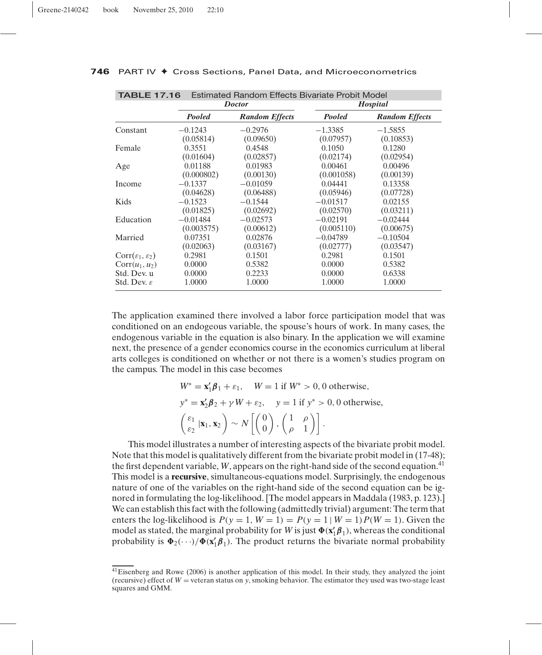| <b>TABLE 17.16</b>                   |               | Estimated Random Effects Bivariate Probit Model |               |                       |  |  |
|--------------------------------------|---------------|-------------------------------------------------|---------------|-----------------------|--|--|
|                                      |               | <b>Doctor</b>                                   |               | <b>Hospital</b>       |  |  |
|                                      | <b>Pooled</b> | <b>Random Effects</b>                           | <b>Pooled</b> | <b>Random Effects</b> |  |  |
| Constant                             | $-0.1243$     | $-0.2976$                                       | $-1.3385$     | $-1.5855$             |  |  |
|                                      | (0.05814)     | (0.09650)                                       | (0.07957)     | (0.10853)             |  |  |
| Female                               | 0.3551        | 0.4548                                          | 0.1050        | 0.1280                |  |  |
|                                      | (0.01604)     | (0.02857)                                       | (0.02174)     | (0.02954)             |  |  |
| Age                                  | 0.01188       | 0.01983                                         | 0.00461       | 0.00496               |  |  |
|                                      | (0.000802)    | (0.00130)                                       | (0.001058)    | (0.00139)             |  |  |
| Income                               | $-0.1337$     | $-0.01059$                                      | 0.04441       | 0.13358               |  |  |
|                                      | (0.04628)     | (0.06488)                                       | (0.05946)     | (0.07728)             |  |  |
| Kids                                 | $-0.1523$     | $-0.1544$                                       | $-0.01517$    | 0.02155               |  |  |
|                                      | (0.01825)     | (0.02692)                                       | (0.02570)     | (0.03211)             |  |  |
| Education                            | $-0.01484$    | $-0.02573$                                      | $-0.02191$    | $-0.02444$            |  |  |
|                                      | (0.003575)    | (0.00612)                                       | (0.005110)    | (0.00675)             |  |  |
| Married                              | 0.07351       | 0.02876                                         | $-0.04789$    | $-0.10504$            |  |  |
|                                      | (0.02063)     | (0.03167)                                       | (0.02777)     | (0.03547)             |  |  |
| $Corr(\varepsilon_1, \varepsilon_2)$ | 0.2981        | 0.1501                                          | 0.2981        | 0.1501                |  |  |
| $Corr(u_1, u_2)$                     | 0.0000        | 0.5382                                          | 0.0000        | 0.5382                |  |  |
| Std. Dev. u                          | 0.0000        | 0.2233                                          | 0.0000        | 0.6338                |  |  |
| Std. Dev. $\varepsilon$              | 1.0000        | 1.0000                                          | 1.0000        | 1.0000                |  |  |

The application examined there involved a labor force participation model that was conditioned on an endogeous variable, the spouse's hours of work. In many cases, the endogenous variable in the equation is also binary. In the application we will examine next, the presence of a gender economics course in the economics curriculum at liberal arts colleges is conditioned on whether or not there is a women's studies program on the campus. The model in this case becomes

> $W^* = \mathbf{x}'_1 \boldsymbol{\beta}_1 + \varepsilon_1$ ,  $W = 1$  if  $W^* > 0$ , 0 otherwise,  $y^* = \mathbf{x}'_2 \boldsymbol{\beta}_2 + \gamma W + \varepsilon_2$ ,  $y = 1$  if  $y^* > 0$ , 0 otherwise,  $\left( \varepsilon_1 \right)$  $\begin{bmatrix} \varepsilon_1 \\ \varepsilon_2 \end{bmatrix}$  **(x**<sub>1</sub>, **x**<sub>2</sub>) ~  $N\left[\begin{bmatrix} 0 \\ 0 \end{bmatrix}\right]$  $\boldsymbol{0}$  $\bigg)$ ,  $\bigg( \begin{matrix} 1 & \rho \\ 0 & 1 \end{matrix} \bigg)$  $\rho$  1  $\big)\big].$

This model illustrates a number of interesting aspects of the bivariate probit model. Note that this model is qualitatively different from the bivariate probit model in (17-48); the first dependent variable, *W*, appears on the right-hand side of the second equation.<sup>41</sup> This model is a **recursive**, simultaneous-equations model. Surprisingly, the endogenous nature of one of the variables on the right-hand side of the second equation can be ignored in formulating the log-likelihood. [The model appears in Maddala (1983, p. 123).] We can establish this fact with the following (admittedly trivial) argument: The term that enters the log-likelihood is  $P(y = 1, W = 1) = P(y = 1 | W = 1)P(W = 1)$ . Given the model as stated, the marginal probability for *W* is just  $\Phi(\mathbf{x}_1'\boldsymbol{\beta}_1)$ , whereas the conditional probability is  $\Phi_2(\cdots)/\Phi(\mathbf{x}'_1\boldsymbol{\beta}_1)$ . The product returns the bivariate normal probability

<sup>&</sup>lt;sup>41</sup>Eisenberg and Rowe (2006) is another application of this model. In their study, they analyzed the joint (recursive) effect of  $W =$  veteran status on  $y$ , smoking behavior. The estimator they used was two-stage least squares and GMM.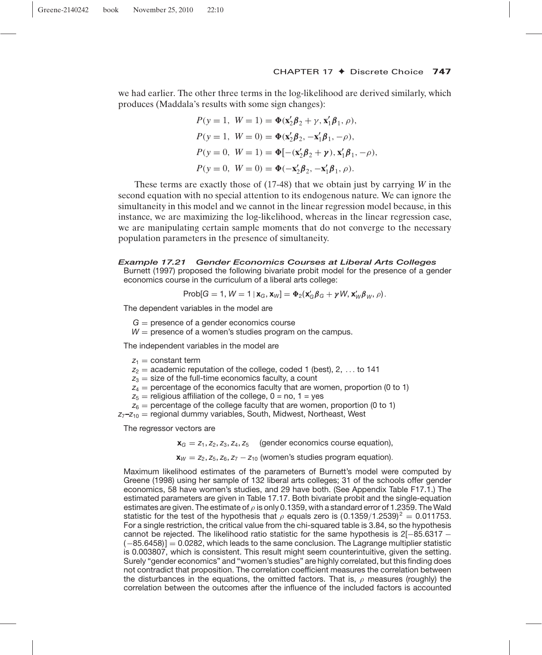### Greene-2140242 book November 25, 2010 22:10

### CHAPTER 17 ✦ Discrete Choice **747**

we had earlier. The other three terms in the log-likelihood are derived similarly, which produces (Maddala's results with some sign changes):

$$
P(y = 1, W = 1) = \Phi(\mathbf{x}_2' \beta_2 + \gamma, \mathbf{x}_1' \beta_1, \rho),
$$
  
\n
$$
P(y = 1, W = 0) = \Phi(\mathbf{x}_2' \beta_2, -\mathbf{x}_1' \beta_1, -\rho),
$$
  
\n
$$
P(y = 0, W = 1) = \Phi[-(\mathbf{x}_2' \beta_2 + \gamma), \mathbf{x}_1' \beta_1, -\rho),
$$
  
\n
$$
P(y = 0, W = 0) = \Phi(-\mathbf{x}_2' \beta_2, -\mathbf{x}_1' \beta_1, \rho).
$$

These terms are exactly those of (17-48) that we obtain just by carrying *W* in the second equation with no special attention to its endogenous nature. We can ignore the simultaneity in this model and we cannot in the linear regression model because, in this instance, we are maximizing the log-likelihood, whereas in the linear regression case, we are manipulating certain sample moments that do not converge to the necessary population parameters in the presence of simultaneity.

#### *Example 17.21 Gender Economics Courses at Liberal Arts Colleges*

Burnett (1997) proposed the following bivariate probit model for the presence of a gender economics course in the curriculum of a liberal arts college:

$$
\text{Prob}[G=1, W=1 \,|\, \mathbf{x}_G, \mathbf{x}_W] = \Phi_2(\mathbf{x}_G' \boldsymbol{\beta}_G + \boldsymbol{\gamma} W, \mathbf{x}_W' \boldsymbol{\beta}_W, \rho).
$$

The dependent variables in the model are

 $G =$  presence of a gender economics course

 $W =$  presence of a women's studies program on the campus.

The independent variables in the model are

 $z_1$  = constant term

 $z_2$  = academic reputation of the college, coded 1 (best), 2, ... to 141

 $z_3$  = size of the full-time economics faculty, a count

 $z_4$  = percentage of the economics faculty that are women, proportion (0 to 1)

 $z_5$  = religious affiliation of the college,  $0 =$  no,  $1 =$  yes

 $z_6$  = percentage of the college faculty that are women, proportion (0 to 1)

*z*7**–***z*<sup>10</sup> = regional dummy variables, South, Midwest, Northeast, West

The regressor vectors are

 $\mathbf{x}_G = z_1, z_2, z_3, z_4, z_5$  (gender economics course equation),

 $\mathbf{x}_W = z_2, z_5, z_6, z_7 - z_{10}$  (women's studies program equation).

Maximum likelihood estimates of the parameters of Burnett's model were computed by Greene (1998) using her sample of 132 liberal arts colleges; 31 of the schools offer gender economics, 58 have women's studies, and 29 have both. (See Appendix Table F17.1.) The estimated parameters are given in Table 17.17. Both bivariate probit and the single-equation estimates are given. The estimate of  $\rho$  is only 0.1359, with a standard error of 1.2359. The Wald statistic for the test of the hypothesis that  $\rho$  equals zero is (0.1359/1.2539)<sup>2</sup> = 0.011753. For a single restriction, the critical value from the chi-squared table is 3.84, so the hypothesis cannot be rejected. The likelihood ratio statistic for the same hypothesis is 2[−85.6317 − (−85.6458)] = 0.0282, which leads to the same conclusion. The Lagrange multiplier statistic is 0.003807, which is consistent. This result might seem counterintuitive, given the setting. Surely "gender economics" and "women's studies" are highly correlated, but this finding does not contradict that proposition. The correlation coefficient measures the correlation between the disturbances in the equations, the omitted factors. That is,  $\rho$  measures (roughly) the correlation between the outcomes after the influence of the included factors is accounted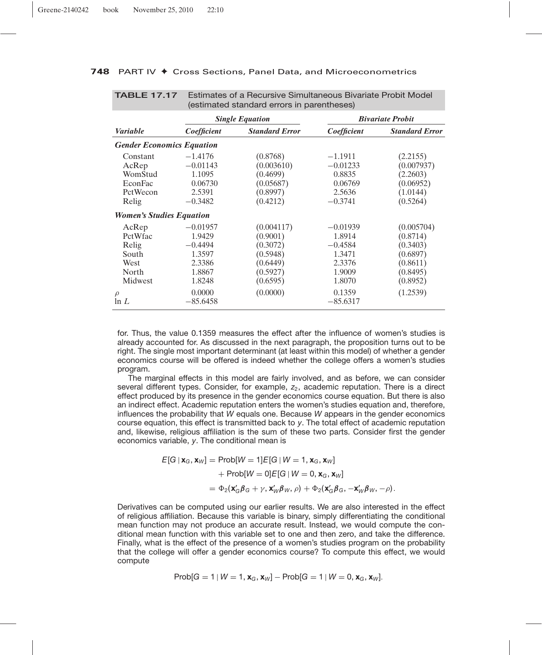|                                                                |                                                                           | (estimated standard errors in parentheses)                                         |                                                                           |                                                                                    |
|----------------------------------------------------------------|---------------------------------------------------------------------------|------------------------------------------------------------------------------------|---------------------------------------------------------------------------|------------------------------------------------------------------------------------|
|                                                                |                                                                           | <b>Single Equation</b>                                                             |                                                                           | <b>Bivariate Probit</b>                                                            |
| <b>Variable</b>                                                | Coefficient                                                               | <b>Standard Error</b>                                                              | Coefficient                                                               | <b>Standard Error</b>                                                              |
| <b>Gender Economics Equation</b>                               |                                                                           |                                                                                    |                                                                           |                                                                                    |
| Constant<br>AcRep<br>WomStud<br>EconFac<br>PctWecon<br>Relig   | $-1.4176$<br>$-0.01143$<br>1.1095<br>0.06730<br>2.5391<br>$-0.3482$       | (0.8768)<br>(0.003610)<br>(0.4699)<br>(0.05687)<br>(0.8997)<br>(0.4212)            | $-1.1911$<br>$-0.01233$<br>0.8835<br>0.06769<br>2.5636<br>$-0.3741$       | (2.2155)<br>(0.007937)<br>(2.2603)<br>(0.06952)<br>(1.0144)<br>(0.5264)            |
| <b>Women's Studies Equation</b>                                |                                                                           |                                                                                    |                                                                           |                                                                                    |
| AcRep<br>PctWfac<br>Relig<br>South<br>West<br>North<br>Midwest | $-0.01957$<br>1.9429<br>$-0.4494$<br>1.3597<br>2.3386<br>1.8867<br>1.8248 | (0.004117)<br>(0.9001)<br>(0.3072)<br>(0.5948)<br>(0.6449)<br>(0.5927)<br>(0.6595) | $-0.01939$<br>1.8914<br>$-0.4584$<br>1.3471<br>2.3376<br>1.9009<br>1.8070 | (0.005704)<br>(0.8714)<br>(0.3403)<br>(0.6897)<br>(0.8611)<br>(0.8495)<br>(0.8952) |
| $\rho$<br>ln L                                                 | 0.0000<br>$-85.6458$                                                      | (0.0000)                                                                           | 0.1359<br>$-85.6317$                                                      | (1.2539)                                                                           |

**TABLE 17.17** Estimates of a Recursive Simultaneous Bivariate Probit Model

# **748** PART IV ✦ Cross Sections, Panel Data, and Microeconometrics

for. Thus, the value 0.1359 measures the effect after the influence of women's studies is already accounted for. As discussed in the next paragraph, the proposition turns out to be right. The single most important determinant (at least within this model) of whether a gender economics course will be offered is indeed whether the college offers a women's studies program.

The marginal effects in this model are fairly involved, and as before, we can consider several different types. Consider, for example,  $z_2$ , academic reputation. There is a direct effect produced by its presence in the gender economics course equation. But there is also an indirect effect. Academic reputation enters the women's studies equation and, therefore, influences the probability that *W* equals one. Because *W* appears in the gender economics course equation, this effect is transmitted back to *y*. The total effect of academic reputation and, likewise, religious affiliation is the sum of these two parts. Consider first the gender economics variable, *y*. The conditional mean is

$$
E[G \mid \mathbf{x}_G, \mathbf{x}_W] = \text{Prob}[W = 1]E[G \mid W = 1, \mathbf{x}_G, \mathbf{x}_W]
$$
  
+ 
$$
\text{Prob}[W = 0]E[G \mid W = 0, \mathbf{x}_G, \mathbf{x}_W]
$$
  
= 
$$
\Phi_2(\mathbf{x}_G' \beta_G + \gamma, \mathbf{x}_W' \beta_W, \rho) + \Phi_2(\mathbf{x}_G' \beta_G, -\mathbf{x}_W' \beta_W, -\rho).
$$

Derivatives can be computed using our earlier results. We are also interested in the effect of religious affiliation. Because this variable is binary, simply differentiating the conditional mean function may not produce an accurate result. Instead, we would compute the conditional mean function with this variable set to one and then zero, and take the difference. Finally, what is the effect of the presence of a women's studies program on the probability that the college will offer a gender economics course? To compute this effect, we would compute

$$
Prob[G = 1 | W = 1, x_G, x_W] - Prob[G = 1 | W = 0, x_G, x_W].
$$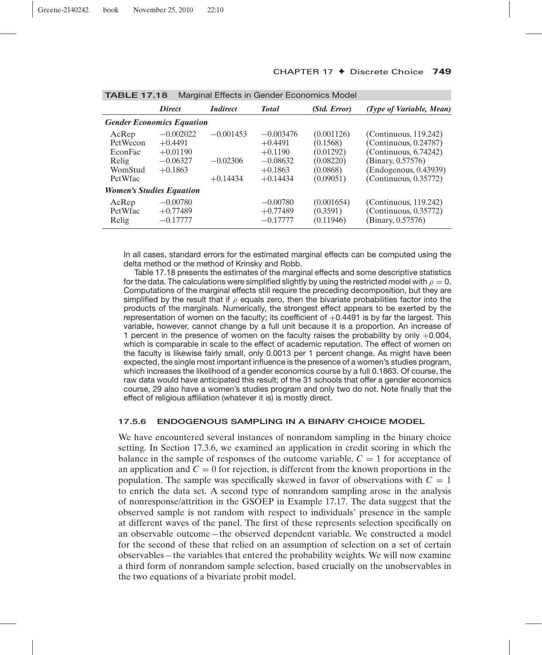| <b>TABLE 17.18</b><br>Marginal Effects in Gender Economics Model |                                                                   |                                         |                                                                                |                                                                           |                                                                                                                                               |  |  |  |  |  |
|------------------------------------------------------------------|-------------------------------------------------------------------|-----------------------------------------|--------------------------------------------------------------------------------|---------------------------------------------------------------------------|-----------------------------------------------------------------------------------------------------------------------------------------------|--|--|--|--|--|
|                                                                  | <b>Direct</b>                                                     | <b>Indirect</b>                         | <b>Total</b>                                                                   | (Std. Error)                                                              | (Type of Variable, Mean)                                                                                                                      |  |  |  |  |  |
| <b>Gender Economics Equation</b>                                 |                                                                   |                                         |                                                                                |                                                                           |                                                                                                                                               |  |  |  |  |  |
| AcRep<br>PctWecon<br>EconFac<br>Relig<br>WomStud<br>PctWfac      | $-0.002022$<br>$+0.4491$<br>$+0.01190$<br>$-0.06327$<br>$+0.1863$ | $-0.001453$<br>$-0.02306$<br>$+0.14434$ | $-0.003476$<br>$+0.4491$<br>$+0.1190$<br>$-0.08632$<br>$+0.1863$<br>$+0.14434$ | (0.001126)<br>(0.1568)<br>(0.01292)<br>(0.08220)<br>(0.0868)<br>(0.09051) | (Continuous, 119.242)<br>(Continuous, 0.24787)<br>(Continuous, 6.74242)<br>(Binary, 0.57576)<br>Endogenous, 0.43939)<br>(Continuous, 0.35772) |  |  |  |  |  |
| <b>Women's Studies Equation</b>                                  |                                                                   |                                         |                                                                                |                                                                           |                                                                                                                                               |  |  |  |  |  |
| AcRep<br>PctWfac<br>Relig                                        | $-0.00780$<br>$+0.77489$<br>$-0.17777$                            |                                         | $-0.00780$<br>$+0.77489$<br>$-0.17777$                                         | (0.001654)<br>(0.3591)<br>(0.11946)                                       | (Continuous, 119.242)<br>(Continuous, 0.35772)<br>(Binary, 0.57576)                                                                           |  |  |  |  |  |

In all cases, standard errors for the estimated marginal effects can be computed using the delta method or the method of Krinsky and Robb.

Table 17.18 presents the estimates of the marginal effects and some descriptive statistics for the data. The calculations were simplified slightly by using the restricted model with  $\rho = 0$ . Computations of the marginal effects still require the preceding decomposition, but they are simplified by the result that if  $\rho$  equals zero, then the bivariate probabilities factor into the products of the marginals. Numerically, the strongest effect appears to be exerted by the representation of women on the faculty; its coefficient of +0.4491 is by far the largest. This variable, however, cannot change by a full unit because it is a proportion. An increase of 1 percent in the presence of women on the faculty raises the probability by only +0.004, which is comparable in scale to the effect of academic reputation. The effect of women on the faculty is likewise fairly small, only 0.0013 per 1 percent change. As might have been expected, the single most important influence is the presence of a women's studies program, which increases the likelihood of a gender economics course by a full 0.1863. Of course, the raw data would have anticipated this result; of the 31 schools that offer a gender economics course, 29 also have a women's studies program and only two do not. Note finally that the effect of religious affiliation (whatever it is) is mostly direct.

#### **17.5.6 ENDOGENOUS SAMPLING IN A BINARY CHOICE MODEL**

We have encountered several instances of nonrandom sampling in the binary choice setting. In Section 17.3.6, we examined an application in credit scoring in which the balance in the sample of responses of the outcome variable,  $C = 1$  for acceptance of an application and  $C = 0$  for rejection, is different from the known proportions in the population. The sample was specifically skewed in favor of observations with  $C = 1$ to enrich the data set. A second type of nonrandom sampling arose in the analysis of nonresponse/attrition in the GSOEP in Example 17.17. The data suggest that the observed sample is not random with respect to individuals' presence in the sample at different waves of the panel. The first of these represents selection specifically on an observable outcome—the observed dependent variable. We constructed a model for the second of these that relied on an assumption of selection on a set of certain observables—the variables that entered the probability weights. We will now examine a third form of nonrandom sample selection, based crucially on the unobservables in the two equations of a bivariate probit model.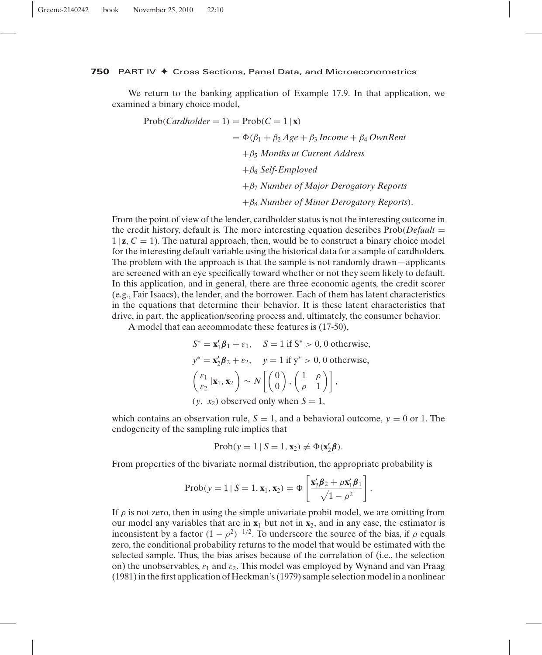We return to the banking application of Example 17.9. In that application, we examined a binary choice model,

$$
Prob(Cardholder = 1) = Prob(C = 1 | x)
$$
  
=  $\Phi(\beta_1 + \beta_2 Age + \beta_3 Income + \beta_4 OwnRent$   
+  $\beta_5$  Months at Current Address  
+  $\beta_6$  Self-Employee  
+  $\beta_7$  Number of Major Derogatory Reports  
+  $\beta_8$  Number of Minor Derogatory Reports.

From the point of view of the lender, cardholder status is not the interesting outcome in the credit history, default is. The more interesting equation describes  $Prob(Default =$  $1 | z, C = 1$ . The natural approach, then, would be to construct a binary choice model for the interesting default variable using the historical data for a sample of cardholders. The problem with the approach is that the sample is not randomly drawn—applicants are screened with an eye specifically toward whether or not they seem likely to default. In this application, and in general, there are three economic agents, the credit scorer (e.g., Fair Isaacs), the lender, and the borrower. Each of them has latent characteristics in the equations that determine their behavior. It is these latent characteristics that drive, in part, the application/scoring process and, ultimately, the consumer behavior.

A model that can accommodate these features is (17-50),

$$
S^* = \mathbf{x}_1' \boldsymbol{\beta}_1 + \varepsilon_1, \quad S = 1 \text{ if } S^* > 0, 0 \text{ otherwise,}
$$
  
\n
$$
y^* = \mathbf{x}_2' \boldsymbol{\beta}_2 + \varepsilon_2, \quad y = 1 \text{ if } y^* > 0, 0 \text{ otherwise,}
$$
  
\n
$$
\begin{pmatrix} \varepsilon_1 \\ \varepsilon_2 \end{pmatrix} \mathbf{x}_1, \mathbf{x}_2 \rightarrow N \begin{bmatrix} 0 \\ 0 \end{bmatrix}, \begin{pmatrix} 1 & \rho \\ \rho & 1 \end{pmatrix},
$$
  
\n
$$
(y, x_2) \text{ observed only when } S = 1,
$$

which contains an observation rule,  $S = 1$ , and a behavioral outcome,  $y = 0$  or 1. The endogeneity of the sampling rule implies that

$$
Prob(y = 1 | S = 1, \mathbf{x}_2) \neq \Phi(\mathbf{x}_2' \boldsymbol{\beta}).
$$

From properties of the bivariate normal distribution, the appropriate probability is

$$
\text{Prob}(y=1 \mid S=1, \mathbf{x}_1, \mathbf{x}_2) = \Phi\left[\frac{\mathbf{x}_2' \boldsymbol{\beta}_2 + \rho \mathbf{x}_1' \boldsymbol{\beta}_1}{\sqrt{1-\rho^2}}\right].
$$

If  $\rho$  is not zero, then in using the simple univariate probit model, we are omitting from our model any variables that are in  $x_1$  but not in  $x_2$ , and in any case, the estimator is inconsistent by a factor  $(1 - \rho^2)^{-1/2}$ . To underscore the source of the bias, if  $\rho$  equals zero, the conditional probability returns to the model that would be estimated with the selected sample. Thus, the bias arises because of the correlation of (i.e., the selection on) the unobservables,  $\varepsilon_1$  and  $\varepsilon_2$ . This model was employed by Wynand and van Praag (1981) in the first application of Heckman's (1979) sample selection model in a nonlinear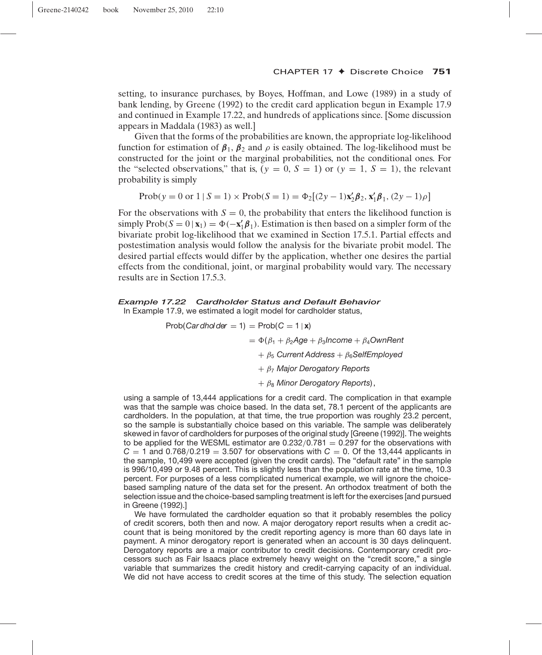setting, to insurance purchases, by Boyes, Hoffman, and Lowe (1989) in a study of bank lending, by Greene (1992) to the credit card application begun in Example 17.9 and continued in Example 17.22, and hundreds of applications since. [Some discussion appears in Maddala (1983) as well.]

Given that the forms of the probabilities are known, the appropriate log-likelihood function for estimation of  $\beta_1$ ,  $\beta_2$  and  $\rho$  is easily obtained. The log-likelihood must be constructed for the joint or the marginal probabilities, not the conditional ones. For the "selected observations," that is,  $(y = 0, S = 1)$  or  $(y = 1, S = 1)$ , the relevant probability is simply

 $\text{Prob}(y = 0 \text{ or } 1 | S = 1) \times \text{Prob}(S = 1) = \Phi_2[(2y - 1)\mathbf{x}'_2 \boldsymbol{\beta}_2, \mathbf{x}'_1 \boldsymbol{\beta}_1, (2y - 1)\rho]$ 

For the observations with  $S = 0$ , the probability that enters the likelihood function is simply Prob( $S = 0 | \mathbf{x}_1$ ) =  $\Phi(-\mathbf{x}'_1 \boldsymbol{\beta}_1)$ . Estimation is then based on a simpler form of the bivariate probit log-likelihood that we examined in Section 17.5.1. Partial effects and postestimation analysis would follow the analysis for the bivariate probit model. The desired partial effects would differ by the application, whether one desires the partial effects from the conditional, joint, or marginal probability would vary. The necessary results are in Section 17.5.3.

#### *Example 17.22 Cardholder Status and Default Behavior* In Example 17.9, we estimated a logit model for cardholder status,

Prob(Cardholder = 1) = Prob(C = 1 | x)

\n
$$
= \Phi(\beta_1 + \beta_2 Age + \beta_3 Income + \beta_4 OwnRent + \beta_5 Current Address + \beta_6SelfEmployee + \beta_7 Major Derogatory Reports + \beta_8 Minor Derogatory Reports),
$$

using a sample of 13,444 applications for a credit card. The complication in that example was that the sample was choice based. In the data set, 78.1 percent of the applicants are cardholders. In the population, at that time, the true proportion was roughly 23.2 percent, so the sample is substantially choice based on this variable. The sample was deliberately skewed in favor of cardholders for purposes of the original study [Greene (1992)]. The weights to be applied for the WESML estimator are  $0.232/0.781 = 0.297$  for the observations with  $C = 1$  and 0.768/0.219 = 3.507 for observations with  $C = 0$ . Of the 13,444 applicants in the sample, 10,499 were accepted (given the credit cards). The "default rate" in the sample is 996/10,499 or 9.48 percent. This is slightly less than the population rate at the time, 10.3 percent. For purposes of a less complicated numerical example, we will ignore the choicebased sampling nature of the data set for the present. An orthodox treatment of both the selection issue and the choice-based sampling treatment is left for the exercises [and pursued in Greene (1992).]

We have formulated the cardholder equation so that it probably resembles the policy of credit scorers, both then and now. A major derogatory report results when a credit account that is being monitored by the credit reporting agency is more than 60 days late in payment. A minor derogatory report is generated when an account is 30 days delinquent. Derogatory reports are a major contributor to credit decisions. Contemporary credit processors such as Fair Isaacs place extremely heavy weight on the "credit score," a single variable that summarizes the credit history and credit-carrying capacity of an individual. We did not have access to credit scores at the time of this study. The selection equation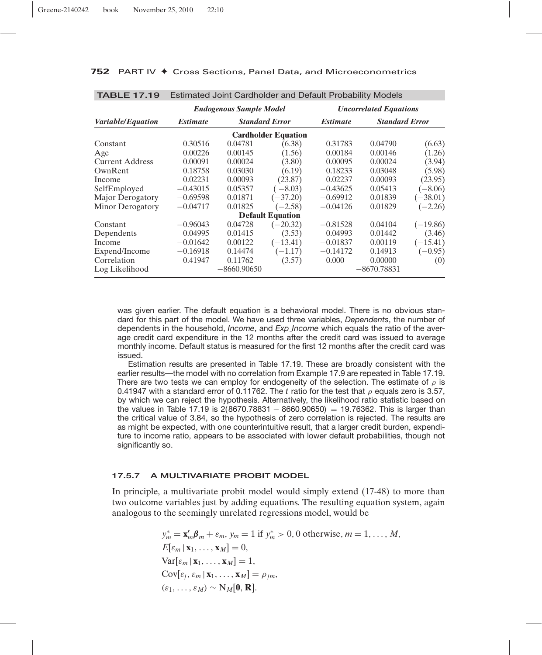| <b>TABLE 17.19</b>              | Estimated Joint Cardholder and Default Probability Models |                       |            |                               |                       |            |  |  |  |  |  |  |
|---------------------------------|-----------------------------------------------------------|-----------------------|------------|-------------------------------|-----------------------|------------|--|--|--|--|--|--|
|                                 | <b>Endogenous Sample Model</b>                            |                       |            | <b>Uncorrelated Equations</b> |                       |            |  |  |  |  |  |  |
| <i><b>Variable/Equation</b></i> | <i><b>Estimate</b></i>                                    | <b>Standard Error</b> |            | <b>Estimate</b>               | <b>Standard Error</b> |            |  |  |  |  |  |  |
| <b>Cardholder Equation</b>      |                                                           |                       |            |                               |                       |            |  |  |  |  |  |  |
| Constant                        | 0.30516                                                   | 0.04781               | (6.38)     | 0.31783                       | 0.04790               | (6.63)     |  |  |  |  |  |  |
| Age                             | 0.00226                                                   | 0.00145               | (1.56)     | 0.00184                       | 0.00146               | (1.26)     |  |  |  |  |  |  |
| <b>Current Address</b>          | 0.00091                                                   | 0.00024               | (3.80)     | 0.00095                       | 0.00024               | (3.94)     |  |  |  |  |  |  |
| OwnRent                         | 0.18758                                                   | 0.03030               | (6.19)     | 0.18233                       | 0.03048               | (5.98)     |  |  |  |  |  |  |
| Income                          | 0.02231                                                   | 0.00093               | (23.87)    | 0.02237                       | 0.00093               | (23.95)    |  |  |  |  |  |  |
| SelfEmployed                    | $-0.43015$                                                | 0.05357               | $(-8.03)$  | $-0.43625$                    | 0.05413               | $(-8.06)$  |  |  |  |  |  |  |
| Major Derogatory                | $-0.69598$                                                | 0.01871               | $(-37.20)$ | $-0.69912$                    | 0.01839               | $(-38.01)$ |  |  |  |  |  |  |
| Minor Derogatory                | $-0.04717$                                                | 0.01825               | $(-2.58)$  | $-0.04126$                    | 0.01829               | $(-2.26)$  |  |  |  |  |  |  |
| <b>Default Equation</b>         |                                                           |                       |            |                               |                       |            |  |  |  |  |  |  |
| Constant                        | $-0.96043$                                                | 0.04728               | $(-20.32)$ | $-0.81528$                    | 0.04104               | $(-19.86)$ |  |  |  |  |  |  |
| Dependents                      | 0.04995                                                   | 0.01415               | (3.53)     | 0.04993                       | 0.01442               | (3.46)     |  |  |  |  |  |  |
| Income                          | $-0.01642$                                                | 0.00122               | $(-13.41)$ | $-0.01837$                    | 0.00119               | $(-15.41)$ |  |  |  |  |  |  |
| Expend/Income                   | $-0.16918$                                                | 0.14474               | $(-1.17)$  | $-0.14172$                    | 0.14913               | $(-0.95)$  |  |  |  |  |  |  |
| Correlation                     | 0.41947                                                   | 0.11762               | (3.57)     | 0.000                         | 0.00000               | (0)        |  |  |  |  |  |  |
| Log Likelihood                  |                                                           | $-8660.90650$         |            |                               | $-8670.78831$         |            |  |  |  |  |  |  |

was given earlier. The default equation is a behavioral model. There is no obvious standard for this part of the model. We have used three variables, *Dependents*, the number of dependents in the household, *Income*, and *Exp Income* which equals the ratio of the average credit card expenditure in the 12 months after the credit card was issued to average monthly income. Default status is measured for the first 12 months after the credit card was issued.

Estimation results are presented in Table 17.19. These are broadly consistent with the earlier results—the model with no correlation from Example 17.9 are repeated in Table 17.19. There are two tests we can employ for endogeneity of the selection. The estimate of  $\rho$  is 0.41947 with a standard error of 0.11762. The *t* ratio for the test that  $\rho$  equals zero is 3.57, by which we can reject the hypothesis. Alternatively, the likelihood ratio statistic based on the values in Table 17.19 is  $2(8670.78831 - 8660.90650) = 19.76362$ . This is larger than the critical value of 3.84, so the hypothesis of zero correlation is rejected. The results are as might be expected, with one counterintuitive result, that a larger credit burden, expenditure to income ratio, appears to be associated with lower default probabilities, though not significantly so.

#### **17.5.7 A MULTIVARIATE PROBIT MODEL**

In principle, a multivariate probit model would simply extend (17-48) to more than two outcome variables just by adding equations. The resulting equation system, again analogous to the seemingly unrelated regressions model, would be

> $y_m^* = \mathbf{x}'_m \boldsymbol{\beta}_m + \varepsilon_m, y_m = 1$  if  $y_m^* > 0, 0$  otherwise,  $m = 1, ..., M$ ,  $E[\varepsilon_m | \mathbf{x}_1, \dots, \mathbf{x}_M] = 0,$  $Var[\varepsilon_m | \mathbf{x}_1, \dots, \mathbf{x}_M] = 1$ ,  $Cov[\varepsilon_j, \varepsilon_m | \mathbf{x}_1, \dots, \mathbf{x}_M] = \rho_{jm},$  $(\varepsilon_1,\ldots,\varepsilon_M) \sim N_M[0,\mathbf{R}]$ .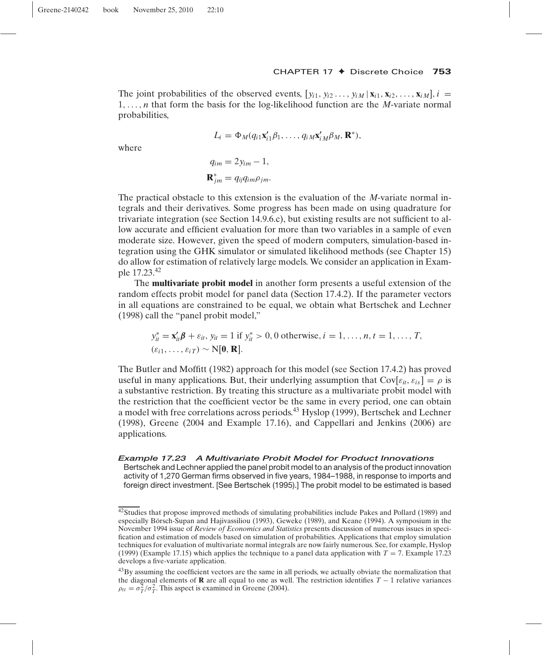#### CHAPTER 17 ✦ Discrete Choice **753**

The joint probabilities of the observed events,  $[y_{i1}, y_{i2}, \ldots, y_{iM} | \mathbf{x}_{i1}, \mathbf{x}_{i2}, \ldots, \mathbf{x}_{iM}], i =$ 1,..., *n* that form the basis for the log-likelihood function are the *M*-variate normal probabilities,

$$
L_i = \Phi_M(q_{i1}\mathbf{x}'_{i1}\beta_1,\ldots,q_{iM}\mathbf{x}'_{iM}\beta_M,\mathbf{R}^*),
$$

where

 $q_{im} = 2y_{im} - 1$ ,  $\mathbf{R}_{jm}^* = q_{ij}q_{im}\rho_{jm}$ .

The practical obstacle to this extension is the evaluation of the *M*-variate normal integrals and their derivatives. Some progress has been made on using quadrature for trivariate integration (see Section 14.9.6.c), but existing results are not sufficient to allow accurate and efficient evaluation for more than two variables in a sample of even moderate size. However, given the speed of modern computers, simulation-based integration using the GHK simulator or simulated likelihood methods (see Chapter 15) do allow for estimation of relatively large models. We consider an application in Example 17.23.42

The **multivariate probit model** in another form presents a useful extension of the random effects probit model for panel data (Section 17.4.2). If the parameter vectors in all equations are constrained to be equal, we obtain what Bertschek and Lechner (1998) call the "panel probit model,"

$$
y_{it}^* = \mathbf{x}_{it}'\boldsymbol{\beta} + \varepsilon_{it}, y_{it} = 1 \text{ if } y_{it}^* > 0, 0 \text{ otherwise, } i = 1, \dots, n, t = 1, \dots, T,
$$
  

$$
(\varepsilon_{i1}, \dots, \varepsilon_{iT}) \sim \mathbf{N}[\mathbf{0}, \mathbf{R}].
$$

The Butler and Moffitt (1982) approach for this model (see Section 17.4.2) has proved useful in many applications. But, their underlying assumption that  $Cov[\varepsilon_{it}, \varepsilon_{is}] = \rho$  is a substantive restriction. By treating this structure as a multivariate probit model with the restriction that the coefficient vector be the same in every period, one can obtain a model with free correlations across periods.<sup>43</sup> Hyslop (1999), Bertschek and Lechner (1998), Greene (2004 and Example 17.16), and Cappellari and Jenkins (2006) are applications.

### *Example 17.23 A Multivariate Probit Model for Product Innovations*

Bertschek and Lechner applied the panel probit model to an analysis of the product innovation activity of 1,270 German firms observed in five years, 1984–1988, in response to imports and foreign direct investment. [See Bertschek (1995).] The probit model to be estimated is based

<sup>&</sup>lt;sup>42</sup>Studies that propose improved methods of simulating probabilities include Pakes and Pollard (1989) and especially Börsch-Supan and Hajivassiliou (1993), Geweke (1989), and Keane (1994). A symposium in the November 1994 issue of *Review of Economics and Statistics* presents discussion of numerous issues in specification and estimation of models based on simulation of probabilities. Applications that employ simulation techniques for evaluation of multivariate normal integrals are now fairly numerous. See, for example, Hyslop (1999) (Example 17.15) which applies the technique to a panel data application with  $T = 7$ . Example 17.23 develops a five-variate application.

<sup>&</sup>lt;sup>43</sup>By assuming the coefficient vectors are the same in all periods, we actually obviate the normalization that the diagonal elements of **R** are all equal to one as well. The restriction identifies *T* − 1 relative variances  $\rho_{tt} = \sigma_T^2 / \sigma_T^2$ . This aspect is examined in Greene (2004).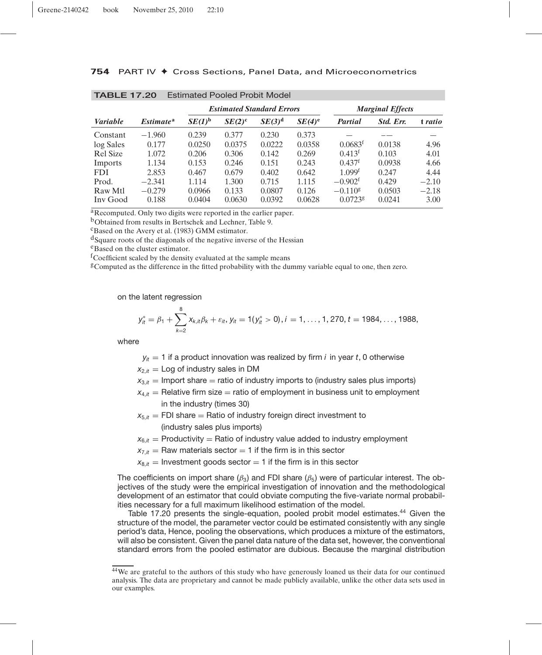| <b>Estimated Pooled Probit Model</b><br><b>TABLE 17.20</b>                     |                                                                      |                                                               |                                                              |                                                               |                                                              |                                                                                                                                         |                                                       |                                                    |  |  |
|--------------------------------------------------------------------------------|----------------------------------------------------------------------|---------------------------------------------------------------|--------------------------------------------------------------|---------------------------------------------------------------|--------------------------------------------------------------|-----------------------------------------------------------------------------------------------------------------------------------------|-------------------------------------------------------|----------------------------------------------------|--|--|
|                                                                                |                                                                      | <b>Estimated Standard Errors</b>                              |                                                              |                                                               |                                                              | <b>Marginal Effects</b>                                                                                                                 |                                                       |                                                    |  |  |
| Variable                                                                       | <i>Estimate<sup>a</sup></i>                                          | $SE(1)^b$                                                     | $SE(2)^c$                                                    | $SE(3)^d$                                                     | $SE(4)$ <sup>e</sup>                                         | Partial                                                                                                                                 | Std. Err.                                             | t ratio                                            |  |  |
| Constant<br>log Sales<br>Rel Size<br>Imports<br><b>FDI</b><br>Prod.<br>Raw Mtl | $-1.960$<br>0.177<br>1.072<br>1.134<br>2.853<br>$-2.341$<br>$-0.279$ | 0.239<br>0.0250<br>0.206<br>0.153<br>0.467<br>1.114<br>0.0966 | 0.377<br>0.0375<br>0.306<br>0.246<br>0.679<br>1.300<br>0.133 | 0.230<br>0.0222<br>0.142<br>0.151<br>0.402<br>0.715<br>0.0807 | 0.373<br>0.0358<br>0.269<br>0.243<br>0.642<br>1.115<br>0.126 | 0.0683 <sup>f</sup><br>0.413 <sup>f</sup><br>0.437 <sup>f</sup><br>1.099 <sup>f</sup><br>$-0.902$ <sup>f</sup><br>$-0.110$ <sup>g</sup> | 0.0138<br>0.103<br>0.0938<br>0.247<br>0.429<br>0.0503 | 4.96<br>4.01<br>4.66<br>4.44<br>$-2.10$<br>$-2.18$ |  |  |
| Inv Good                                                                       | 0.188                                                                | 0.0404                                                        | 0.0630                                                       | 0.0392                                                        | 0.0628                                                       | $0.0723$ <sup>g</sup>                                                                                                                   | 0.0241                                                | 3.00                                               |  |  |

### **754** PART IV ✦ Cross Sections, Panel Data, and Microeconometrics

<sup>a</sup>Recomputed. Only two digits were reported in the earlier paper.

bObtained from results in Bertschek and Lechner, Table 9.

cBased on the Avery et al. (1983) GMM estimator.

<sup>d</sup>Square roots of the diagonals of the negative inverse of the Hessian

eBased on the cluster estimator.

<sup>f</sup>Coefficient scaled by the density evaluated at the sample means

gComputed as the difference in the fitted probability with the dummy variable equal to one, then zero.

on the latent regression

$$
y_{it}^* = \beta_1 + \sum_{k=2}^8 x_{k,it}\beta_k + \varepsilon_{it}, y_{it} = 1(y_{it}^* > 0), i = 1, ..., 1,270, t = 1984, ..., 1988,
$$

where

- $y_{it} = 1$  if a product innovation was realized by firm *i* in year *t*, 0 otherwise
- $x_{2,i}$  = Log of industry sales in DM
- $x_{3,i}$  = Import share = ratio of industry imports to (industry sales plus imports)
- $x_{4,i}$  = Relative firm size = ratio of employment in business unit to employment in the industry (times 30)
- $x_{5,i}$  = FDI share = Ratio of industry foreign direct investment to (industry sales plus imports)
- $x_{6,i}$  = Productivity = Ratio of industry value added to industry employment
- $x_{7,i}$  = Raw materials sector = 1 if the firm is in this sector
- $x_{8,i}$  = Investment goods sector = 1 if the firm is in this sector

The coefficients on import share  $(\beta_3)$  and FDI share  $(\beta_5)$  were of particular interest. The objectives of the study were the empirical investigation of innovation and the methodological development of an estimator that could obviate computing the five-variate normal probabilities necessary for a full maximum likelihood estimation of the model.

Table 17.20 presents the single-equation, pooled probit model estimates.<sup>44</sup> Given the structure of the model, the parameter vector could be estimated consistently with any single period's data, Hence, pooling the observations, which produces a mixture of the estimators, will also be consistent. Given the panel data nature of the data set, however, the conventional standard errors from the pooled estimator are dubious. Because the marginal distribution

<sup>44</sup>We are grateful to the authors of this study who have generously loaned us their data for our continued analysis. The data are proprietary and cannot be made publicly available, unlike the other data sets used in our examples.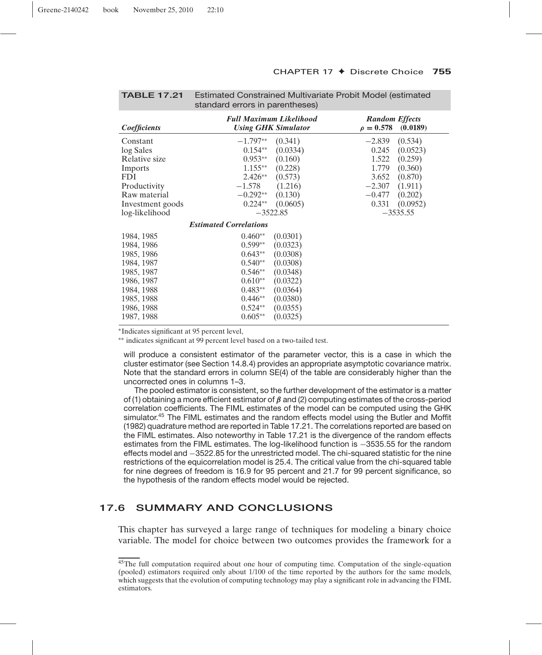| standard errors in parentheses)                                                                                                          |                                                                                                                                |                                                                                                                      |                                                                               |                                                                                                      |  |  |  |  |  |
|------------------------------------------------------------------------------------------------------------------------------------------|--------------------------------------------------------------------------------------------------------------------------------|----------------------------------------------------------------------------------------------------------------------|-------------------------------------------------------------------------------|------------------------------------------------------------------------------------------------------|--|--|--|--|--|
| Coefficients                                                                                                                             | <b>Full Maximum Likelihood</b>                                                                                                 | <b>Using GHK Simulator</b>                                                                                           | <b>Random Effects</b><br>$\rho = 0.578$                                       | (0.0189)                                                                                             |  |  |  |  |  |
| Constant<br>log Sales<br>Relative size<br>Imports<br><b>FDI</b><br>Productivity<br>Raw material<br>Investment goods<br>log-likelihood    | $-1.797**$<br>$0.154**$<br>$0.953**$<br>$1.155**$<br>$2.426**$<br>$-1.578$<br>$-0.292**$<br>$0.224**$<br>$-3522.85$            | (0.341)<br>(0.0334)<br>(0.160)<br>(0.228)<br>(0.573)<br>(1.216)<br>(0.130)<br>(0.0605)                               | $-2.839$<br>0.245<br>1.522<br>1.779<br>3.652<br>$-2.307$<br>$-0.477$<br>0.331 | (0.534)<br>(0.0523)<br>(0.259)<br>(0.360)<br>(0.870)<br>(1.911)<br>(0.202)<br>(0.0952)<br>$-3535.55$ |  |  |  |  |  |
| <b>Estimated Correlations</b>                                                                                                            |                                                                                                                                |                                                                                                                      |                                                                               |                                                                                                      |  |  |  |  |  |
| 1984, 1985<br>1984, 1986<br>1985, 1986<br>1984, 1987<br>1985, 1987<br>1986, 1987<br>1984, 1988<br>1985, 1988<br>1986, 1988<br>1987, 1988 | $0.460**$<br>$0.599**$<br>$0.643**$<br>$0.540**$<br>$0.546**$<br>$0.610**$<br>$0.483**$<br>$0.446**$<br>$0.524**$<br>$0.605**$ | (0.0301)<br>(0.0323)<br>(0.0308)<br>(0.0308)<br>(0.0348)<br>(0.0322)<br>(0.0364)<br>(0.0380)<br>(0.0355)<br>(0.0325) |                                                                               |                                                                                                      |  |  |  |  |  |

**TABLE 17.21** Estimated Constrained Multivariate Probit Model (estimated

#### CHAPTER 17 ✦ Discrete Choice **755**

<sup>∗</sup>Indicates significant at 95 percent level,

∗∗ indicates significant at 99 percent level based on a two-tailed test.

will produce a consistent estimator of the parameter vector, this is a case in which the cluster estimator (see Section 14.8.4) provides an appropriate asymptotic covariance matrix. Note that the standard errors in column SE(4) of the table are considerably higher than the uncorrected ones in columns 1–3.

The pooled estimator is consistent, so the further development of the estimator is a matter of (1) obtaining a more efficient estimator of *β* and (2) computing estimates of the cross-period correlation coefficients. The FIML estimates of the model can be computed using the GHK simulator.<sup>45</sup> The FIML estimates and the random effects model using the Butler and Moffit (1982) quadrature method are reported in Table 17.21. The correlations reported are based on the FIML estimates. Also noteworthy in Table 17.21 is the divergence of the random effects estimates from the FIML estimates. The log-likelihood function is −3535.55 for the random effects model and −3522.85 for the unrestricted model. The chi-squared statistic for the nine restrictions of the equicorrelation model is 25.4. The critical value from the chi-squared table for nine degrees of freedom is 16.9 for 95 percent and 21.7 for 99 percent significance, so the hypothesis of the random effects model would be rejected.

# **17.6 SUMMARY AND CONCLUSIONS**

This chapter has surveyed a large range of techniques for modeling a binary choice variable. The model for choice between two outcomes provides the framework for a

<sup>&</sup>lt;sup>45</sup>The full computation required about one hour of computing time. Computation of the single-equation (pooled) estimators required only about 1/100 of the time reported by the authors for the same models, which suggests that the evolution of computing technology may play a significant role in advancing the FIML estimators.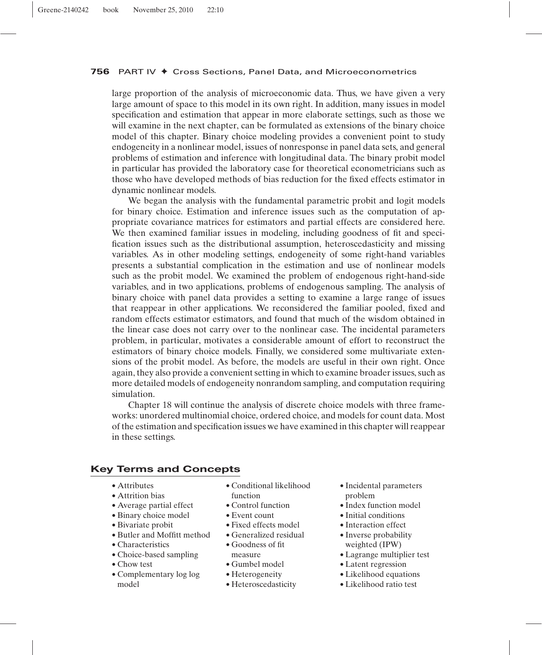### **756** PART IV ✦ Cross Sections, Panel Data, and Microeconometrics

large proportion of the analysis of microeconomic data. Thus, we have given a very large amount of space to this model in its own right. In addition, many issues in model specification and estimation that appear in more elaborate settings, such as those we will examine in the next chapter, can be formulated as extensions of the binary choice model of this chapter. Binary choice modeling provides a convenient point to study endogeneity in a nonlinear model, issues of nonresponse in panel data sets, and general problems of estimation and inference with longitudinal data. The binary probit model in particular has provided the laboratory case for theoretical econometricians such as those who have developed methods of bias reduction for the fixed effects estimator in dynamic nonlinear models.

We began the analysis with the fundamental parametric probit and logit models for binary choice. Estimation and inference issues such as the computation of appropriate covariance matrices for estimators and partial effects are considered here. We then examined familiar issues in modeling, including goodness of fit and specification issues such as the distributional assumption, heteroscedasticity and missing variables. As in other modeling settings, endogeneity of some right-hand variables presents a substantial complication in the estimation and use of nonlinear models such as the probit model. We examined the problem of endogenous right-hand-side variables, and in two applications, problems of endogenous sampling. The analysis of binary choice with panel data provides a setting to examine a large range of issues that reappear in other applications. We reconsidered the familiar pooled, fixed and random effects estimator estimators, and found that much of the wisdom obtained in the linear case does not carry over to the nonlinear case. The incidental parameters problem, in particular, motivates a considerable amount of effort to reconstruct the estimators of binary choice models. Finally, we considered some multivariate extensions of the probit model. As before, the models are useful in their own right. Once again, they also provide a convenient setting in which to examine broader issues, such as more detailed models of endogeneity nonrandom sampling, and computation requiring simulation.

Chapter 18 will continue the analysis of discrete choice models with three frameworks: unordered multinomial choice, ordered choice, and models for count data. Most of the estimation and specification issues we have examined in this chapter will reappear in these settings.

### **Key Terms and Concepts**

- Attributes
- Attrition bias
- Average partial effect
- Binary choice model
- Bivariate probit
- Butler and Moffitt method
- Characteristics
- Choice-based sampling
- Chow test
- Complementary log log model
- Conditional likelihood function
- Control function
- Event count
- Fixed effects model
- Generalized residual
- Goodness of fit measure
- Gumbel model
- Heterogeneity
- Heteroscedasticity
- Incidental parameters problem
- Index function model
- Initial conditions
- Interaction effect
- Inverse probability weighted (IPW)
- Lagrange multiplier test
- Latent regression
- Likelihood equations
- Likelihood ratio test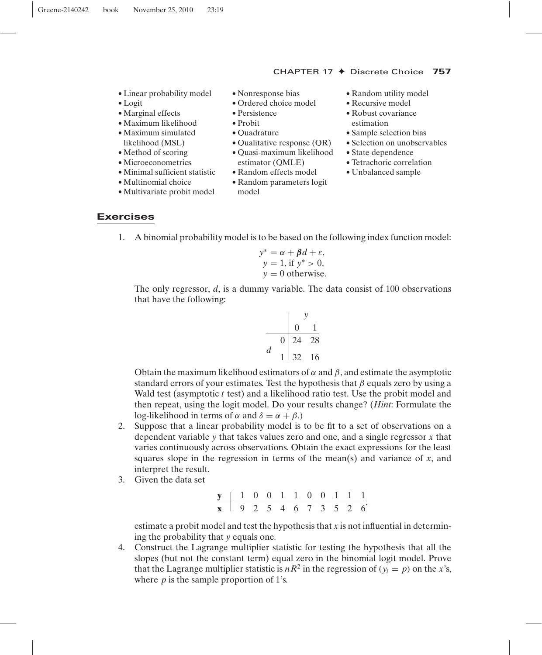## CHAPTER 17 ✦ Discrete Choice **757**

- Linear probability model
- Logit
- Marginal effects
- Maximum likelihood
- Maximum simulated likelihood (MSL)
- Method of scoring
- Microeconometrics
- Minimal sufficient statistic • Multinomial choice
- Nonresponse bias • Ordered choice model
- Persistence
- Probit
- Quadrature
	- Qualitative response (QR)
- Quasi-maximum likelihood estimator (QMLE)
- Random effects model
- Random parameters logit model
- - - Selection on unobservables
		- State dependence
		- Tetrachoric correlation
		-

• Multivariate probit model

## **Exercises**

1. A binomial probability model is to be based on the following index function model:

$$
y^* = \alpha + \beta d + \varepsilon,
$$
  
\n
$$
y = 1, \text{ if } y^* > 0,
$$
  
\n
$$
y = 0 \text{ otherwise.}
$$

The only regressor, *d*, is a dummy variable. The data consist of 100 observations that have the following:

$$
\begin{array}{c|cc}\n & y \\
 & 0 & 1 \\
\hline\n0 & 24 & 28 \\
d & 1 & 32 & 16\n\end{array}
$$

Obtain the maximum likelihood estimators of  $\alpha$  and  $\beta$ , and estimate the asymptotic standard errors of your estimates. Test the hypothesis that  $\beta$  equals zero by using a Wald test (asymptotic *t* test) and a likelihood ratio test. Use the probit model and then repeat, using the logit model. Do your results change? (*Hint*: Formulate the log-likelihood in terms of  $\alpha$  and  $\delta = \alpha + \beta$ .)

- 2. Suppose that a linear probability model is to be fit to a set of observations on a dependent variable *y* that takes values zero and one, and a single regressor *x* that varies continuously across observations. Obtain the exact expressions for the least squares slope in the regression in terms of the mean(s) and variance of  $x$ , and interpret the result.
- 3. Given the data set

|  | $\begin{array}{c cccccccccccccccccc} y & 1 & 0 & 0 & 1 & 1 & 0 & 0 & 1 & 1 & 1 \\ \hline x & 9 & 2 & 5 & 4 & 6 & 7 & 3 & 5 & 2 & 6 \end{array},$ |  |  |  |  |  |
|--|--------------------------------------------------------------------------------------------------------------------------------------------------|--|--|--|--|--|
|  |                                                                                                                                                  |  |  |  |  |  |

estimate a probit model and test the hypothesis that *x* is not influential in determining the probability that *y* equals one.

4. Construct the Lagrange multiplier statistic for testing the hypothesis that all the slopes (but not the constant term) equal zero in the binomial logit model. Prove that the Lagrange multiplier statistic is  $nR^2$  in the regression of  $(y_i = p)$  on the *x*'s, where *p* is the sample proportion of 1's.

- Random utility model
	- Recursive model
	- Robust covariance estimation
	- Sample selection bias
	-
	-
	-
	- Unbalanced sample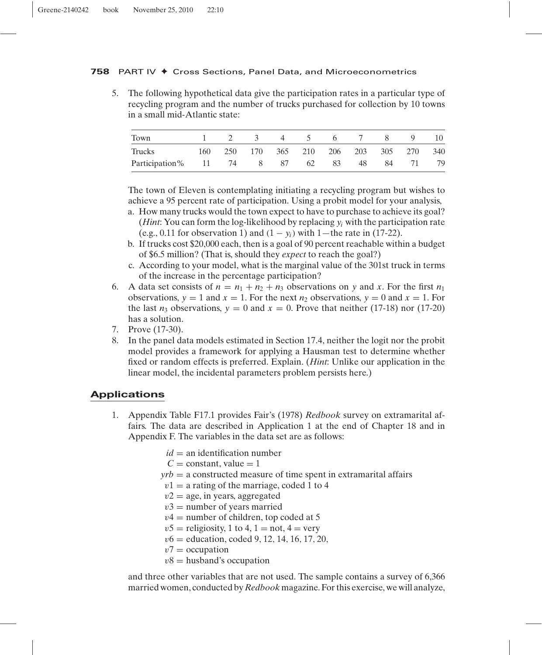### **758** PART IV ✦ Cross Sections, Panel Data, and Microeconometrics

5. The following hypothetical data give the participation rates in a particular type of recycling program and the number of trucks purchased for collection by 10 towns in a small mid-Atlantic state:

| Town                            |      | $\mathcal{F}$ | $\overline{\phantom{a}}$            | $6-1$ |    |       |    |
|---------------------------------|------|---------------|-------------------------------------|-------|----|-------|----|
| Trucks                          | 160- |               | 250 170 365 210 206 203 305 270 340 |       |    |       |    |
| Participation% 11 74 8 87 62 83 |      |               |                                     |       | 48 | 84 71 | 79 |

The town of Eleven is contemplating initiating a recycling program but wishes to achieve a 95 percent rate of participation. Using a probit model for your analysis,

- a. How many trucks would the town expect to have to purchase to achieve its goal? (*Hint*: You can form the log-likelihood by replacing *yi* with the participation rate (e.g., 0.11 for observation 1) and  $(1 - y_i)$  with 1—the rate in (17-22).
- b. If trucks cost \$20,000 each, then is a goal of 90 percent reachable within a budget of \$6.5 million? (That is, should they *expect* to reach the goal?)
- c. According to your model, what is the marginal value of the 301st truck in terms of the increase in the percentage participation?
- 6. A data set consists of  $n = n_1 + n_2 + n_3$  observations on y and x. For the first  $n_1$ observations,  $y = 1$  and  $x = 1$ . For the next  $n_2$  observations,  $y = 0$  and  $x = 1$ . For the last  $n_3$  observations,  $y = 0$  and  $x = 0$ . Prove that neither (17-18) nor (17-20) has a solution.
- 7. Prove (17-30).
- 8. In the panel data models estimated in Section 17.4, neither the logit nor the probit model provides a framework for applying a Hausman test to determine whether fixed or random effects is preferred. Explain. (*Hint*: Unlike our application in the linear model, the incidental parameters problem persists here.)

# **Applications**

- 1. Appendix Table F17.1 provides Fair's (1978) *Redbook* survey on extramarital affairs. The data are described in Application 1 at the end of Chapter 18 and in Appendix F. The variables in the data set are as follows:
	- $id =$ an identification number
	- $C =$  constant, value  $= 1$
	- $yrb = a$  constructed measure of time spent in extramarital affairs
	- $v1 = a$  rating of the marriage, coded 1 to 4
	- $v2 = a$ ge, in years, aggregated
	- $v3$  = number of years married
	- $v4 =$  number of children, top coded at 5
	- $v5$  = religiosity, 1 to 4, 1 = not, 4 = very
	- $v6 =$  education, coded 9, 12, 14, 16, 17, 20,
	- $v7 =$  occupation
	- $v8 =$ husband's occupation

and three other variables that are not used. The sample contains a survey of 6,366 married women, conducted by *Redbook* magazine. For this exercise, we will analyze,